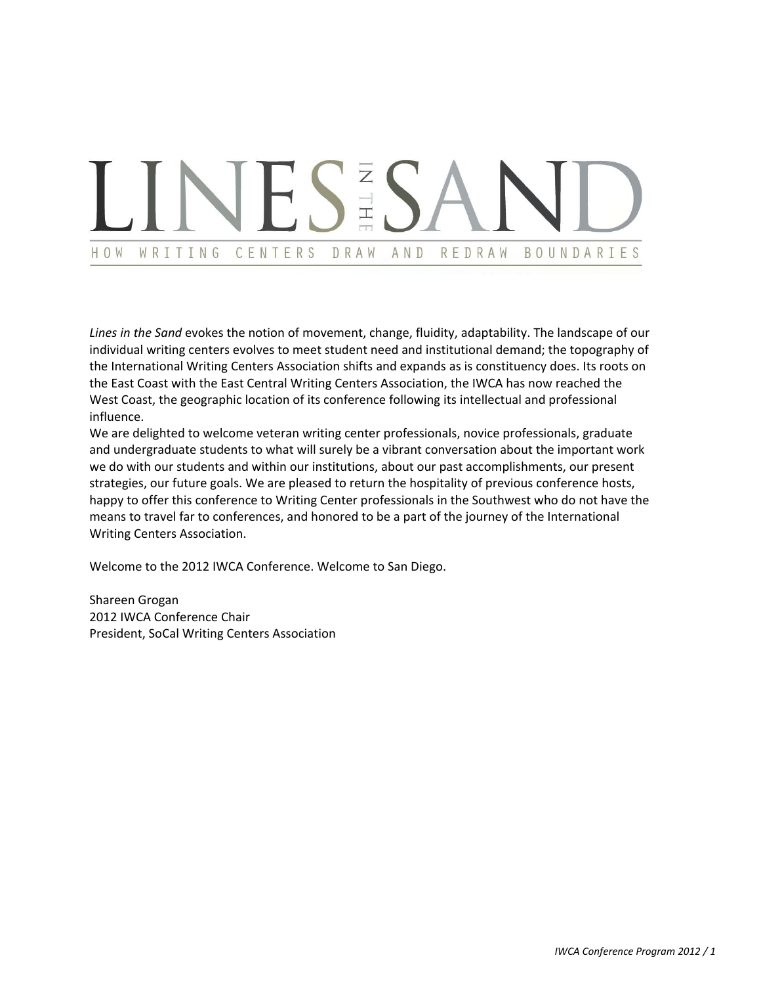### N TH WRITING CENTERS BOUNDARIES HOW DRAW AND REDRAW

*Lines in the Sand* evokes the notion of movement, change, fluidity, adaptability. The landscape of our individual writing centers evolves to meet student need and institutional demand; the topography of the International Writing Centers Association shifts and expands as is constituency does. Its roots on the East Coast with the East Central Writing Centers Association, the IWCA has now reached the West Coast, the geographic location of its conference following its intellectual and professional influence.

We are delighted to welcome veteran writing center professionals, novice professionals, graduate and undergraduate students to what will surely be a vibrant conversation about the important work we do with our students and within our institutions, about our past accomplishments, our present strategies, our future goals. We are pleased to return the hospitality of previous conference hosts, happy to offer this conference to Writing Center professionals in the Southwest who do not have the means to travel far to conferences, and honored to be a part of the journey of the International Writing Centers Association.

Welcome to the 2012 IWCA Conference. Welcome to San Diego.

Shareen Grogan 2012 IWCA Conference Chair President, SoCal Writing Centers Association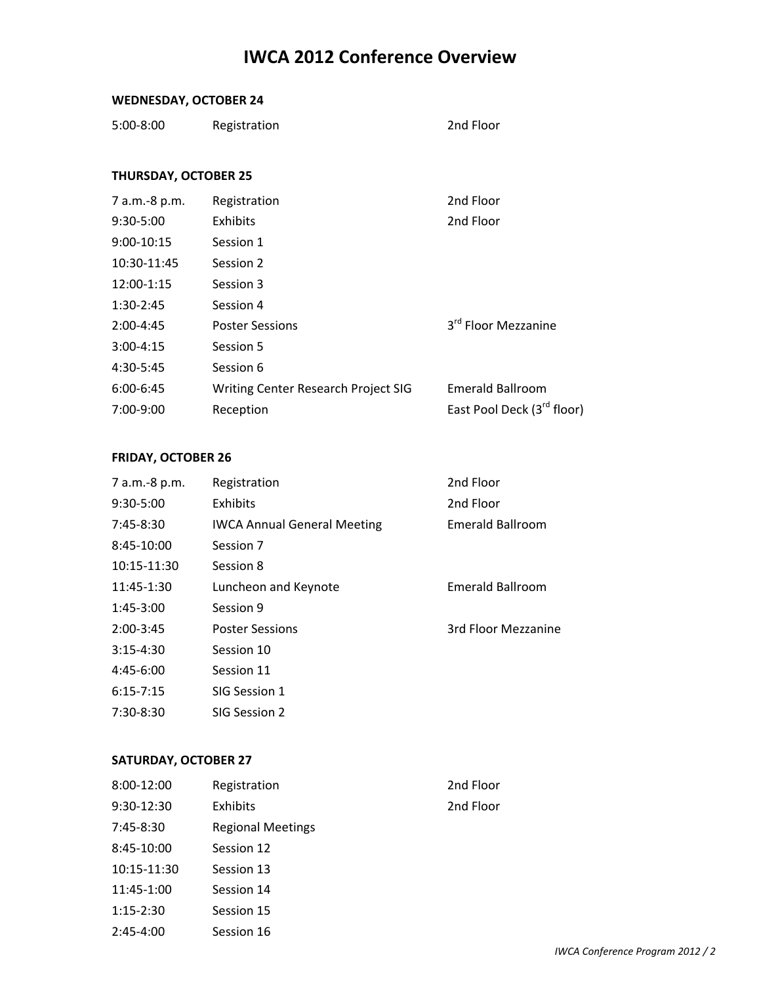# **IWCA 2012 Conference Overview**

### **WEDNESDAY, OCTOBER 24**

| $5:00-8:00$<br>Registration | 2nd Floor |
|-----------------------------|-----------|
|-----------------------------|-----------|

### **THURSDAY, OCTOBER 25**

| 7 a.m.-8 p.m. | Registration                        | 2nd Floor                              |
|---------------|-------------------------------------|----------------------------------------|
| $9:30-5:00$   | Exhibits                            | 2nd Floor                              |
| $9:00-10:15$  | Session 1                           |                                        |
| 10:30-11:45   | Session 2                           |                                        |
| 12:00-1:15    | Session 3                           |                                        |
| $1:30-2:45$   | Session 4                           |                                        |
| $2:00-4:45$   | <b>Poster Sessions</b>              | 3 <sup>rd</sup> Floor Mezzanine        |
| $3:00-4:15$   | Session 5                           |                                        |
| 4:30-5:45     | Session 6                           |                                        |
| $6:00-6:45$   | Writing Center Research Project SIG | <b>Emerald Ballroom</b>                |
| $7:00-9:00$   | Reception                           | East Pool Deck (3 <sup>rd</sup> floor) |
|               |                                     |                                        |

### **FRIDAY, OCTOBER 26**

| 7 a.m.-8 p.m. | Registration                       | 2nd Floor               |
|---------------|------------------------------------|-------------------------|
| 9:30-5:00     | Exhibits                           | 2nd Floor               |
| $7:45-8:30$   | <b>IWCA Annual General Meeting</b> | Emerald Ballroom        |
| $8:45-10:00$  | Session 7                          |                         |
| 10:15-11:30   | Session 8                          |                         |
| 11:45-1:30    | Luncheon and Keynote               | <b>Emerald Ballroom</b> |
| 1:45-3:00     | Session 9                          |                         |
| $2:00-3:45$   | <b>Poster Sessions</b>             | 3rd Floor Mezzanine     |
| $3:15-4:30$   | Session 10                         |                         |
| $4:45-6:00$   | Session 11                         |                         |
| $6:15 - 7:15$ | SIG Session 1                      |                         |
| 7:30-8:30     | SIG Session 2                      |                         |

### **SATURDAY, OCTOBER 27**

| $8:00-12:00$ | Registration             | 2nd Floor |
|--------------|--------------------------|-----------|
| $9:30-12:30$ | Exhibits                 | 2nd Floor |
| $7:45-8:30$  | <b>Regional Meetings</b> |           |
| 8:45-10:00   | Session 12               |           |
| 10:15-11:30  | Session 13               |           |
| 11:45-1:00   | Session 14               |           |
| $1:15-2:30$  | Session 15               |           |
| $2:45-4:00$  | Session 16               |           |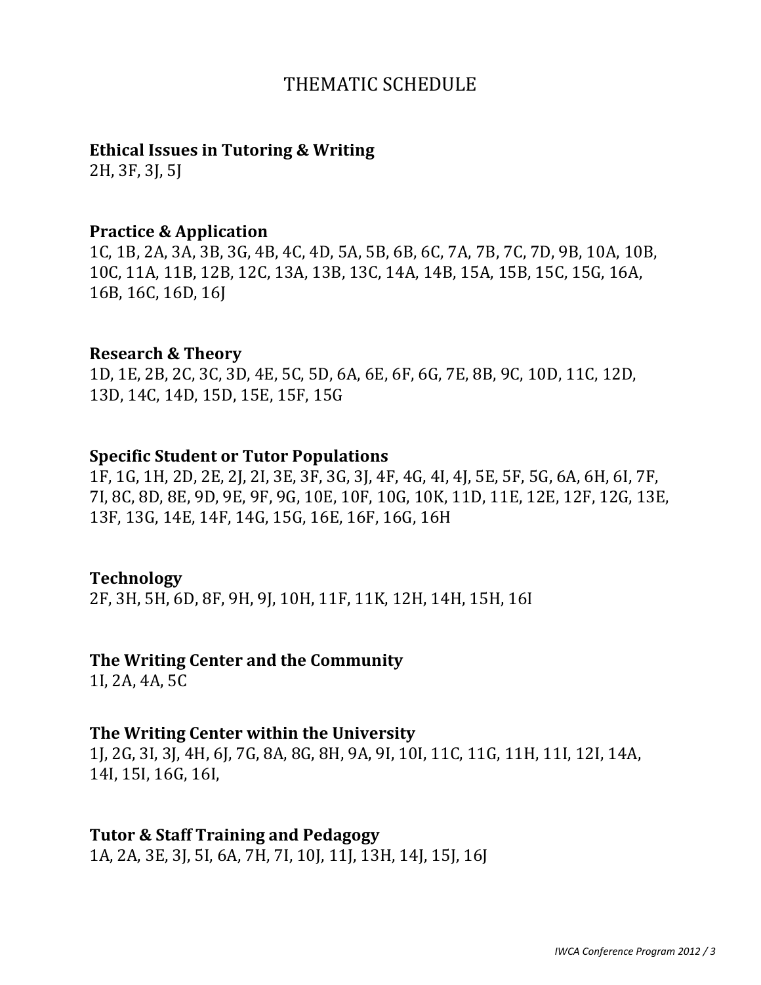# THEMATIC SCHEDULE

## **Ethical Issues in Tutoring & Writing**

2H, 3F, 3J, 5J

### **Practice & Application**

1C, 1B, 2A, 3A, 3B, 3G, 4B, 4C, 4D, 5A, 5B, 6B, 6C, 7A, 7B, 7C, 7D, 9B, 10A, 10B, 10C, 11A, 11B, 12B, 12C, 13A, 13B, 13C, 14A, 14B, 15A, 15B, 15C, 15G, 16A,  $16B$ , 16C, 16D, 16J

### **Research & Theory**

1D, 1E, 2B, 2C, 3C, 3D, 4E, 5C, 5D, 6A, 6E, 6F, 6G, 7E, 8B, 9C, 10D, 11C, 12D, 13D, 14C, 14D, 15D, 15E, 15F, 15G

### **Specific Student or Tutor Populations**

1F, 1G, 1H, 2D, 2E, 2J, 2I, 3E, 3F, 3G, 3J, 4F, 4G, 4I, 4J, 5E, 5F, 5G, 6A, 6H, 6I, 7F, 7I, 8C, 8D, 8E, 9D, 9E, 9F, 9G, 10E, 10F, 10G, 10K, 11D, 11E, 12E, 12F, 12G, 13E, 13F, 13G, 14E, 14F, 14G, 15G, 16E, 16F, 16G, 16H

### **Technology**

2F, 3H, 5H, 6D, 8F, 9H, 9J, 10H, 11F, 11K, 12H, 14H, 15H, 16I

## **The Writing Center and the Community**

 $1I, 2A, 4A, 5C$ 

## **The Writing Center within the University**

1J, 2G, 3I, 3J, 4H, 6J, 7G, 8A, 8G, 8H, 9A, 9I, 10I, 11C, 11G, 11H, 11I, 12I, 14A, 14I, 15I, 16G, 16I,

## **Tutor & Staff Training and Pedagogy**

1A, 2A, 3E, 3J, 5J, 6A, 7H, 7J, 10J, 11J, 13H, 14J, 15J, 16J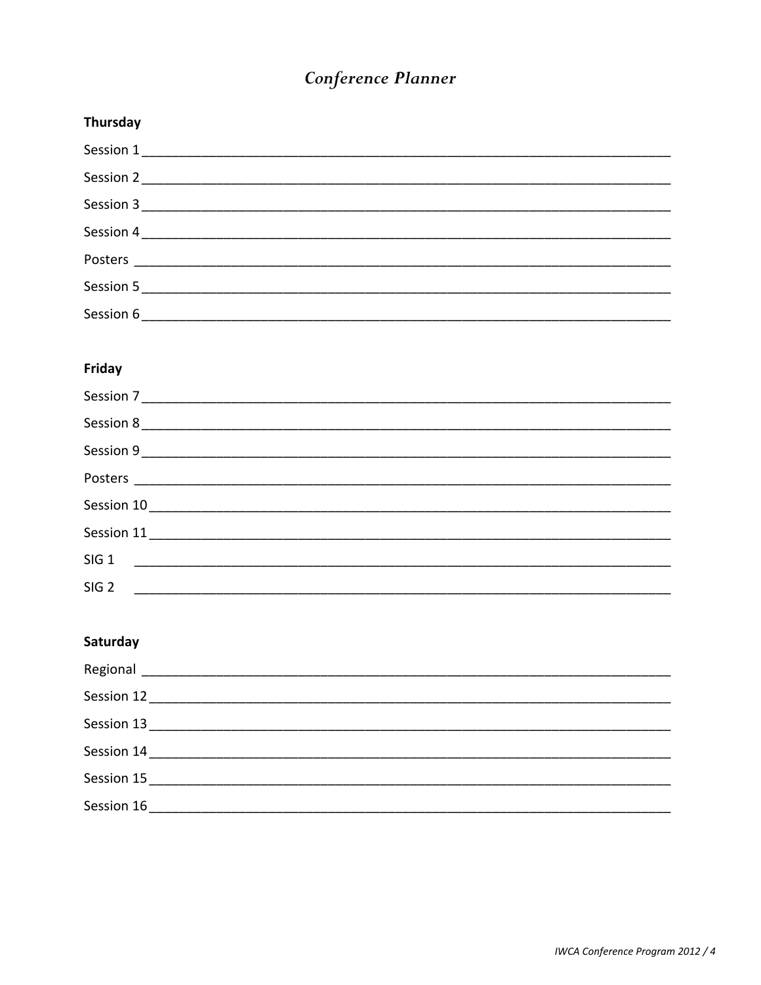# Conference Planner

| Thursday  |
|-----------|
| Session 1 |
| Session 2 |
|           |
| Session 4 |
|           |
|           |
|           |
|           |

### Friday

| Session 8        |  |
|------------------|--|
|                  |  |
|                  |  |
|                  |  |
|                  |  |
| SIG <sub>1</sub> |  |
| SIG <sub>2</sub> |  |

### Saturday

| Session 14 |  |
|------------|--|
|            |  |
|            |  |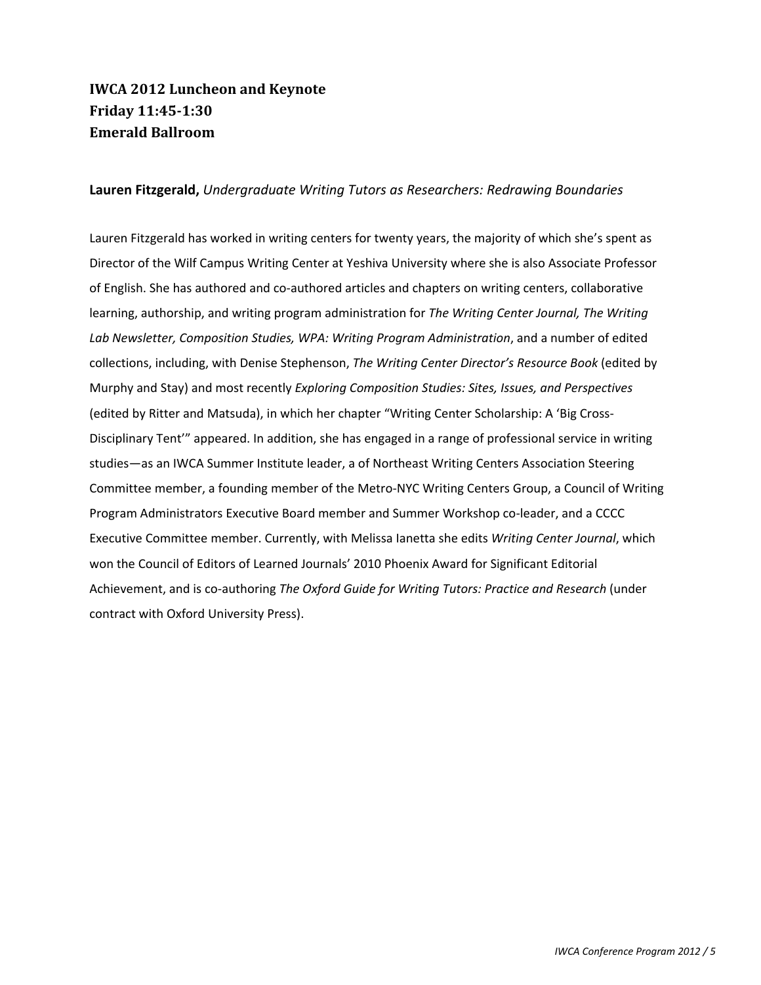## **IWCA 2012 Luncheon and Keynote Friday 11:45Ǧ1:30 Emerald Ballroom**

### **Lauren Fitzgerald,** *Undergraduate Writing Tutors as Researchers: Redrawing Boundaries*

Lauren Fitzgerald has worked in writing centers for twenty years, the majority of which she's spent as Director of the Wilf Campus Writing Center at Yeshiva University where she is also Associate Professor of English. She has authored and co-authored articles and chapters on writing centers, collaborative learning, authorship, and writing program administration for *The Writing Center Journal, The Writing Lab Newsletter, Composition Studies, WPA: Writing Program Administration*, and a number of edited collections, including, with Denise Stephenson, *The Writing Center Director's Resource Book* (edited by Murphy and Stay) and most recently *Exploring Composition Studies: Sites, Issues, and Perspectives* (edited by Ritter and Matsuda), in which her chapter "Writing Center Scholarship: A 'Big Cross-Disciplinary Tent'" appeared. In addition, she has engaged in a range of professional service in writing studies—as an IWCA Summer Institute leader, a of Northeast Writing Centers Association Steering Committee member, a founding member of the Metro-NYC Writing Centers Group, a Council of Writing Program Administrators Executive Board member and Summer Workshop co-leader, and a CCCC Executive Committee member. Currently, with Melissa Ianetta she edits *Writing Center Journal*, which won the Council of Editors of Learned Journals' 2010 Phoenix Award for Significant Editorial Achievement, and is coͲauthoring *The Oxford Guide for Writing Tutors: Practice and Research* (under contract with Oxford University Press).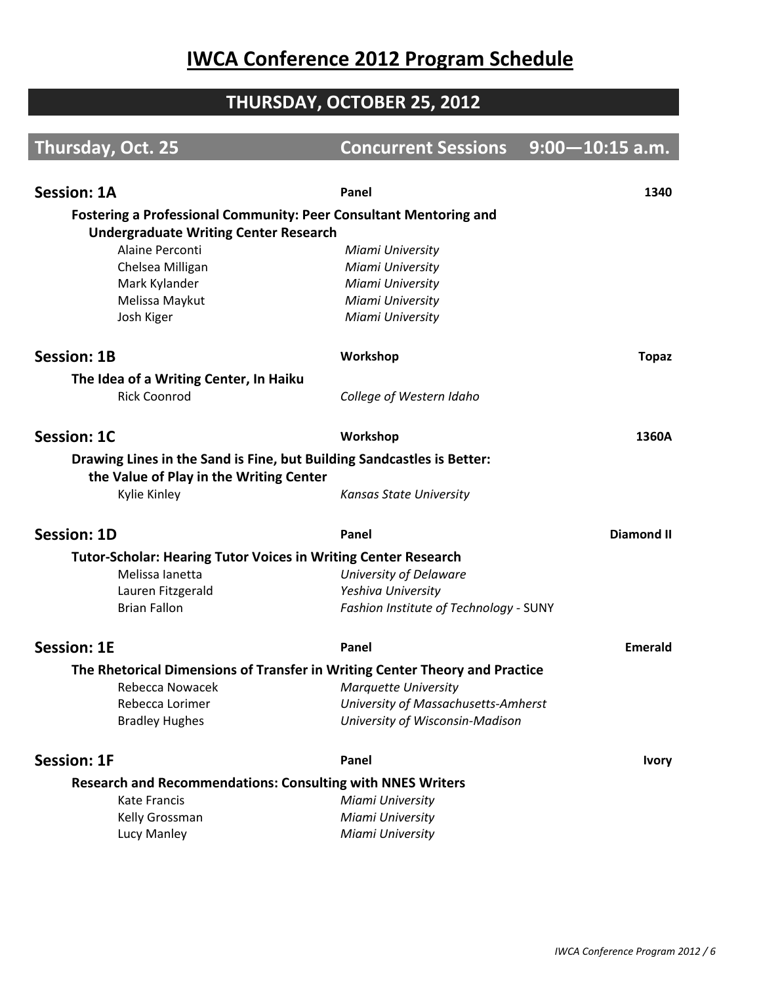# **IWCA Conference 2012 Program Schedule**

# **THURSDAY, OCTOBER 25, 2012**

| Thursday, Oct. 25                                                           | <b>Concurrent Sessions</b>             | $9:00 - 10:15$ a.m. |
|-----------------------------------------------------------------------------|----------------------------------------|---------------------|
|                                                                             |                                        |                     |
| <b>Session: 1A</b>                                                          | Panel                                  | 1340                |
| <b>Fostering a Professional Community: Peer Consultant Mentoring and</b>    |                                        |                     |
| <b>Undergraduate Writing Center Research</b>                                |                                        |                     |
| Alaine Perconti                                                             | Miami University                       |                     |
| Chelsea Milligan                                                            | Miami University                       |                     |
| Mark Kylander                                                               | Miami University                       |                     |
| Melissa Maykut                                                              | Miami University                       |                     |
| Josh Kiger                                                                  | Miami University                       |                     |
| <b>Session: 1B</b>                                                          | Workshop                               | <b>Topaz</b>        |
| The Idea of a Writing Center, In Haiku                                      |                                        |                     |
| <b>Rick Coonrod</b>                                                         | College of Western Idaho               |                     |
| <b>Session: 1C</b>                                                          | Workshop                               | 1360A               |
| Drawing Lines in the Sand is Fine, but Building Sandcastles is Better:      |                                        |                     |
| the Value of Play in the Writing Center                                     |                                        |                     |
| Kylie Kinley                                                                | Kansas State University                |                     |
| <b>Session: 1D</b>                                                          | Panel                                  | <b>Diamond II</b>   |
| <b>Tutor-Scholar: Hearing Tutor Voices in Writing Center Research</b>       |                                        |                     |
| Melissa lanetta                                                             | University of Delaware                 |                     |
| Lauren Fitzgerald                                                           | Yeshiva University                     |                     |
| <b>Brian Fallon</b>                                                         | Fashion Institute of Technology - SUNY |                     |
| <b>Session: 1E</b>                                                          | Panel                                  | <b>Emerald</b>      |
| The Rhetorical Dimensions of Transfer in Writing Center Theory and Practice |                                        |                     |
| Rebecca Nowacek                                                             | <b>Marquette University</b>            |                     |
| Rebecca Lorimer                                                             | University of Massachusetts-Amherst    |                     |
| <b>Bradley Hughes</b>                                                       | University of Wisconsin-Madison        |                     |
| <b>Session: 1F</b>                                                          | Panel                                  | <b>Ivory</b>        |
| <b>Research and Recommendations: Consulting with NNES Writers</b>           |                                        |                     |
| Kate Francis                                                                | Miami University                       |                     |
| Kelly Grossman                                                              | Miami University                       |                     |
| Lucy Manley                                                                 | Miami University                       |                     |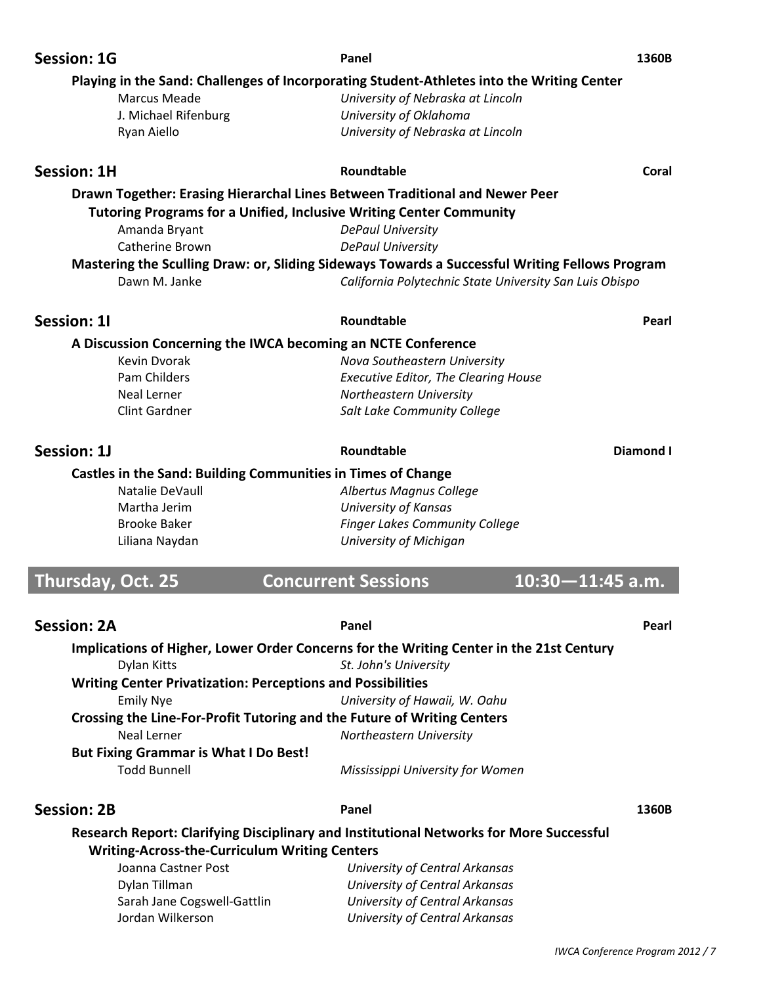| <b>Session: 1G</b>       |                                                                            | Panel                                                                                                            | 1360B     |
|--------------------------|----------------------------------------------------------------------------|------------------------------------------------------------------------------------------------------------------|-----------|
|                          |                                                                            | Playing in the Sand: Challenges of Incorporating Student-Athletes into the Writing Center                        |           |
|                          | <b>Marcus Meade</b>                                                        | University of Nebraska at Lincoln                                                                                |           |
|                          | J. Michael Rifenburg                                                       | University of Oklahoma                                                                                           |           |
|                          | Ryan Aiello                                                                | University of Nebraska at Lincoln                                                                                |           |
| <b>Session: 1H</b>       |                                                                            | Roundtable                                                                                                       | Coral     |
|                          |                                                                            | Drawn Together: Erasing Hierarchal Lines Between Traditional and Newer Peer                                      |           |
|                          | <b>Tutoring Programs for a Unified, Inclusive Writing Center Community</b> |                                                                                                                  |           |
|                          | Amanda Bryant                                                              | <b>DePaul University</b>                                                                                         |           |
|                          | Catherine Brown                                                            | <b>DePaul University</b>                                                                                         |           |
|                          |                                                                            | Mastering the Sculling Draw: or, Sliding Sideways Towards a Successful Writing Fellows Program                   |           |
|                          | Dawn M. Janke                                                              | California Polytechnic State University San Luis Obispo                                                          |           |
| Session: 11              |                                                                            | Roundtable                                                                                                       | Pearl     |
|                          | A Discussion Concerning the IWCA becoming an NCTE Conference               |                                                                                                                  |           |
|                          | Kevin Dvorak                                                               | Nova Southeastern University                                                                                     |           |
|                          | Pam Childers                                                               | <b>Executive Editor, The Clearing House</b>                                                                      |           |
|                          | <b>Neal Lerner</b>                                                         | Northeastern University                                                                                          |           |
|                          | <b>Clint Gardner</b>                                                       | Salt Lake Community College                                                                                      |           |
| Session: 1J              |                                                                            | Roundtable                                                                                                       | Diamond I |
|                          | <b>Castles in the Sand: Building Communities in Times of Change</b>        |                                                                                                                  |           |
|                          | Natalie DeVaull                                                            | Albertus Magnus College                                                                                          |           |
|                          | Martha Jerim                                                               | <b>University of Kansas</b>                                                                                      |           |
|                          | <b>Brooke Baker</b>                                                        | <b>Finger Lakes Community College</b>                                                                            |           |
|                          | Liliana Naydan                                                             | University of Michigan                                                                                           |           |
|                          |                                                                            |                                                                                                                  |           |
| <b>Thursday, Oct. 25</b> |                                                                            | <b>Concurrent Sessions</b><br>$10:30 - 11:45$ a.m.                                                               |           |
| <b>Session: 2A</b>       |                                                                            | Panel                                                                                                            | Pearl     |
|                          |                                                                            |                                                                                                                  |           |
|                          | Dylan Kitts                                                                | Implications of Higher, Lower Order Concerns for the Writing Center in the 21st Century<br>St. John's University |           |
|                          | <b>Writing Center Privatization: Perceptions and Possibilities</b>         |                                                                                                                  |           |
|                          | <b>Emily Nye</b>                                                           | University of Hawaii, W. Oahu                                                                                    |           |
|                          | Crossing the Line-For-Profit Tutoring and the Future of Writing Centers    |                                                                                                                  |           |
|                          | <b>Neal Lerner</b>                                                         | Northeastern University                                                                                          |           |
|                          | <b>But Fixing Grammar is What I Do Best!</b>                               |                                                                                                                  |           |
|                          | <b>Todd Bunnell</b>                                                        | Mississippi University for Women                                                                                 |           |
| <b>Session: 2B</b>       |                                                                            | Panel                                                                                                            | 1360B     |
|                          |                                                                            | Research Report: Clarifying Disciplinary and Institutional Networks for More Successful                          |           |
|                          | <b>Writing-Across-the-Curriculum Writing Centers</b>                       |                                                                                                                  |           |
|                          | Joanna Castner Post                                                        | University of Central Arkansas                                                                                   |           |
|                          | Dylan Tillman                                                              | University of Central Arkansas                                                                                   |           |
|                          |                                                                            |                                                                                                                  |           |
|                          | Sarah Jane Cogswell-Gattlin                                                | University of Central Arkansas                                                                                   |           |
|                          | Jordan Wilkerson                                                           | University of Central Arkansas                                                                                   |           |

I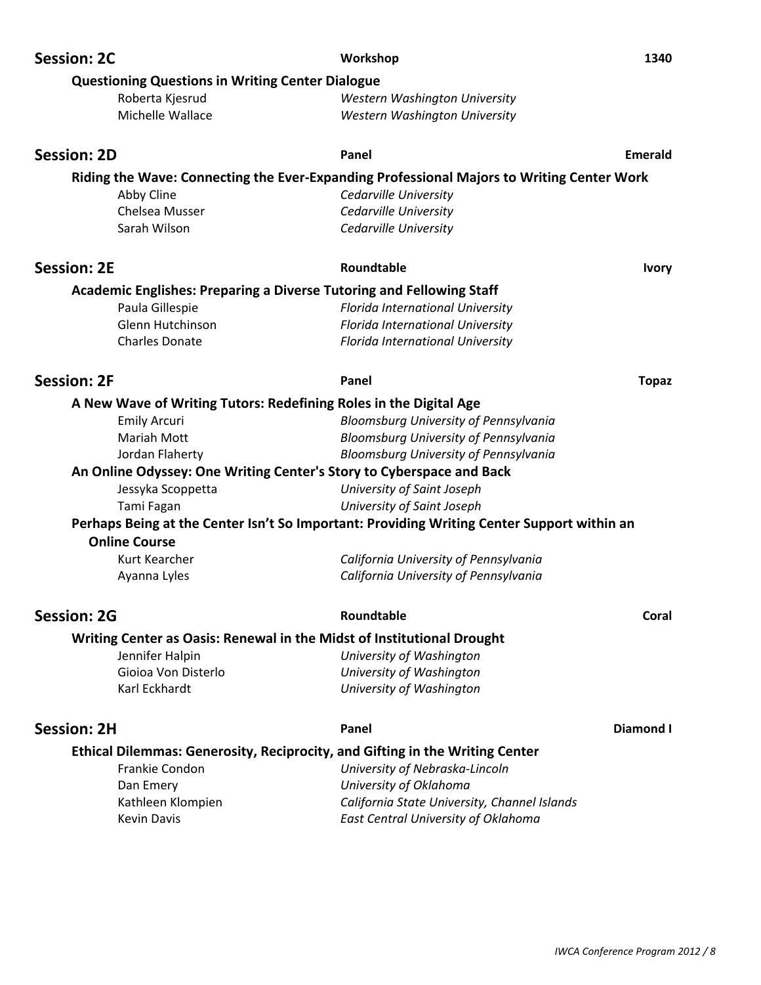| <b>Session: 2C</b>                                                           | Workshop<br>1340                                                                           |  |
|------------------------------------------------------------------------------|--------------------------------------------------------------------------------------------|--|
| <b>Questioning Questions in Writing Center Dialogue</b>                      |                                                                                            |  |
| Roberta Kjesrud                                                              | <b>Western Washington University</b>                                                       |  |
| Michelle Wallace                                                             | Western Washington University                                                              |  |
|                                                                              |                                                                                            |  |
| <b>Session: 2D</b>                                                           | Panel<br><b>Emerald</b>                                                                    |  |
|                                                                              | Riding the Wave: Connecting the Ever-Expanding Professional Majors to Writing Center Work  |  |
| Abby Cline                                                                   | Cedarville University                                                                      |  |
| Chelsea Musser                                                               | Cedarville University                                                                      |  |
| Sarah Wilson                                                                 | Cedarville University                                                                      |  |
| <b>Session: 2E</b>                                                           | Roundtable<br><b>Ivory</b>                                                                 |  |
| <b>Academic Englishes: Preparing a Diverse Tutoring and Fellowing Staff</b>  |                                                                                            |  |
| Paula Gillespie                                                              | Florida International University                                                           |  |
| Glenn Hutchinson                                                             | Florida International University                                                           |  |
| <b>Charles Donate</b>                                                        | Florida International University                                                           |  |
|                                                                              |                                                                                            |  |
| <b>Session: 2F</b>                                                           | Panel<br><b>Topaz</b>                                                                      |  |
| A New Wave of Writing Tutors: Redefining Roles in the Digital Age            |                                                                                            |  |
| <b>Emily Arcuri</b>                                                          | Bloomsburg University of Pennsylvania                                                      |  |
| <b>Mariah Mott</b>                                                           | Bloomsburg University of Pennsylvania                                                      |  |
| Jordan Flaherty                                                              | Bloomsburg University of Pennsylvania                                                      |  |
| An Online Odyssey: One Writing Center's Story to Cyberspace and Back         |                                                                                            |  |
| Jessyka Scoppetta                                                            | University of Saint Joseph                                                                 |  |
| Tami Fagan                                                                   | University of Saint Joseph                                                                 |  |
|                                                                              | Perhaps Being at the Center Isn't So Important: Providing Writing Center Support within an |  |
| <b>Online Course</b>                                                         |                                                                                            |  |
| Kurt Kearcher                                                                | California University of Pennsylvania                                                      |  |
| Ayanna Lyles                                                                 | California University of Pennsylvania                                                      |  |
|                                                                              |                                                                                            |  |
| <b>Session: 2G</b>                                                           | Roundtable<br>Coral                                                                        |  |
| Writing Center as Oasis: Renewal in the Midst of Institutional Drought       |                                                                                            |  |
| Jennifer Halpin                                                              | University of Washington                                                                   |  |
| Gioioa Von Disterlo                                                          | University of Washington                                                                   |  |
| Karl Eckhardt                                                                | University of Washington                                                                   |  |
| <b>Session: 2H</b>                                                           | Diamond I<br>Panel                                                                         |  |
|                                                                              |                                                                                            |  |
| Ethical Dilemmas: Generosity, Reciprocity, and Gifting in the Writing Center |                                                                                            |  |
| Frankie Condon                                                               | University of Nebraska-Lincoln<br>University of Oklahoma                                   |  |
| Dan Emery<br>Kathleen Klompien                                               | California State University, Channel Islands                                               |  |
| <b>Kevin Davis</b>                                                           | East Central University of Oklahoma                                                        |  |
|                                                                              |                                                                                            |  |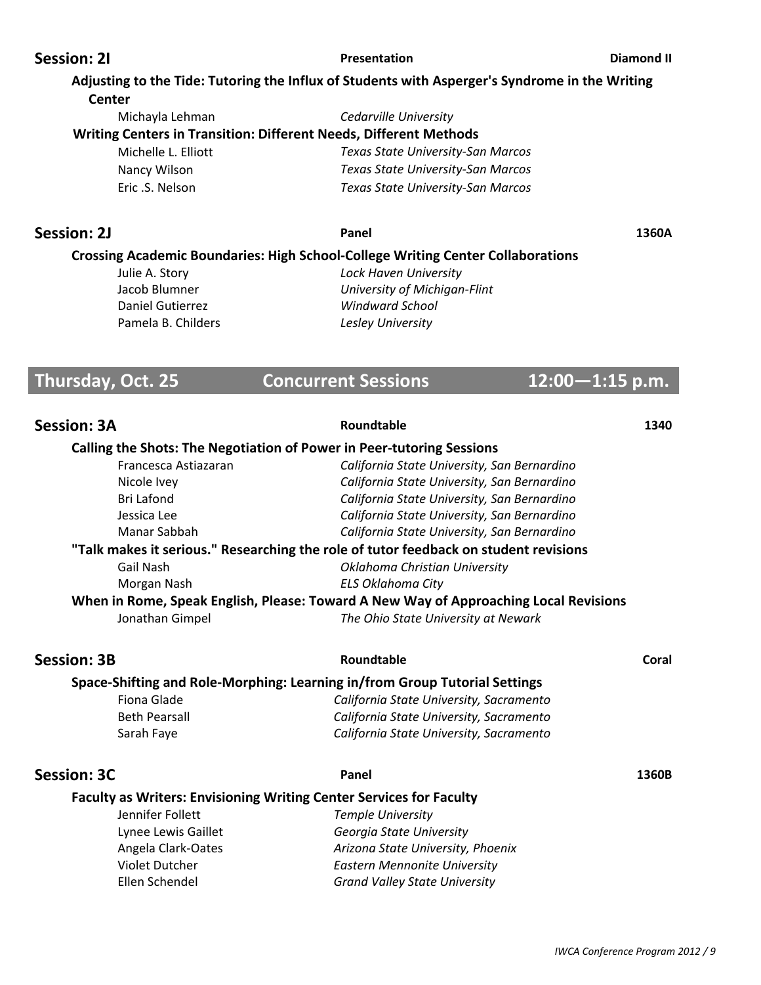### **Session: 2I Presentation Diamond II**

|                    |                     | Adjusting to the Tide: Tutoring the Influx of Students with Asperger's Syndrome in the Writing    |       |
|--------------------|---------------------|---------------------------------------------------------------------------------------------------|-------|
| <b>Center</b>      |                     |                                                                                                   |       |
|                    | Michayla Lehman     | Cedarville University<br><b>Writing Centers in Transition: Different Needs, Different Methods</b> |       |
|                    | Michelle L. Elliott | Texas State University-San Marcos                                                                 |       |
| Nancy Wilson       |                     | Texas State University-San Marcos                                                                 |       |
| Eric .S. Nelson    |                     | Texas State University-San Marcos                                                                 |       |
| <b>Session: 2J</b> |                     | Panel                                                                                             | 1360A |
|                    |                     | <b>Crossing Academic Boundaries: High School-College Writing Center Collaborations</b>            |       |

 Daniel Gutierrez *Windward School* Pamela B. Childers *Lesley University*

 Julie A. Story *Lock Haven University* Jacob Blumner *University of MichiganͲFlint*

# **Thursday, Oct. 25 Concurrent Sessions 12:00-1:15 p.m.**

| <b>Session: 3A</b>                                                           | Roundtable                                                                           | 1340  |
|------------------------------------------------------------------------------|--------------------------------------------------------------------------------------|-------|
| <b>Calling the Shots: The Negotiation of Power in Peer-tutoring Sessions</b> |                                                                                      |       |
| Francesca Astiazaran                                                         | California State University, San Bernardino                                          |       |
| Nicole Ivey                                                                  | California State University, San Bernardino                                          |       |
| <b>Bri Lafond</b>                                                            | California State University, San Bernardino                                          |       |
| Jessica Lee                                                                  | California State University, San Bernardino                                          |       |
| Manar Sabbah                                                                 | California State University, San Bernardino                                          |       |
|                                                                              | "Talk makes it serious." Researching the role of tutor feedback on student revisions |       |
| Gail Nash                                                                    | Oklahoma Christian University                                                        |       |
| Morgan Nash                                                                  | <b>ELS Oklahoma City</b>                                                             |       |
|                                                                              | When in Rome, Speak English, Please: Toward A New Way of Approaching Local Revisions |       |
| Jonathan Gimpel                                                              | The Ohio State University at Newark                                                  |       |
| <b>Session: 3B</b>                                                           | Roundtable                                                                           | Coral |
| Space-Shifting and Role-Morphing: Learning in/from Group Tutorial Settings   |                                                                                      |       |
| Fiona Glade                                                                  | California State University, Sacramento                                              |       |
| <b>Beth Pearsall</b>                                                         | California State University, Sacramento                                              |       |
| Sarah Faye                                                                   | California State University, Sacramento                                              |       |
| <b>Session: 3C</b>                                                           | Panel                                                                                | 1360B |
| <b>Faculty as Writers: Envisioning Writing Center Services for Faculty</b>   |                                                                                      |       |
| Jennifer Follett                                                             | <b>Temple University</b>                                                             |       |
| Lynee Lewis Gaillet                                                          | Georgia State University                                                             |       |
| Angela Clark-Oates                                                           | Arizona State University, Phoenix                                                    |       |
| <b>Violet Dutcher</b>                                                        | <b>Eastern Mennonite University</b>                                                  |       |
| Ellen Schendel                                                               | <b>Grand Valley State University</b>                                                 |       |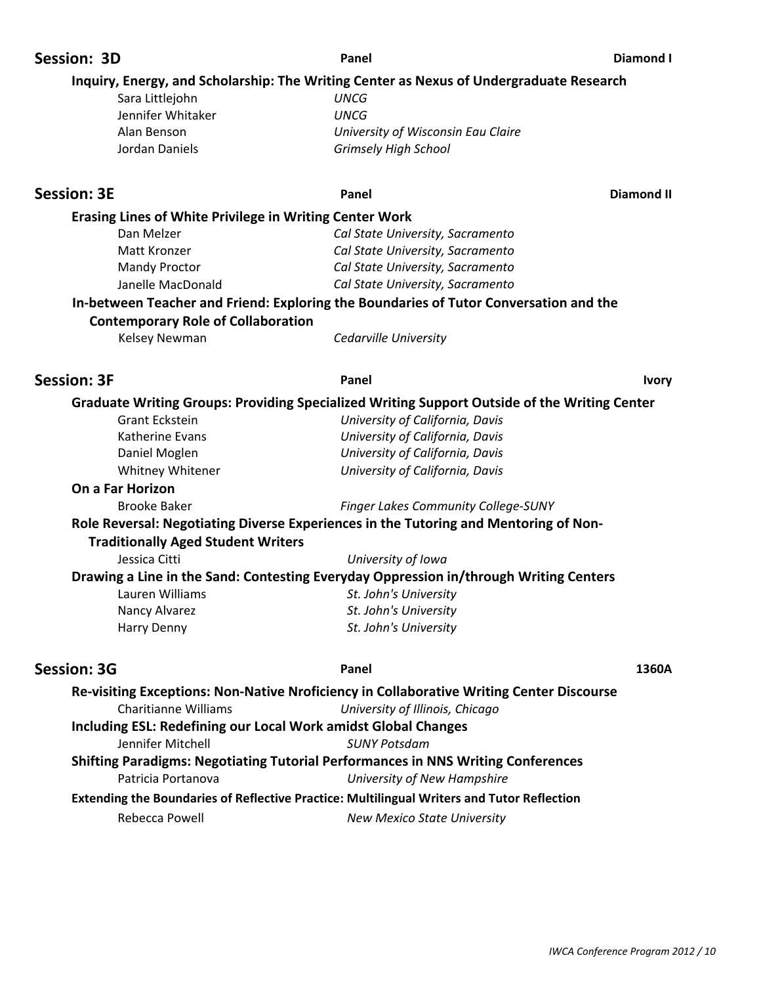| Session: 3D                                                    | Panel                                                                                        | <b>Diamond I</b>  |
|----------------------------------------------------------------|----------------------------------------------------------------------------------------------|-------------------|
|                                                                | Inquiry, Energy, and Scholarship: The Writing Center as Nexus of Undergraduate Research      |                   |
| Sara Littlejohn                                                | <b>UNCG</b>                                                                                  |                   |
| Jennifer Whitaker                                              | <b>UNCG</b>                                                                                  |                   |
| Alan Benson                                                    | University of Wisconsin Eau Claire                                                           |                   |
| Jordan Daniels                                                 | <b>Grimsely High School</b>                                                                  |                   |
| <b>Session: 3E</b>                                             | Panel                                                                                        | <b>Diamond II</b> |
| <b>Erasing Lines of White Privilege in Writing Center Work</b> |                                                                                              |                   |
| Dan Melzer                                                     | Cal State University, Sacramento                                                             |                   |
| Matt Kronzer                                                   | Cal State University, Sacramento                                                             |                   |
| <b>Mandy Proctor</b>                                           | Cal State University, Sacramento                                                             |                   |
| Janelle MacDonald                                              | Cal State University, Sacramento                                                             |                   |
|                                                                | In-between Teacher and Friend: Exploring the Boundaries of Tutor Conversation and the        |                   |
| <b>Contemporary Role of Collaboration</b>                      |                                                                                              |                   |
| Kelsey Newman                                                  | Cedarville University                                                                        |                   |
| <b>Session: 3F</b>                                             | Panel                                                                                        | <b>Ivory</b>      |
|                                                                | Graduate Writing Groups: Providing Specialized Writing Support Outside of the Writing Center |                   |
| <b>Grant Eckstein</b>                                          | University of California, Davis                                                              |                   |
| Katherine Evans                                                | University of California, Davis                                                              |                   |
| Daniel Moglen                                                  | University of California, Davis                                                              |                   |
| Whitney Whitener                                               | University of California, Davis                                                              |                   |
| On a Far Horizon                                               |                                                                                              |                   |
| <b>Brooke Baker</b>                                            | Finger Lakes Community College-SUNY                                                          |                   |
| <b>Traditionally Aged Student Writers</b>                      | Role Reversal: Negotiating Diverse Experiences in the Tutoring and Mentoring of Non-         |                   |
| Jessica Citti                                                  | University of Iowa                                                                           |                   |
|                                                                | Drawing a Line in the Sand: Contesting Everyday Oppression in/through Writing Centers        |                   |
| Lauren Williams                                                | St. John's University                                                                        |                   |
| Nancy Alvarez                                                  | St. John's University                                                                        |                   |
| Harry Denny                                                    | St. John's University                                                                        |                   |
| <b>Session: 3G</b>                                             | Panel                                                                                        | 1360A             |
|                                                                | Re-visiting Exceptions: Non-Native Nroficiency in Collaborative Writing Center Discourse     |                   |
| <b>Charitianne Williams</b>                                    | University of Illinois, Chicago                                                              |                   |
|                                                                | <b>Including ESL: Redefining our Local Work amidst Global Changes</b>                        |                   |
| Jennifer Mitchell                                              | <b>SUNY Potsdam</b>                                                                          |                   |
|                                                                | <b>Shifting Paradigms: Negotiating Tutorial Performances in NNS Writing Conferences</b>      |                   |
| Patricia Portanova                                             | University of New Hampshire                                                                  |                   |
|                                                                | Extending the Boundaries of Reflective Practice: Multilingual Writers and Tutor Reflection   |                   |
| Dalennan Dallertt                                              | $M = 1.6$ $M = 1.7$ $M = 2.7$                                                                |                   |

Rebecca Powell *New Mexico State University*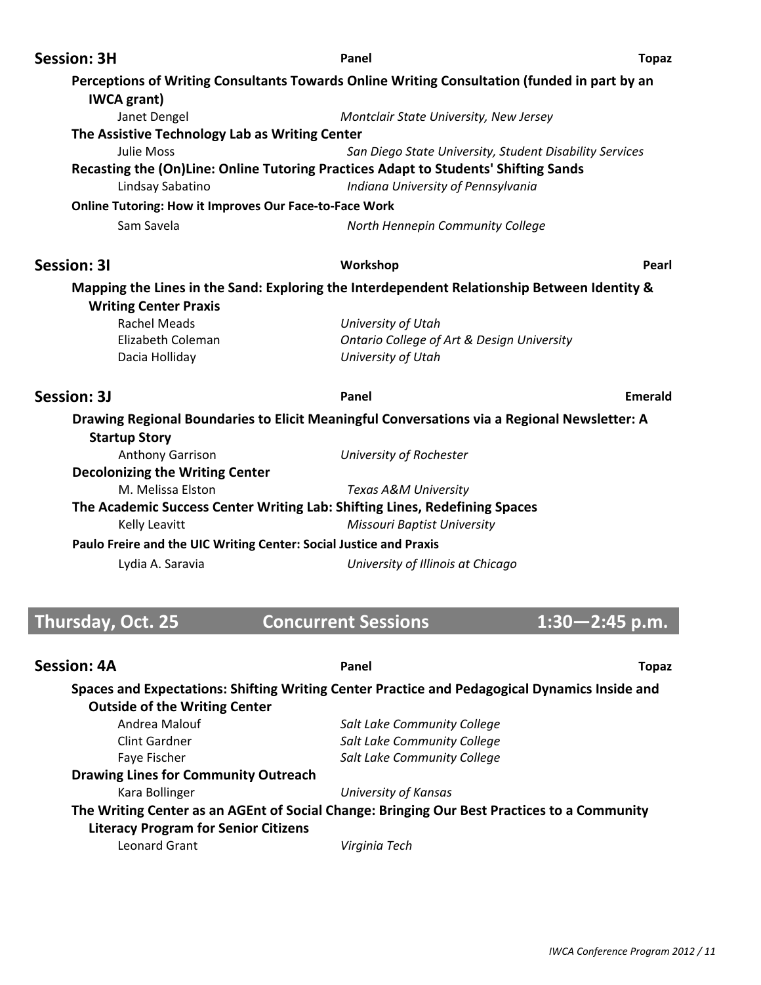| <b>Session: 3H</b>                                                 | Panel                                                                                                                     | <b>Topaz</b>       |
|--------------------------------------------------------------------|---------------------------------------------------------------------------------------------------------------------------|--------------------|
| <b>IWCA</b> grant)                                                 | Perceptions of Writing Consultants Towards Online Writing Consultation (funded in part by an                              |                    |
| Janet Dengel                                                       | Montclair State University, New Jersey                                                                                    |                    |
| The Assistive Technology Lab as Writing Center                     |                                                                                                                           |                    |
| Julie Moss                                                         | San Diego State University, Student Disability Services                                                                   |                    |
| Lindsay Sabatino                                                   | Recasting the (On)Line: Online Tutoring Practices Adapt to Students' Shifting Sands<br>Indiana University of Pennsylvania |                    |
| <b>Online Tutoring: How it Improves Our Face-to-Face Work</b>      |                                                                                                                           |                    |
| Sam Savela                                                         | North Hennepin Community College                                                                                          |                    |
| <b>Session: 31</b>                                                 | Workshop                                                                                                                  | Pearl              |
| <b>Writing Center Praxis</b>                                       | Mapping the Lines in the Sand: Exploring the Interdependent Relationship Between Identity &                               |                    |
| <b>Rachel Meads</b>                                                | University of Utah                                                                                                        |                    |
| Elizabeth Coleman                                                  | Ontario College of Art & Design University                                                                                |                    |
| Dacia Holliday                                                     | University of Utah                                                                                                        |                    |
| <b>Session: 3J</b>                                                 | Panel                                                                                                                     | Emerald            |
| <b>Startup Story</b>                                               | Drawing Regional Boundaries to Elicit Meaningful Conversations via a Regional Newsletter: A                               |                    |
| Anthony Garrison                                                   | University of Rochester                                                                                                   |                    |
| <b>Decolonizing the Writing Center</b>                             |                                                                                                                           |                    |
| M. Melissa Elston                                                  | Texas A&M University                                                                                                      |                    |
|                                                                    | The Academic Success Center Writing Lab: Shifting Lines, Redefining Spaces                                                |                    |
| <b>Kelly Leavitt</b>                                               | <b>Missouri Baptist University</b>                                                                                        |                    |
| Paulo Freire and the UIC Writing Center: Social Justice and Praxis |                                                                                                                           |                    |
| Lydia A. Saravia                                                   | University of Illinois at Chicago                                                                                         |                    |
|                                                                    |                                                                                                                           |                    |
| Thursday, Oct. 25                                                  | <b>Concurrent Sessions</b>                                                                                                | $1:30 - 2:45$ p.m. |
| <b>Session: 4A</b>                                                 | Panel                                                                                                                     | <b>Topaz</b>       |

### **Spaces and Expectations: Shifting Writing Center Practice and Pedagogical Dynamics Inside and Outside of the Writing Center** Andrea Malouf *Salt Lake Community College* Clint Gardner *Salt Lake Community College* Faye Fischer *Salt Lake Community College* **Drawing Lines for Community Outreach** Kara Bollinger *University of Kansas* **The Writing Center as an AGEnt of Social Change: Bringing Our Best Practices to a Community Literacy Program for Senior Citizens** Leonard Grant *Virginia Tech*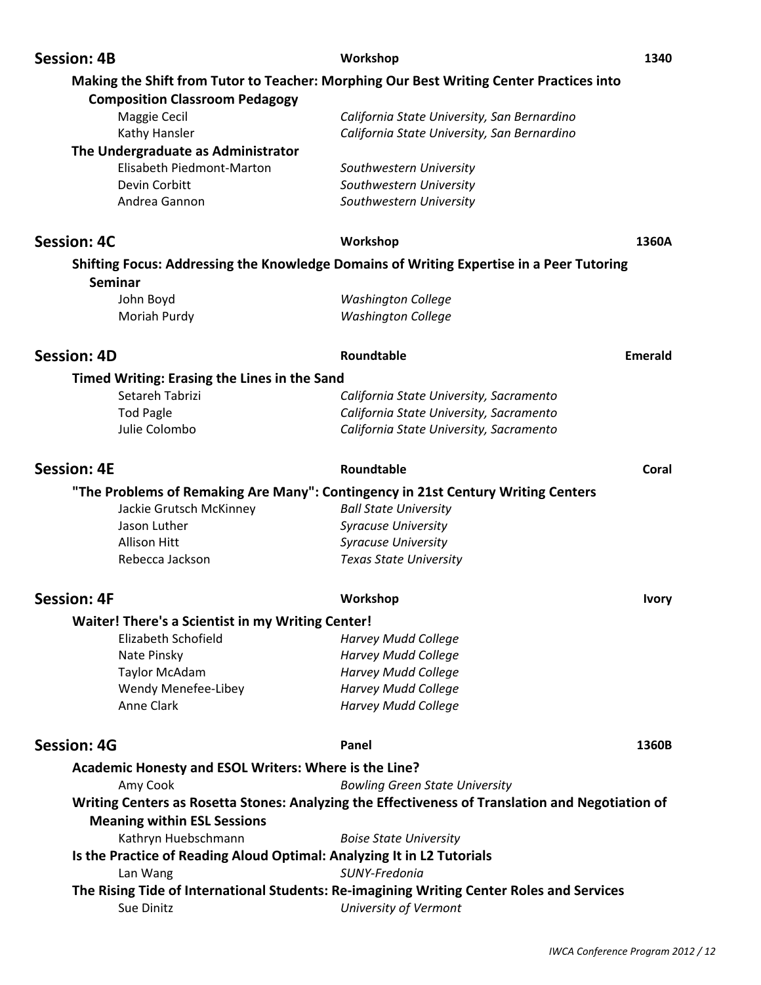|                    | <b>Session: 4B</b>                                                                 | Workshop                                                                                         | 1340    |
|--------------------|------------------------------------------------------------------------------------|--------------------------------------------------------------------------------------------------|---------|
|                    |                                                                                    | Making the Shift from Tutor to Teacher: Morphing Our Best Writing Center Practices into          |         |
|                    | <b>Composition Classroom Pedagogy</b>                                              |                                                                                                  |         |
|                    | Maggie Cecil                                                                       | California State University, San Bernardino                                                      |         |
|                    | Kathy Hansler                                                                      | California State University, San Bernardino                                                      |         |
|                    | The Undergraduate as Administrator                                                 |                                                                                                  |         |
|                    | Elisabeth Piedmont-Marton                                                          | Southwestern University                                                                          |         |
|                    | Devin Corbitt                                                                      | Southwestern University                                                                          |         |
|                    | Andrea Gannon                                                                      | Southwestern University                                                                          |         |
|                    | <b>Session: 4C</b>                                                                 | Workshop                                                                                         | 1360A   |
|                    | Seminar                                                                            | Shifting Focus: Addressing the Knowledge Domains of Writing Expertise in a Peer Tutoring         |         |
|                    | John Boyd                                                                          | <b>Washington College</b>                                                                        |         |
|                    | Moriah Purdy                                                                       | <b>Washington College</b>                                                                        |         |
|                    | <b>Session: 4D</b>                                                                 | Roundtable                                                                                       | Emerald |
|                    | <b>Timed Writing: Erasing the Lines in the Sand</b>                                |                                                                                                  |         |
|                    | Setareh Tabrizi                                                                    | California State University, Sacramento                                                          |         |
|                    | <b>Tod Pagle</b>                                                                   | California State University, Sacramento                                                          |         |
|                    | Julie Colombo                                                                      | California State University, Sacramento                                                          |         |
| <b>Session: 4E</b> |                                                                                    | Roundtable                                                                                       | Coral   |
|                    |                                                                                    | "The Problems of Remaking Are Many": Contingency in 21st Century Writing Centers                 |         |
|                    | Jackie Grutsch McKinney                                                            | <b>Ball State University</b>                                                                     |         |
|                    | Jason Luther                                                                       | <b>Syracuse University</b>                                                                       |         |
|                    | <b>Allison Hitt</b>                                                                | <b>Syracuse University</b>                                                                       |         |
|                    | Rebecca Jackson                                                                    | <b>Texas State University</b>                                                                    |         |
| Session: 4F        |                                                                                    | Workshop                                                                                         | Ivory   |
|                    | Waiter! There's a Scientist in my Writing Center!                                  |                                                                                                  |         |
|                    | Elizabeth Schofield                                                                | <b>Harvey Mudd College</b>                                                                       |         |
|                    | Nate Pinsky                                                                        | <b>Harvey Mudd College</b>                                                                       |         |
|                    | <b>Taylor McAdam</b>                                                               | <b>Harvey Mudd College</b>                                                                       |         |
|                    | Wendy Menefee-Libey                                                                | <b>Harvey Mudd College</b>                                                                       |         |
|                    | Anne Clark                                                                         | <b>Harvey Mudd College</b>                                                                       |         |
|                    | <b>Session: 4G</b>                                                                 | Panel                                                                                            | 1360B   |
|                    | Academic Honesty and ESOL Writers: Where is the Line?                              |                                                                                                  |         |
|                    | Amy Cook                                                                           | <b>Bowling Green State University</b>                                                            |         |
|                    | <b>Meaning within ESL Sessions</b>                                                 | Writing Centers as Rosetta Stones: Analyzing the Effectiveness of Translation and Negotiation of |         |
|                    | Kathryn Huebschmann                                                                | <b>Boise State University</b>                                                                    |         |
|                    | Is the Practice of Reading Aloud Optimal: Analyzing It in L2 Tutorials<br>Lan Wang | SUNY-Fredonia                                                                                    |         |
|                    |                                                                                    | The Rising Tide of International Students: Re-imagining Writing Center Roles and Services        |         |
|                    | Sue Dinitz                                                                         | University of Vermont                                                                            |         |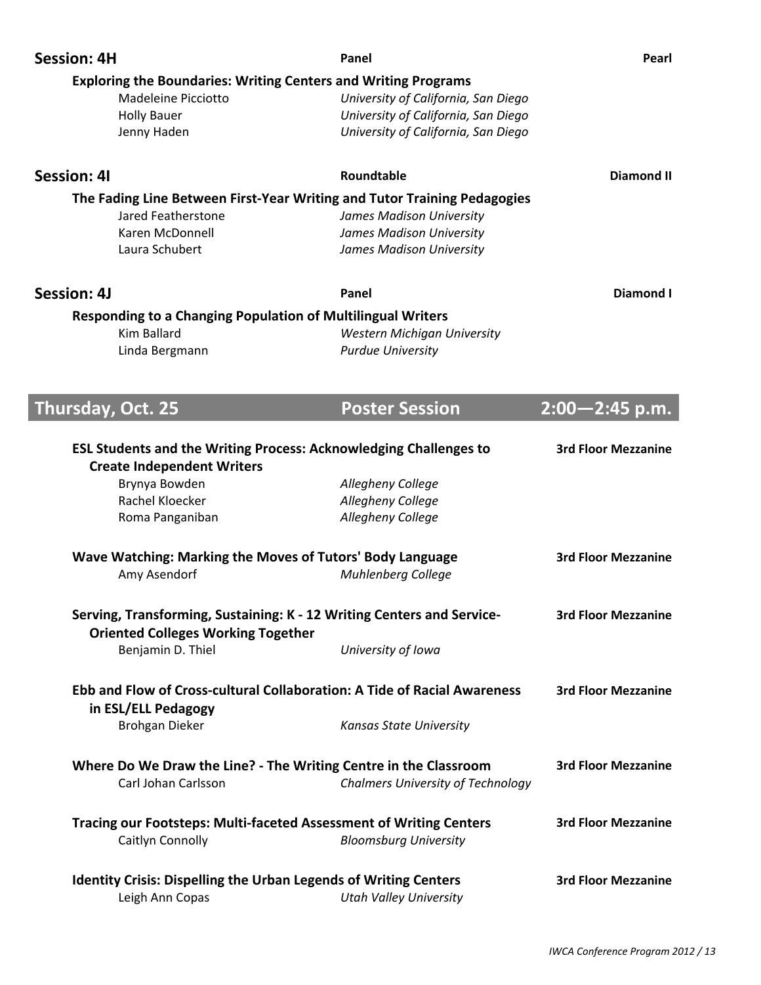| <b>Session: 4H</b>                                                                                            | Panel                                    | Pearl                      |
|---------------------------------------------------------------------------------------------------------------|------------------------------------------|----------------------------|
| <b>Exploring the Boundaries: Writing Centers and Writing Programs</b>                                         |                                          |                            |
| <b>Madeleine Picciotto</b>                                                                                    | University of California, San Diego      |                            |
| <b>Holly Bauer</b>                                                                                            | University of California, San Diego      |                            |
| Jenny Haden                                                                                                   | University of California, San Diego      |                            |
| <b>Session: 41</b>                                                                                            | Roundtable                               | <b>Diamond II</b>          |
| The Fading Line Between First-Year Writing and Tutor Training Pedagogies                                      |                                          |                            |
| Jared Featherstone                                                                                            | James Madison University                 |                            |
| Karen McDonnell                                                                                               | James Madison University                 |                            |
| Laura Schubert                                                                                                | James Madison University                 |                            |
| <b>Session: 4J</b>                                                                                            | Panel                                    | Diamond I                  |
| <b>Responding to a Changing Population of Multilingual Writers</b>                                            |                                          |                            |
| <b>Kim Ballard</b>                                                                                            | <b>Western Michigan University</b>       |                            |
| Linda Bergmann                                                                                                | <b>Purdue University</b>                 |                            |
|                                                                                                               |                                          |                            |
|                                                                                                               |                                          |                            |
| Thursday, Oct. 25                                                                                             | <b>Poster Session</b>                    | $2:00 - 2:45$ p.m.         |
|                                                                                                               |                                          | <b>3rd Floor Mezzanine</b> |
| <b>ESL Students and the Writing Process: Acknowledging Challenges to</b><br><b>Create Independent Writers</b> |                                          |                            |
| Brynya Bowden                                                                                                 | Allegheny College                        |                            |
| Rachel Kloecker                                                                                               | Allegheny College                        |                            |
| Roma Panganiban                                                                                               | Allegheny College                        |                            |
|                                                                                                               |                                          |                            |
| Wave Watching: Marking the Moves of Tutors' Body Language                                                     |                                          | <b>3rd Floor Mezzanine</b> |
| Amy Asendorf                                                                                                  | <b>Muhlenberg College</b>                |                            |
| Serving, Transforming, Sustaining: K - 12 Writing Centers and Service-                                        |                                          | <b>3rd Floor Mezzanine</b> |
| <b>Oriented Colleges Working Together</b>                                                                     |                                          |                            |
| Benjamin D. Thiel                                                                                             | University of Iowa                       |                            |
| Ebb and Flow of Cross-cultural Collaboration: A Tide of Racial Awareness                                      |                                          | <b>3rd Floor Mezzanine</b> |
| in ESL/ELL Pedagogy                                                                                           |                                          |                            |
| <b>Brohgan Dieker</b>                                                                                         | Kansas State University                  |                            |
| Where Do We Draw the Line? - The Writing Centre in the Classroom                                              |                                          | <b>3rd Floor Mezzanine</b> |
| Carl Johan Carlsson                                                                                           | <b>Chalmers University of Technology</b> |                            |
| <b>Tracing our Footsteps: Multi-faceted Assessment of Writing Centers</b>                                     |                                          | <b>3rd Floor Mezzanine</b> |
| Caitlyn Connolly                                                                                              | <b>Bloomsburg University</b>             |                            |
| <b>Identity Crisis: Dispelling the Urban Legends of Writing Centers</b>                                       |                                          | <b>3rd Floor Mezzanine</b> |
| Leigh Ann Copas                                                                                               | <b>Utah Valley University</b>            |                            |

J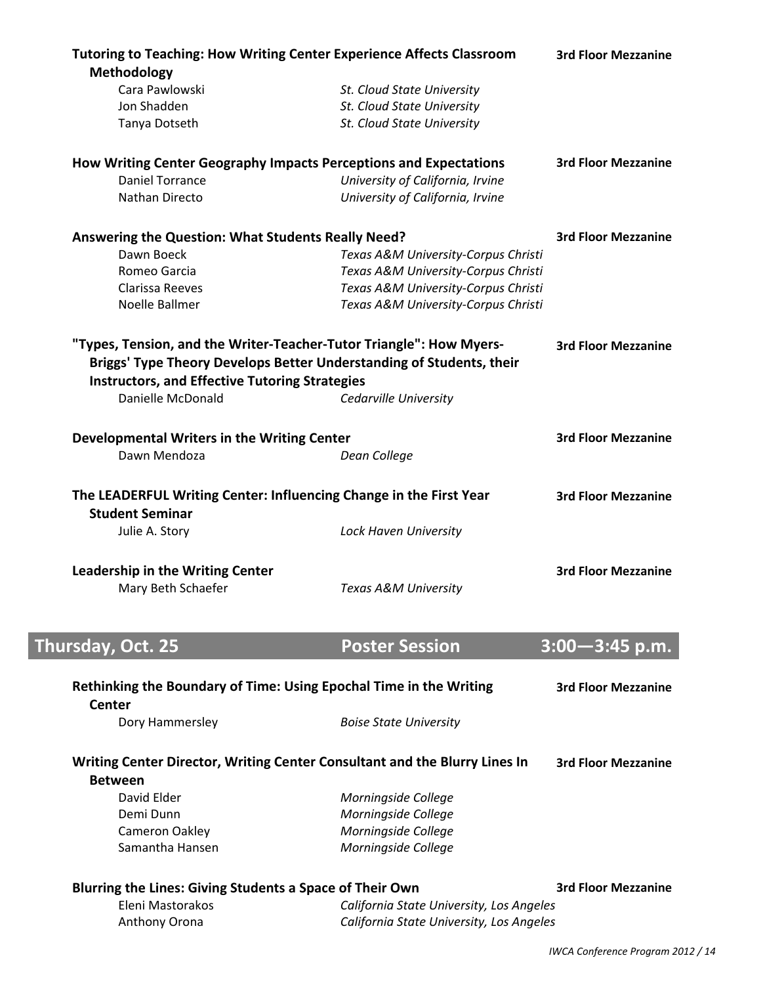| Methodology<br>Cara Pawlowski                                                                                                               |                                                          |                                                                                                              |
|---------------------------------------------------------------------------------------------------------------------------------------------|----------------------------------------------------------|--------------------------------------------------------------------------------------------------------------|
|                                                                                                                                             |                                                          |                                                                                                              |
| Jon Shadden                                                                                                                                 | St. Cloud State University<br>St. Cloud State University |                                                                                                              |
| Tanya Dotseth                                                                                                                               | St. Cloud State University                               |                                                                                                              |
|                                                                                                                                             |                                                          |                                                                                                              |
| How Writing Center Geography Impacts Perceptions and Expectations                                                                           |                                                          | <b>3rd Floor Mezzanine</b>                                                                                   |
| <b>Daniel Torrance</b>                                                                                                                      | University of California, Irvine                         |                                                                                                              |
| Nathan Directo                                                                                                                              | University of California, Irvine                         |                                                                                                              |
| Answering the Question: What Students Really Need?                                                                                          |                                                          | <b>3rd Floor Mezzanine</b>                                                                                   |
| Dawn Boeck                                                                                                                                  | Texas A&M University-Corpus Christi                      |                                                                                                              |
| Romeo Garcia                                                                                                                                | Texas A&M University-Corpus Christi                      |                                                                                                              |
| Clarissa Reeves                                                                                                                             | Texas A&M University-Corpus Christi                      |                                                                                                              |
| Noelle Ballmer                                                                                                                              | Texas A&M University-Corpus Christi                      |                                                                                                              |
| "Types, Tension, and the Writer-Teacher-Tutor Triangle": How Myers-<br>Briggs' Type Theory Develops Better Understanding of Students, their |                                                          | <b>3rd Floor Mezzanine</b>                                                                                   |
| <b>Instructors, and Effective Tutoring Strategies</b>                                                                                       |                                                          |                                                                                                              |
| Danielle McDonald                                                                                                                           | Cedarville University                                    |                                                                                                              |
| Developmental Writers in the Writing Center                                                                                                 |                                                          | <b>3rd Floor Mezzanine</b>                                                                                   |
| Dawn Mendoza                                                                                                                                | Dean College                                             |                                                                                                              |
| The LEADERFUL Writing Center: Influencing Change in the First Year<br><b>Student Seminar</b>                                                |                                                          | <b>3rd Floor Mezzanine</b>                                                                                   |
| Julie A. Story                                                                                                                              | Lock Haven University                                    |                                                                                                              |
| <b>Leadership in the Writing Center</b>                                                                                                     |                                                          | <b>3rd Floor Mezzanine</b>                                                                                   |
| Mary Beth Schaefer                                                                                                                          | Texas A&M University                                     |                                                                                                              |
|                                                                                                                                             |                                                          |                                                                                                              |
|                                                                                                                                             |                                                          |                                                                                                              |
| Thursday, Oct. 25                                                                                                                           | <b>Poster Session</b>                                    |                                                                                                              |
| Rethinking the Boundary of Time: Using Epochal Time in the Writing<br>Center                                                                |                                                          |                                                                                                              |
| Dory Hammersley                                                                                                                             | <b>Boise State University</b>                            |                                                                                                              |
| Writing Center Director, Writing Center Consultant and the Blurry Lines In<br><b>Between</b>                                                |                                                          |                                                                                                              |
| David Elder                                                                                                                                 |                                                          |                                                                                                              |
| Demi Dunn                                                                                                                                   | Morningside College                                      |                                                                                                              |
|                                                                                                                                             | Morningside College                                      |                                                                                                              |
| Cameron Oakley<br>Samantha Hansen                                                                                                           | Morningside College<br>Morningside College               |                                                                                                              |
|                                                                                                                                             |                                                          |                                                                                                              |
| <b>Blurring the Lines: Giving Students a Space of Their Own</b><br>Eleni Mastorakos                                                         | California State University, Los Angeles                 | $3:00 - 3:45$ p.m.<br><b>3rd Floor Mezzanine</b><br><b>3rd Floor Mezzanine</b><br><b>3rd Floor Mezzanine</b> |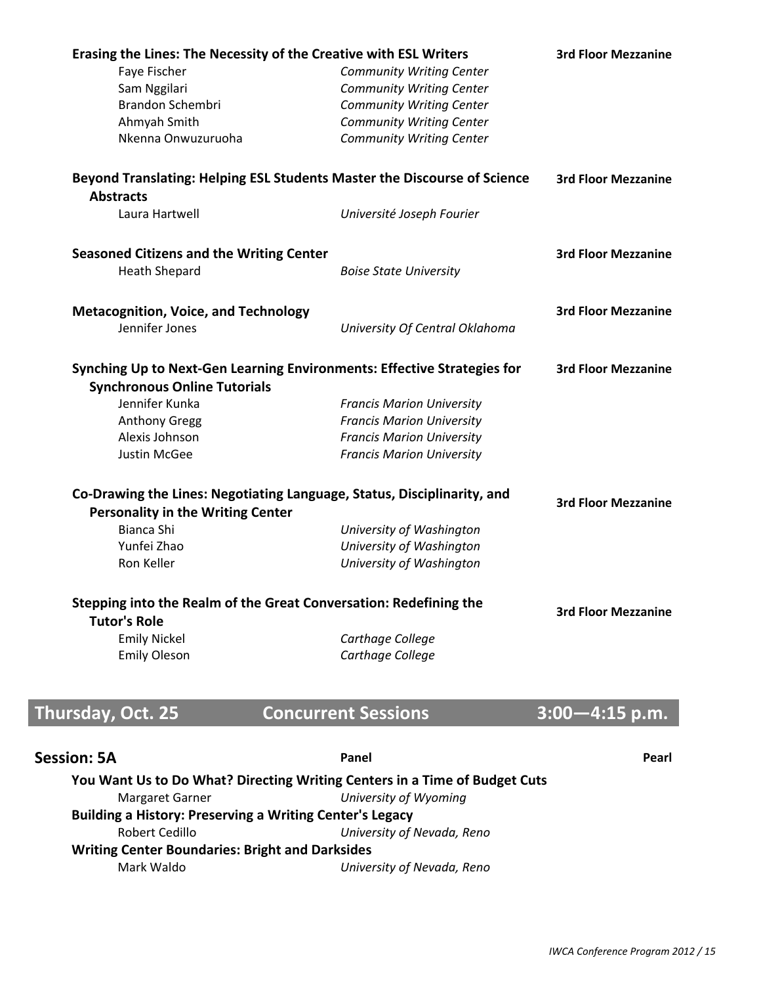| Erasing the Lines: The Necessity of the Creative with ESL Writers                             |                                  | <b>3rd Floor Mezzanine</b> |
|-----------------------------------------------------------------------------------------------|----------------------------------|----------------------------|
| Faye Fischer                                                                                  | <b>Community Writing Center</b>  |                            |
| Sam Nggilari                                                                                  | <b>Community Writing Center</b>  |                            |
| Brandon Schembri                                                                              | <b>Community Writing Center</b>  |                            |
| Ahmyah Smith                                                                                  | <b>Community Writing Center</b>  |                            |
| Nkenna Onwuzuruoha                                                                            | <b>Community Writing Center</b>  |                            |
| Beyond Translating: Helping ESL Students Master the Discourse of Science                      |                                  | <b>3rd Floor Mezzanine</b> |
| <b>Abstracts</b>                                                                              |                                  |                            |
| Laura Hartwell                                                                                | Université Joseph Fourier        |                            |
| <b>Seasoned Citizens and the Writing Center</b>                                               |                                  | <b>3rd Floor Mezzanine</b> |
| <b>Heath Shepard</b>                                                                          | <b>Boise State University</b>    |                            |
| <b>Metacognition, Voice, and Technology</b>                                                   |                                  | <b>3rd Floor Mezzanine</b> |
| Jennifer Jones                                                                                | University Of Central Oklahoma   |                            |
| Synching Up to Next-Gen Learning Environments: Effective Strategies for                       |                                  | <b>3rd Floor Mezzanine</b> |
| <b>Synchronous Online Tutorials</b>                                                           |                                  |                            |
| Jennifer Kunka                                                                                | <b>Francis Marion University</b> |                            |
| <b>Anthony Gregg</b>                                                                          | <b>Francis Marion University</b> |                            |
| Alexis Johnson                                                                                | <b>Francis Marion University</b> |                            |
| Justin McGee                                                                                  | <b>Francis Marion University</b> |                            |
| Co-Drawing the Lines: Negotiating Language, Status, Disciplinarity, and                       |                                  | <b>3rd Floor Mezzanine</b> |
| <b>Personality in the Writing Center</b>                                                      |                                  |                            |
| Bianca Shi                                                                                    | University of Washington         |                            |
| Yunfei Zhao                                                                                   | University of Washington         |                            |
| Ron Keller                                                                                    | University of Washington         |                            |
| Stepping into the Realm of the Great Conversation: Redefining the                             |                                  | <b>3rd Floor Mezzanine</b> |
| <b>Tutor's Role</b>                                                                           |                                  |                            |
| <b>Emily Nickel</b>                                                                           | Carthage College                 |                            |
| <b>Emily Oleson</b>                                                                           | Carthage College                 |                            |
|                                                                                               |                                  | $3:00 - 4:15$ p.m.         |
| Thursday, Oct. 25                                                                             | <b>Concurrent Sessions</b>       |                            |
| <b>Session: 5A</b>                                                                            | Panel                            | Pearl                      |
| You Want Us to Do What? Directing Writing Centers in a Time of Budget Cuts<br>Margaret Garner | University of Wyoming            |                            |
| <b>Building a History: Preserving a Writing Center's Legacy</b>                               |                                  |                            |
| <b>Robert Cedillo</b>                                                                         | University of Nevada, Reno       |                            |
| <b>Writing Center Boundaries: Bright and Darksides</b>                                        |                                  |                            |
| Mark Waldo                                                                                    | University of Nevada, Reno       |                            |
|                                                                                               |                                  |                            |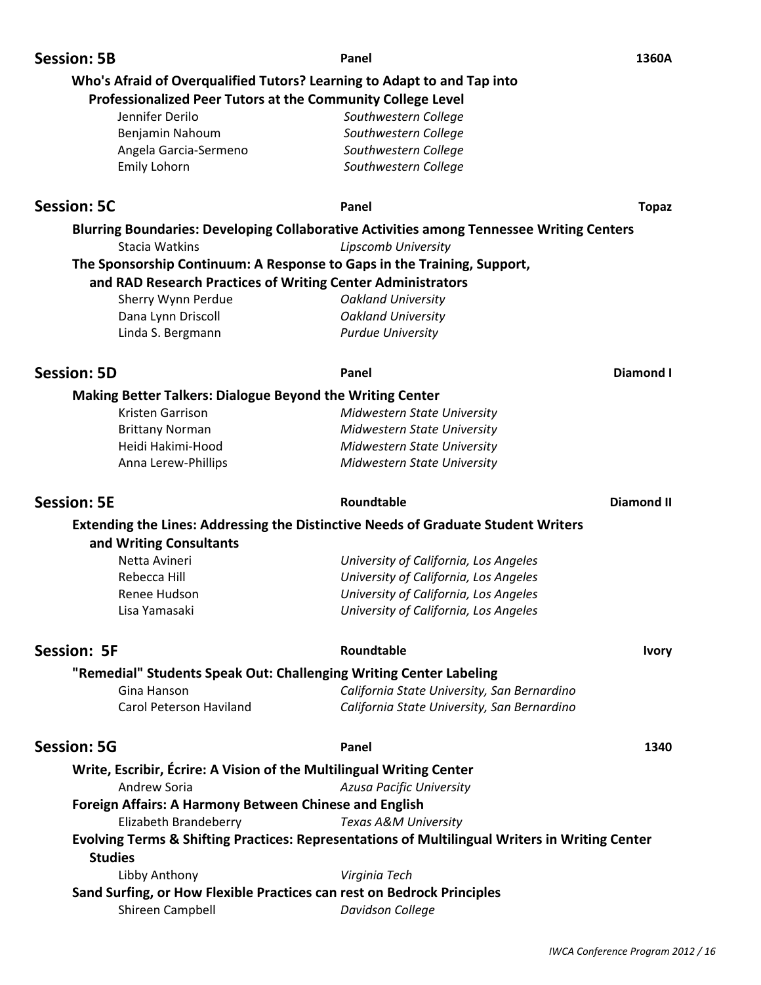| <b>Session: 5B</b>                                                      | Panel                                                                                          | 1360A             |
|-------------------------------------------------------------------------|------------------------------------------------------------------------------------------------|-------------------|
| Who's Afraid of Overqualified Tutors? Learning to Adapt to and Tap into |                                                                                                |                   |
| Professionalized Peer Tutors at the Community College Level             |                                                                                                |                   |
| Jennifer Derilo                                                         | Southwestern College                                                                           |                   |
| Benjamin Nahoum                                                         | Southwestern College                                                                           |                   |
| Angela Garcia-Sermeno                                                   | Southwestern College                                                                           |                   |
| Emily Lohorn                                                            | Southwestern College                                                                           |                   |
| <b>Session: 5C</b>                                                      | Panel                                                                                          | <b>Topaz</b>      |
|                                                                         | Blurring Boundaries: Developing Collaborative Activities among Tennessee Writing Centers       |                   |
| <b>Stacia Watkins</b>                                                   | Lipscomb University                                                                            |                   |
|                                                                         | The Sponsorship Continuum: A Response to Gaps in the Training, Support,                        |                   |
| and RAD Research Practices of Writing Center Administrators             |                                                                                                |                   |
| Sherry Wynn Perdue                                                      | <b>Oakland University</b>                                                                      |                   |
| Dana Lynn Driscoll                                                      | <b>Oakland University</b>                                                                      |                   |
| Linda S. Bergmann                                                       | <b>Purdue University</b>                                                                       |                   |
| <b>Session: 5D</b>                                                      | Panel                                                                                          | Diamond I         |
| <b>Making Better Talkers: Dialogue Beyond the Writing Center</b>        |                                                                                                |                   |
| Kristen Garrison                                                        | Midwestern State University                                                                    |                   |
| <b>Brittany Norman</b>                                                  | Midwestern State University                                                                    |                   |
| Heidi Hakimi-Hood                                                       | Midwestern State University                                                                    |                   |
| Anna Lerew-Phillips                                                     | Midwestern State University                                                                    |                   |
| <b>Session: 5E</b>                                                      | Roundtable                                                                                     | <b>Diamond II</b> |
|                                                                         | <b>Extending the Lines: Addressing the Distinctive Needs of Graduate Student Writers</b>       |                   |
| and Writing Consultants                                                 |                                                                                                |                   |
| Netta Avineri                                                           | University of California, Los Angeles                                                          |                   |
| Rebecca Hill                                                            | University of California, Los Angeles                                                          |                   |
| Renee Hudson                                                            | University of California, Los Angeles                                                          |                   |
| Lisa Yamasaki                                                           | University of California, Los Angeles                                                          |                   |
| <b>Session: 5F</b>                                                      | Roundtable                                                                                     | <b>Ivory</b>      |
|                                                                         |                                                                                                |                   |
| "Remedial" Students Speak Out: Challenging Writing Center Labeling      |                                                                                                |                   |
| Gina Hanson<br><b>Carol Peterson Haviland</b>                           | California State University, San Bernardino<br>California State University, San Bernardino     |                   |
| <b>Session: 5G</b>                                                      | Panel                                                                                          | 1340              |
| Write, Escribir, Écrire: A Vision of the Multilingual Writing Center    |                                                                                                |                   |
| Andrew Soria                                                            | Azusa Pacific University                                                                       |                   |
| Foreign Affairs: A Harmony Between Chinese and English                  |                                                                                                |                   |
| Elizabeth Brandeberry                                                   | Texas A&M University                                                                           |                   |
|                                                                         | Evolving Terms & Shifting Practices: Representations of Multilingual Writers in Writing Center |                   |
| <b>Studies</b>                                                          |                                                                                                |                   |
|                                                                         |                                                                                                |                   |
| Libby Anthony                                                           | Virginia Tech                                                                                  |                   |
| Sand Surfing, or How Flexible Practices can rest on Bedrock Principles  |                                                                                                |                   |
| Shireen Campbell                                                        | Davidson College                                                                               |                   |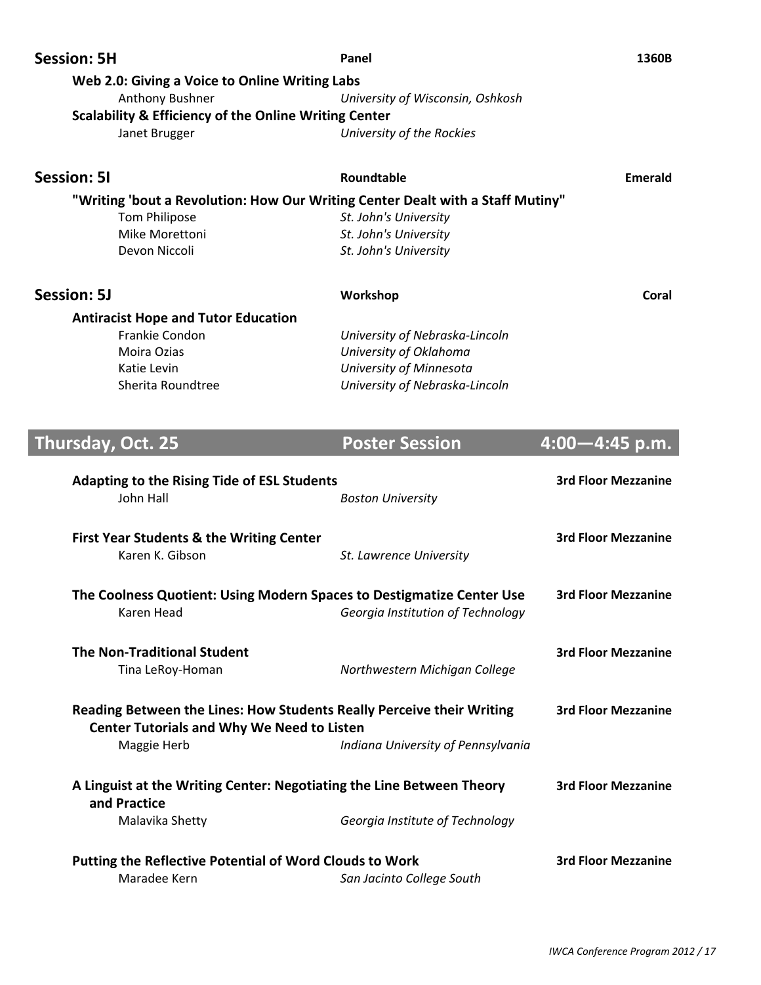| <b>Session: 5H</b>                                  |                                                                                | Panel                                                                          | 1360B                      |  |
|-----------------------------------------------------|--------------------------------------------------------------------------------|--------------------------------------------------------------------------------|----------------------------|--|
|                                                     | Web 2.0: Giving a Voice to Online Writing Labs                                 |                                                                                |                            |  |
| Anthony Bushner<br>University of Wisconsin, Oshkosh |                                                                                |                                                                                |                            |  |
|                                                     | <b>Scalability &amp; Efficiency of the Online Writing Center</b>               |                                                                                |                            |  |
|                                                     | Janet Brugger                                                                  | University of the Rockies                                                      |                            |  |
|                                                     |                                                                                |                                                                                |                            |  |
| <b>Session: 51</b>                                  |                                                                                | Roundtable                                                                     | <b>Emerald</b>             |  |
|                                                     |                                                                                | "Writing 'bout a Revolution: How Our Writing Center Dealt with a Staff Mutiny" |                            |  |
|                                                     | <b>Tom Philipose</b>                                                           | St. John's University                                                          |                            |  |
|                                                     | Mike Morettoni                                                                 | St. John's University                                                          |                            |  |
|                                                     | Devon Niccoli                                                                  | St. John's University                                                          |                            |  |
| <b>Session: 5J</b>                                  |                                                                                |                                                                                | Coral                      |  |
|                                                     |                                                                                | Workshop                                                                       |                            |  |
|                                                     | <b>Antiracist Hope and Tutor Education</b>                                     |                                                                                |                            |  |
|                                                     | Frankie Condon                                                                 | University of Nebraska-Lincoln                                                 |                            |  |
|                                                     | Moira Ozias                                                                    | University of Oklahoma                                                         |                            |  |
|                                                     | Katie Levin                                                                    | University of Minnesota                                                        |                            |  |
|                                                     | Sherita Roundtree                                                              | University of Nebraska-Lincoln                                                 |                            |  |
|                                                     |                                                                                |                                                                                |                            |  |
| Thursday, Oct. 25                                   |                                                                                | <b>Poster Session</b>                                                          | $4:00 - 4:45$ p.m.         |  |
|                                                     |                                                                                |                                                                                |                            |  |
|                                                     |                                                                                |                                                                                |                            |  |
|                                                     | <b>Adapting to the Rising Tide of ESL Students</b>                             |                                                                                | <b>3rd Floor Mezzanine</b> |  |
|                                                     | John Hall                                                                      | <b>Boston University</b>                                                       |                            |  |
|                                                     |                                                                                |                                                                                |                            |  |
|                                                     | <b>First Year Students &amp; the Writing Center</b>                            |                                                                                | <b>3rd Floor Mezzanine</b> |  |
|                                                     | Karen K. Gibson                                                                | St. Lawrence University                                                        |                            |  |
|                                                     |                                                                                |                                                                                |                            |  |
|                                                     | The Coolness Quotient: Using Modern Spaces to Destigmatize Center Use          |                                                                                | <b>3rd Floor Mezzanine</b> |  |
|                                                     | Karen Head                                                                     | Georgia Institution of Technology                                              |                            |  |
|                                                     |                                                                                |                                                                                |                            |  |
|                                                     | <b>The Non-Traditional Student</b>                                             |                                                                                | <b>3rd Floor Mezzanine</b> |  |
|                                                     | Tina LeRoy-Homan                                                               | Northwestern Michigan College                                                  |                            |  |
|                                                     |                                                                                |                                                                                |                            |  |
|                                                     | Reading Between the Lines: How Students Really Perceive their Writing          |                                                                                | <b>3rd Floor Mezzanine</b> |  |
|                                                     | <b>Center Tutorials and Why We Need to Listen</b>                              |                                                                                |                            |  |
|                                                     | Maggie Herb                                                                    | Indiana University of Pennsylvania                                             |                            |  |
|                                                     |                                                                                |                                                                                |                            |  |
| and Practice                                        | A Linguist at the Writing Center: Negotiating the Line Between Theory          |                                                                                | <b>3rd Floor Mezzanine</b> |  |
|                                                     | Malavika Shetty                                                                | Georgia Institute of Technology                                                |                            |  |
|                                                     |                                                                                |                                                                                |                            |  |
|                                                     |                                                                                |                                                                                | <b>3rd Floor Mezzanine</b> |  |
|                                                     | <b>Putting the Reflective Potential of Word Clouds to Work</b><br>Maradee Kern | San Jacinto College South                                                      |                            |  |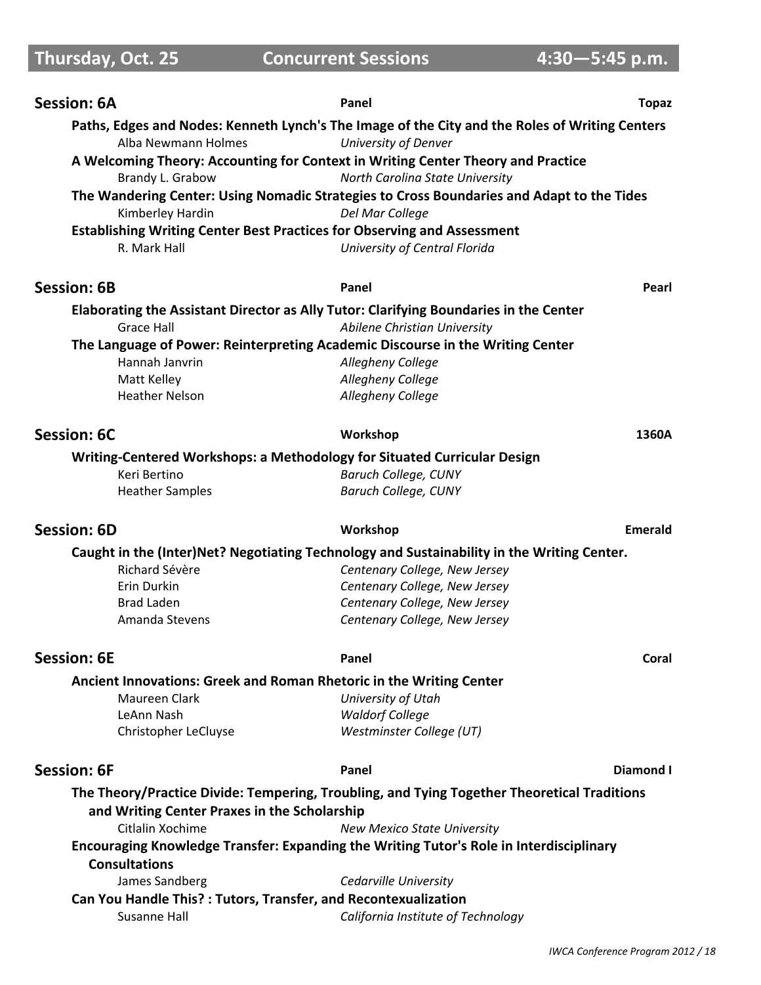# **Thursday, Oct. 25 Concurrent Sessions4:30R5:45 p.m.**

| <b>Session: 6A</b>                                                                                   | Panel                                                                                                        | <b>Topaz</b>   |
|------------------------------------------------------------------------------------------------------|--------------------------------------------------------------------------------------------------------------|----------------|
|                                                                                                      | Paths, Edges and Nodes: Kenneth Lynch's The Image of the City and the Roles of Writing Centers               |                |
| Alba Newmann Holmes                                                                                  | University of Denver                                                                                         |                |
| A Welcoming Theory: Accounting for Context in Writing Center Theory and Practice<br>Brandy L. Grabow | North Carolina State University                                                                              |                |
| Kimberley Hardin                                                                                     | The Wandering Center: Using Nomadic Strategies to Cross Boundaries and Adapt to the Tides<br>Del Mar College |                |
| <b>Establishing Writing Center Best Practices for Observing and Assessment</b>                       |                                                                                                              |                |
| R. Mark Hall                                                                                         | University of Central Florida                                                                                |                |
| <b>Session: 6B</b>                                                                                   | Panel                                                                                                        | Pearl          |
| Elaborating the Assistant Director as Ally Tutor: Clarifying Boundaries in the Center                |                                                                                                              |                |
| Grace Hall                                                                                           | Abilene Christian University                                                                                 |                |
| The Language of Power: Reinterpreting Academic Discourse in the Writing Center                       |                                                                                                              |                |
| Hannah Janvrin                                                                                       | Allegheny College                                                                                            |                |
| Matt Kelley                                                                                          | Allegheny College                                                                                            |                |
| <b>Heather Nelson</b>                                                                                | Allegheny College                                                                                            |                |
| Session: 6C                                                                                          | Workshop                                                                                                     | 1360A          |
| Writing-Centered Workshops: a Methodology for Situated Curricular Design                             |                                                                                                              |                |
| Keri Bertino                                                                                         | <b>Baruch College, CUNY</b>                                                                                  |                |
| <b>Heather Samples</b>                                                                               | <b>Baruch College, CUNY</b>                                                                                  |                |
| <b>Session: 6D</b>                                                                                   | Workshop                                                                                                     | <b>Emerald</b> |
|                                                                                                      | Caught in the (Inter)Net? Negotiating Technology and Sustainability in the Writing Center.                   |                |
| Richard Sévère                                                                                       | Centenary College, New Jersey                                                                                |                |
| Erin Durkin                                                                                          | Centenary College, New Jersey                                                                                |                |
| <b>Brad Laden</b>                                                                                    | Centenary College, New Jersey                                                                                |                |
| Amanda Stevens                                                                                       | Centenary College, New Jersey                                                                                |                |
| <b>Session: 6E</b>                                                                                   | Panel                                                                                                        | Coral          |
| Ancient Innovations: Greek and Roman Rhetoric in the Writing Center                                  |                                                                                                              |                |
| Maureen Clark                                                                                        | University of Utah                                                                                           |                |
| LeAnn Nash                                                                                           | <b>Waldorf College</b>                                                                                       |                |
| Christopher LeCluyse                                                                                 | Westminster College (UT)                                                                                     |                |
| <b>Session: 6F</b>                                                                                   | Panel                                                                                                        | Diamond I      |
|                                                                                                      | The Theory/Practice Divide: Tempering, Troubling, and Tying Together Theoretical Traditions                  |                |
| and Writing Center Praxes in the Scholarship                                                         |                                                                                                              |                |
| Citlalin Xochime                                                                                     | <b>New Mexico State University</b>                                                                           |                |
|                                                                                                      | Encouraging Knowledge Transfer: Expanding the Writing Tutor's Role in Interdisciplinary                      |                |
| <b>Consultations</b>                                                                                 |                                                                                                              |                |
| James Sandberg                                                                                       | Cedarville University                                                                                        |                |
| Can You Handle This?: Tutors, Transfer, and Recontexualization                                       |                                                                                                              |                |
| Susanne Hall                                                                                         | California Institute of Technology                                                                           |                |
|                                                                                                      |                                                                                                              |                |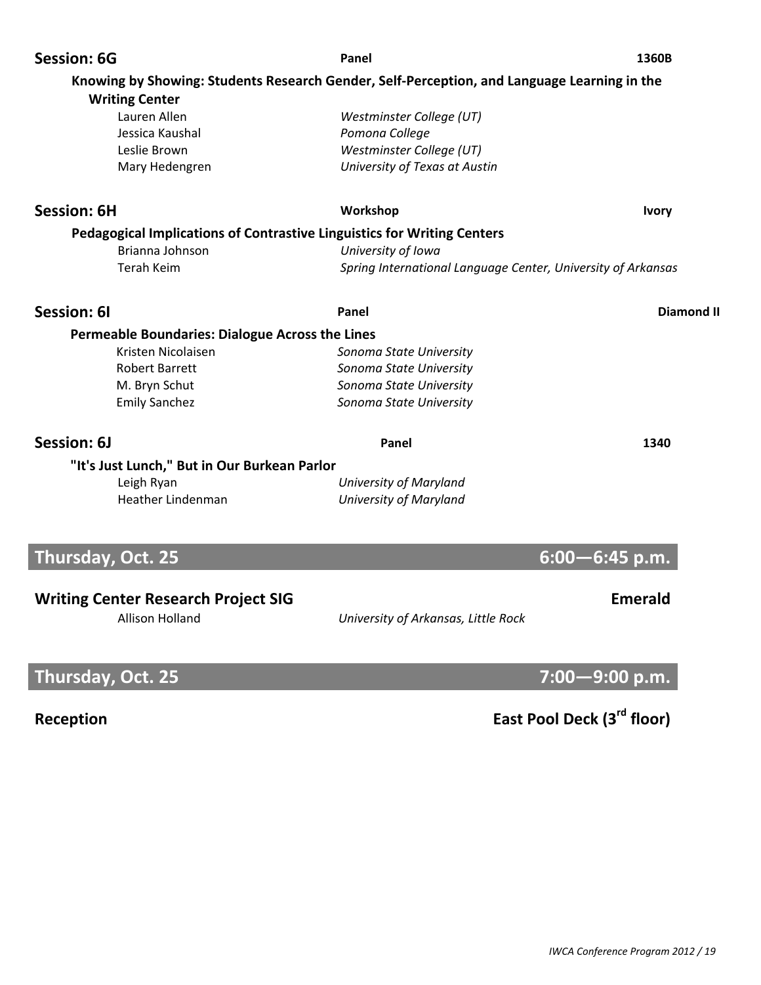| <b>Session: 6G</b>                                                                          | Panel                                                        | 1360B              |
|---------------------------------------------------------------------------------------------|--------------------------------------------------------------|--------------------|
| Knowing by Showing: Students Research Gender, Self-Perception, and Language Learning in the |                                                              |                    |
| <b>Writing Center</b>                                                                       |                                                              |                    |
| Lauren Allen                                                                                | Westminster College (UT)                                     |                    |
| Jessica Kaushal                                                                             | Pomona College                                               |                    |
| Leslie Brown                                                                                | Westminster College (UT)                                     |                    |
| Mary Hedengren                                                                              | University of Texas at Austin                                |                    |
| <b>Session: 6H</b>                                                                          | Workshop                                                     | <b>Ivory</b>       |
| <b>Pedagogical Implications of Contrastive Linguistics for Writing Centers</b>              |                                                              |                    |
| Brianna Johnson                                                                             | University of Iowa                                           |                    |
| <b>Terah Keim</b>                                                                           | Spring International Language Center, University of Arkansas |                    |
| Session: 61                                                                                 | Panel                                                        | <b>Diamond II</b>  |
| <b>Permeable Boundaries: Dialogue Across the Lines</b>                                      |                                                              |                    |
| Kristen Nicolaisen                                                                          | Sonoma State University                                      |                    |
| <b>Robert Barrett</b>                                                                       | Sonoma State University                                      |                    |
| M. Bryn Schut                                                                               | Sonoma State University                                      |                    |
| <b>Emily Sanchez</b>                                                                        | Sonoma State University                                      |                    |
| Session: 6J                                                                                 | Panel                                                        | 1340               |
| "It's Just Lunch," But in Our Burkean Parlor                                                |                                                              |                    |
| Leigh Ryan                                                                                  | University of Maryland                                       |                    |
| <b>Heather Lindenman</b>                                                                    | University of Maryland                                       |                    |
| Thursday, Oct. 25                                                                           |                                                              | $6:00 - 6:45$ p.m. |
|                                                                                             |                                                              |                    |
| Writing Contor Possarch Droigst SIC                                                         |                                                              | Emorald            |

### **Writing Center Research Project SIG Emerald**

Allison Holland *University of Arkansas, Little Rock*

# **Thursday, Oct. 25** *All the State Company of the Company of the Company of the Company of the Company of the Company of the Company of the Company of the Company of the Company of the Company of the Company of the Compan*

# **Reception East Pool Deck (3rd floor)**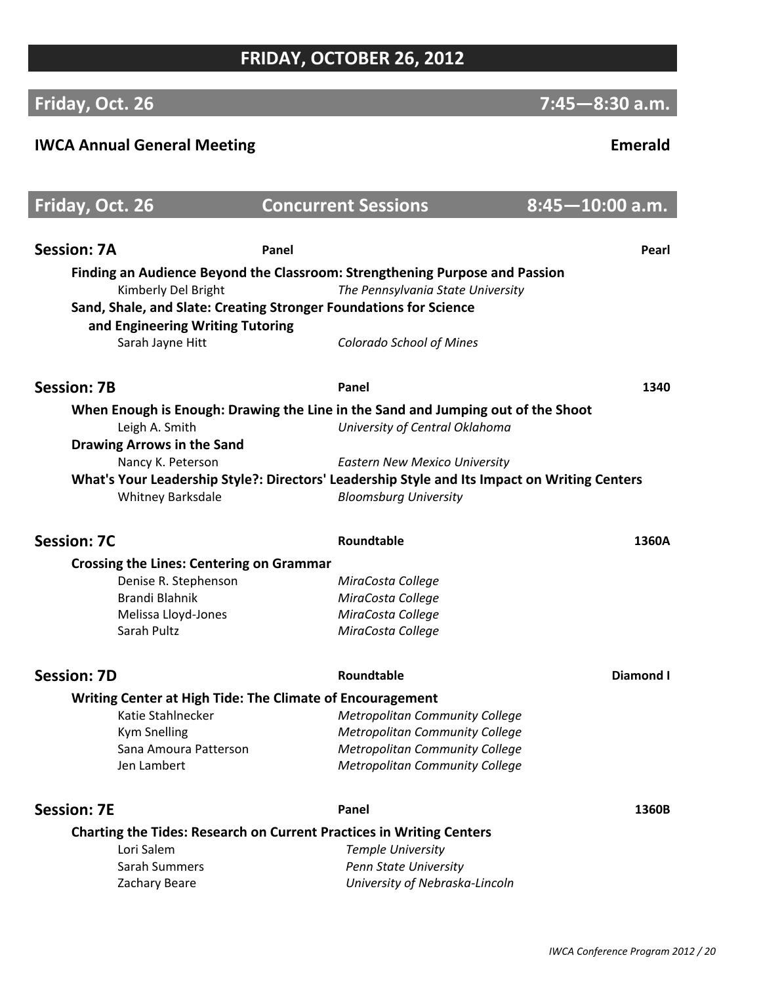## **FRIDAY, OCTOBER 26, 2012**

# **Friday, Oct. 26** *ACC* **<b>***R8:30* **a.m.** *Priday, Oct. 26 ACCC*

### **IWCA Annual General Meeting Emerald**

# **Friday, Oct. 26 Concurrent Sessions 8:45-10:00 a.m. Session: 7A Panel Pearl Finding an Audience Beyond the Classroom: Strengthening Purpose and Passion** Kimberly Del Bright *The Pennsylvania State University* **Sand, Shale, and Slate: Creating Stronger Foundations for Science and Engineering Writing Tutoring** Sarah Jayne Hitt *Colorado School of Mines* **Session: 7B Panel 1340 When Enough is Enough: Drawing the Line in the Sand and Jumping out of the Shoot** Leigh A. Smith *University of Central Oklahoma* **Drawing Arrows in the Sand** Nancy K. Peterson *Eastern New Mexico University* **What's Your Leadership Style?: Directors' Leadership Style and Its Impact on Writing Centers** Whitney Barksdale *Bloomsburg University* **Session: 7C Roundtable 1360A Crossing the Lines: Centering on Grammar** Denise R. Stephenson *MiraCosta College* Brandi Blahnik *MiraCosta College* **Melissa Lloyd-Jones** *MiraCosta College*  Sarah Pultz *MiraCosta College* **Session: 7D CONFIDENTIFY <b>CONFIDENT Roundtable CONFIDENTIFY <b>CONFIDENT Diamond I Writing Center at High Tide: The Climate of Encouragement** Katie Stahlnecker *Metropolitan Community College* Kym Snelling *Metropolitan Community College* Sana Amoura Patterson *Metropolitan Community College* Jen Lambert *Metropolitan Community College* **Session: 7E Panel 1360B Charting the Tides: Research on Current Practices in Writing Centers** Lori Salem *Temple University* Sarah Summers *Penn State University* Zachary Beare *University of NebraskaͲLincoln*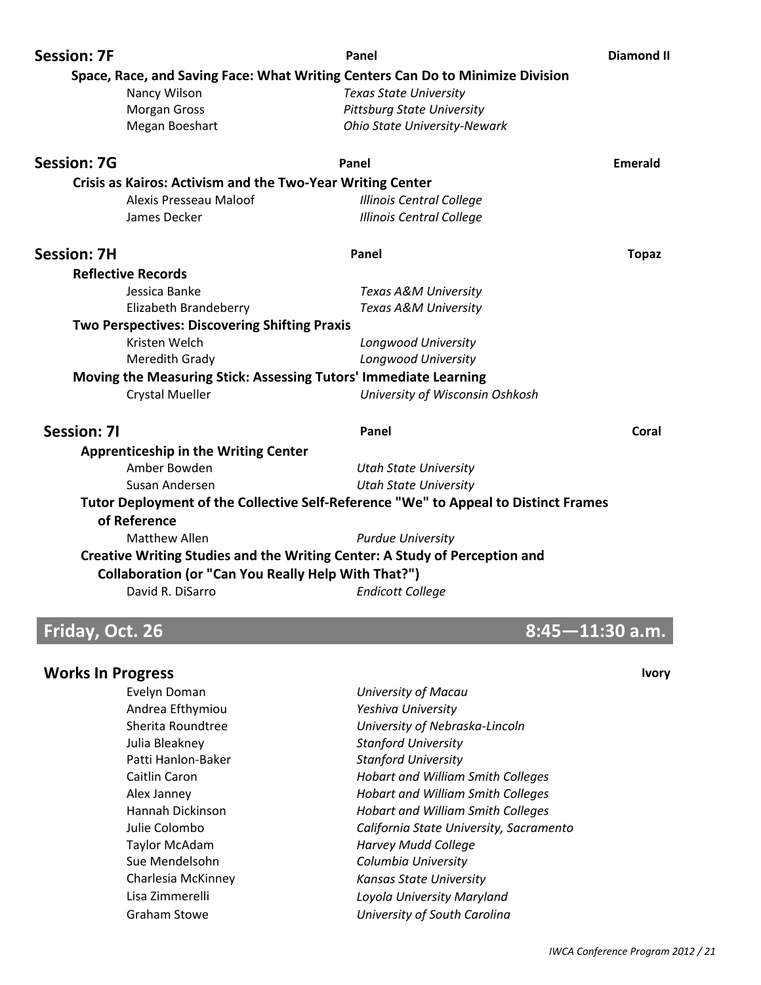| <b>Session: 7F</b>        |                                                                   | Panel                                                                               | <b>Diamond II</b> |
|---------------------------|-------------------------------------------------------------------|-------------------------------------------------------------------------------------|-------------------|
|                           |                                                                   | Space, Race, and Saving Face: What Writing Centers Can Do to Minimize Division      |                   |
| Nancy Wilson              |                                                                   | <b>Texas State University</b>                                                       |                   |
| <b>Morgan Gross</b>       |                                                                   | <b>Pittsburg State University</b>                                                   |                   |
| Megan Boeshart            |                                                                   | <b>Ohio State University-Newark</b>                                                 |                   |
| <b>Session: 7G</b>        |                                                                   | Panel                                                                               | Emerald           |
|                           | <b>Crisis as Kairos: Activism and the Two-Year Writing Center</b> |                                                                                     |                   |
|                           | Alexis Presseau Maloof                                            | <b>Illinois Central College</b>                                                     |                   |
| James Decker              |                                                                   | <b>Illinois Central College</b>                                                     |                   |
| <b>Session: 7H</b>        |                                                                   | Panel                                                                               | <b>Topaz</b>      |
| <b>Reflective Records</b> |                                                                   |                                                                                     |                   |
| Jessica Banke             |                                                                   | Texas A&M University                                                                |                   |
|                           | Elizabeth Brandeberry                                             | Texas A&M University                                                                |                   |
|                           | <b>Two Perspectives: Discovering Shifting Praxis</b>              |                                                                                     |                   |
| Kristen Welch             |                                                                   | Longwood University                                                                 |                   |
| Meredith Grady            |                                                                   | Longwood University                                                                 |                   |
|                           |                                                                   | Moving the Measuring Stick: Assessing Tutors' Immediate Learning                    |                   |
| <b>Crystal Mueller</b>    |                                                                   | University of Wisconsin Oshkosh                                                     |                   |
| <b>Session: 7I</b>        |                                                                   | Panel                                                                               | Coral             |
|                           | <b>Apprenticeship in the Writing Center</b>                       |                                                                                     |                   |
| Amber Bowden              |                                                                   | <b>Utah State University</b>                                                        |                   |
| Susan Andersen            |                                                                   | <b>Utah State University</b>                                                        |                   |
|                           |                                                                   | Tutor Deployment of the Collective Self-Reference "We" to Appeal to Distinct Frames |                   |
| of Reference              |                                                                   |                                                                                     |                   |
| <b>Matthew Allen</b>      |                                                                   | <b>Purdue University</b>                                                            |                   |
|                           |                                                                   | Creative Writing Studies and the Writing Center: A Study of Perception and          |                   |
|                           | <b>Collaboration (or "Can You Really Help With That?")</b>        |                                                                                     |                   |
| David R. DiSarro          |                                                                   | <b>Endicott College</b>                                                             |                   |
|                           |                                                                   |                                                                                     |                   |

| <b>Works In Progress</b> |                                          | <b>Ivory</b> |
|--------------------------|------------------------------------------|--------------|
| Evelyn Doman             | University of Macau                      |              |
| Andrea Efthymiou         | Yeshiva University                       |              |
| Sherita Roundtree        | University of Nebraska-Lincoln           |              |
| Julia Bleakney           | <b>Stanford University</b>               |              |
| Patti Hanlon-Baker       | <b>Stanford University</b>               |              |
| Caitlin Caron            | Hobart and William Smith Colleges        |              |
| Alex Janney              | <b>Hobart and William Smith Colleges</b> |              |
| Hannah Dickinson         | Hobart and William Smith Colleges        |              |
| Julie Colombo            | California State University, Sacramento  |              |
| <b>Taylor McAdam</b>     | <b>Harvey Mudd College</b>               |              |
| Sue Mendelsohn           | Columbia University                      |              |
| Charlesia McKinney       | Kansas State University                  |              |
| Lisa Zimmerelli          | Loyola University Maryland               |              |
| <b>Graham Stowe</b>      | University of South Carolina             |              |

**Friday, Oct. 26 8:45-11:30 a.m.**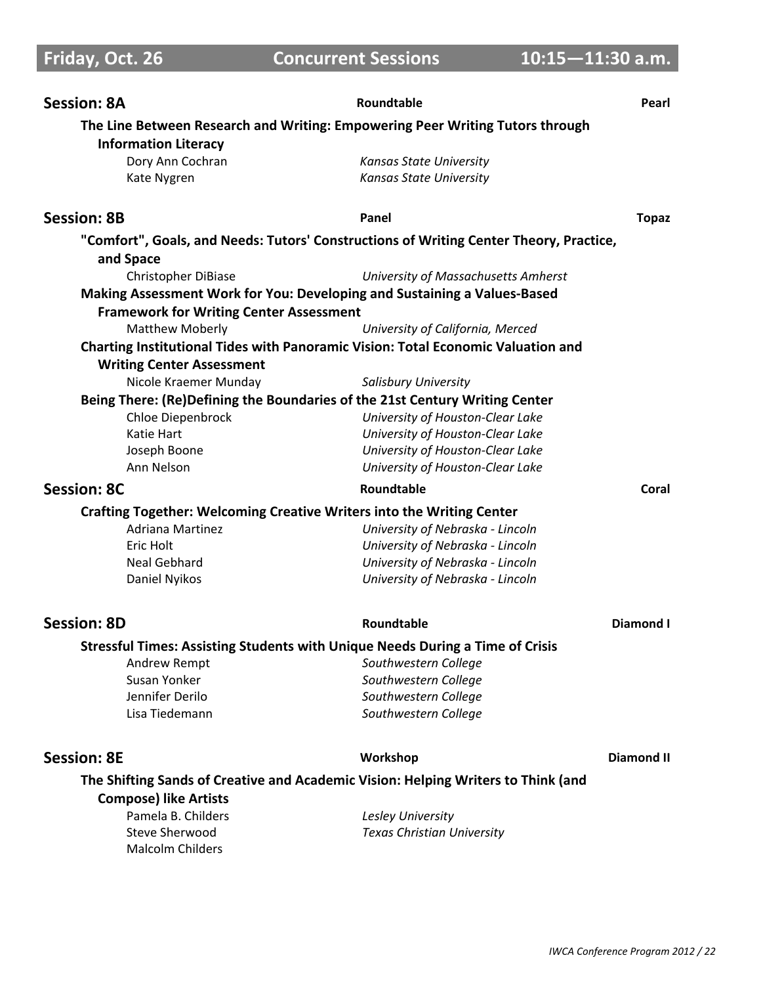# **Friday, Oct. 26 Concurrent Sessions 10:15-11:30 a.m.**

| The Line Between Research and Writing: Empowering Peer Writing Tutors through          |                                     |
|----------------------------------------------------------------------------------------|-------------------------------------|
| <b>Information Literacy</b>                                                            |                                     |
| Dory Ann Cochran                                                                       | Kansas State University             |
| Kate Nygren                                                                            | <b>Kansas State University</b>      |
| <b>Session: 8B</b>                                                                     | Panel<br><b>Topaz</b>               |
| "Comfort", Goals, and Needs: Tutors' Constructions of Writing Center Theory, Practice, |                                     |
| and Space                                                                              |                                     |
| Christopher DiBiase                                                                    | University of Massachusetts Amherst |
| Making Assessment Work for You: Developing and Sustaining a Values-Based               |                                     |
| <b>Framework for Writing Center Assessment</b>                                         |                                     |
| <b>Matthew Moberly</b>                                                                 | University of California, Merced    |
| Charting Institutional Tides with Panoramic Vision: Total Economic Valuation and       |                                     |
| <b>Writing Center Assessment</b>                                                       |                                     |
| Nicole Kraemer Munday                                                                  | <b>Salisbury University</b>         |
| Being There: (Re)Defining the Boundaries of the 21st Century Writing Center            |                                     |
| Chloe Diepenbrock                                                                      | University of Houston-Clear Lake    |
| Katie Hart                                                                             | University of Houston-Clear Lake    |
| Joseph Boone                                                                           | University of Houston-Clear Lake    |
| Ann Nelson                                                                             | University of Houston-Clear Lake    |
| <b>Session: 8C</b>                                                                     | Roundtable<br>Coral                 |
| Crafting Together: Welcoming Creative Writers into the Writing Center                  |                                     |
| <b>Adriana Martinez</b>                                                                | University of Nebraska - Lincoln    |
| Eric Holt                                                                              | University of Nebraska - Lincoln    |
| <b>Neal Gebhard</b>                                                                    | University of Nebraska - Lincoln    |
| Daniel Nyikos                                                                          | University of Nebraska - Lincoln    |
| <b>Session: 8D</b>                                                                     | Roundtable<br><b>Diamond I</b>      |
| <b>Stressful Times: Assisting Students with Unique Needs During a Time of Crisis</b>   |                                     |
| Andrew Rempt                                                                           | Southwestern College                |
| Susan Yonker                                                                           | Southwestern College                |
| Jennifer Derilo                                                                        | Southwestern College                |
| Lisa Tiedemann                                                                         | Southwestern College                |
| <b>Session: 8E</b>                                                                     | <b>Diamond II</b><br>Workshop       |
| The Shifting Sands of Creative and Academic Vision: Helping Writers to Think (and      |                                     |
| <b>Compose) like Artists</b>                                                           |                                     |
| Pamela B. Childers                                                                     | Lesley University                   |
| <b>Steve Sherwood</b><br><b>Malcolm Childers</b>                                       | <b>Texas Christian University</b>   |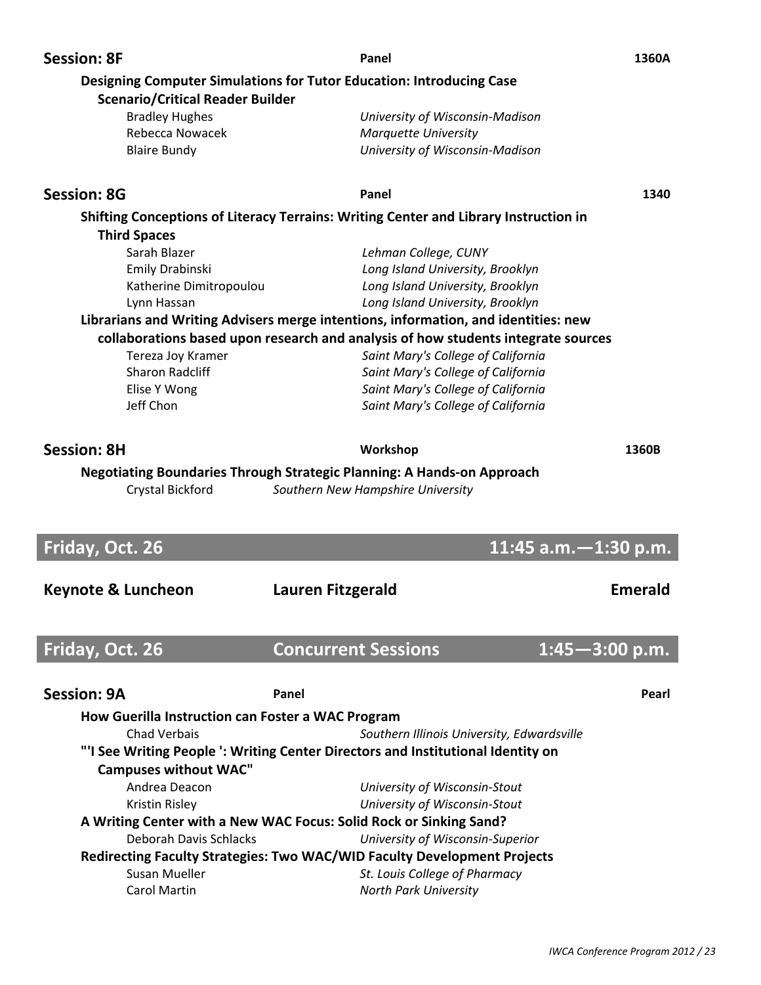| <b>Session: 8F</b>                                | Panel                                                                                | 1360A          |
|---------------------------------------------------|--------------------------------------------------------------------------------------|----------------|
| <b>Scenario/Critical Reader Builder</b>           | <b>Designing Computer Simulations for Tutor Education: Introducing Case</b>          |                |
| <b>Bradley Hughes</b>                             | University of Wisconsin-Madison                                                      |                |
| Rebecca Nowacek                                   | <b>Marquette University</b>                                                          |                |
| <b>Blaire Bundy</b>                               | University of Wisconsin-Madison                                                      |                |
| <b>Session: 8G</b>                                | Panel                                                                                | 1340           |
|                                                   | Shifting Conceptions of Literacy Terrains: Writing Center and Library Instruction in |                |
| <b>Third Spaces</b>                               |                                                                                      |                |
| Sarah Blazer                                      | Lehman College, CUNY                                                                 |                |
| Emily Drabinski                                   | Long Island University, Brooklyn                                                     |                |
| Katherine Dimitropoulou                           | Long Island University, Brooklyn                                                     |                |
| Lynn Hassan                                       | Long Island University, Brooklyn                                                     |                |
|                                                   | Librarians and Writing Advisers merge intentions, information, and identities: new   |                |
|                                                   | collaborations based upon research and analysis of how students integrate sources    |                |
| Tereza Joy Kramer                                 | Saint Mary's College of California                                                   |                |
| <b>Sharon Radcliff</b>                            | Saint Mary's College of California                                                   |                |
| Elise Y Wong                                      | Saint Mary's College of California                                                   |                |
| Jeff Chon                                         | Saint Mary's College of California                                                   |                |
|                                                   |                                                                                      |                |
| <b>Session: 8H</b>                                | Workshop                                                                             | 1360B          |
|                                                   | <b>Negotiating Boundaries Through Strategic Planning: A Hands-on Approach</b>        |                |
|                                                   |                                                                                      |                |
|                                                   |                                                                                      |                |
| Crystal Bickford                                  | Southern New Hampshire University                                                    |                |
|                                                   |                                                                                      |                |
| Friday, Oct. 26                                   | 11:45 $a.m. - 1:30 p.m.$                                                             |                |
|                                                   |                                                                                      |                |
| <b>Keynote &amp; Luncheon</b>                     | Lauren Fitzgerald                                                                    | <b>Emerald</b> |
|                                                   |                                                                                      |                |
| Friday, Oct. 26                                   | <b>Concurrent Sessions</b><br>$1:45 - 3:00$ p.m.                                     |                |
|                                                   |                                                                                      |                |
| <b>Session: 9A</b>                                | Panel                                                                                | Pearl          |
| How Guerilla Instruction can Foster a WAC Program |                                                                                      |                |
| <b>Chad Verbais</b>                               | Southern Illinois University, Edwardsville                                           |                |
|                                                   | "'I See Writing People ': Writing Center Directors and Institutional Identity on     |                |
| <b>Campuses without WAC"</b>                      |                                                                                      |                |
| Andrea Deacon                                     | University of Wisconsin-Stout                                                        |                |
| Kristin Risley                                    | University of Wisconsin-Stout                                                        |                |
|                                                   | A Writing Center with a New WAC Focus: Solid Rock or Sinking Sand?                   |                |
| <b>Deborah Davis Schlacks</b>                     | University of Wisconsin-Superior                                                     |                |
|                                                   | Redirecting Faculty Strategies: Two WAC/WID Faculty Development Projects             |                |
| Susan Mueller<br><b>Carol Martin</b>              | St. Louis College of Pharmacy<br>North Park University                               |                |

 $\overline{\phantom{a}}$ 

I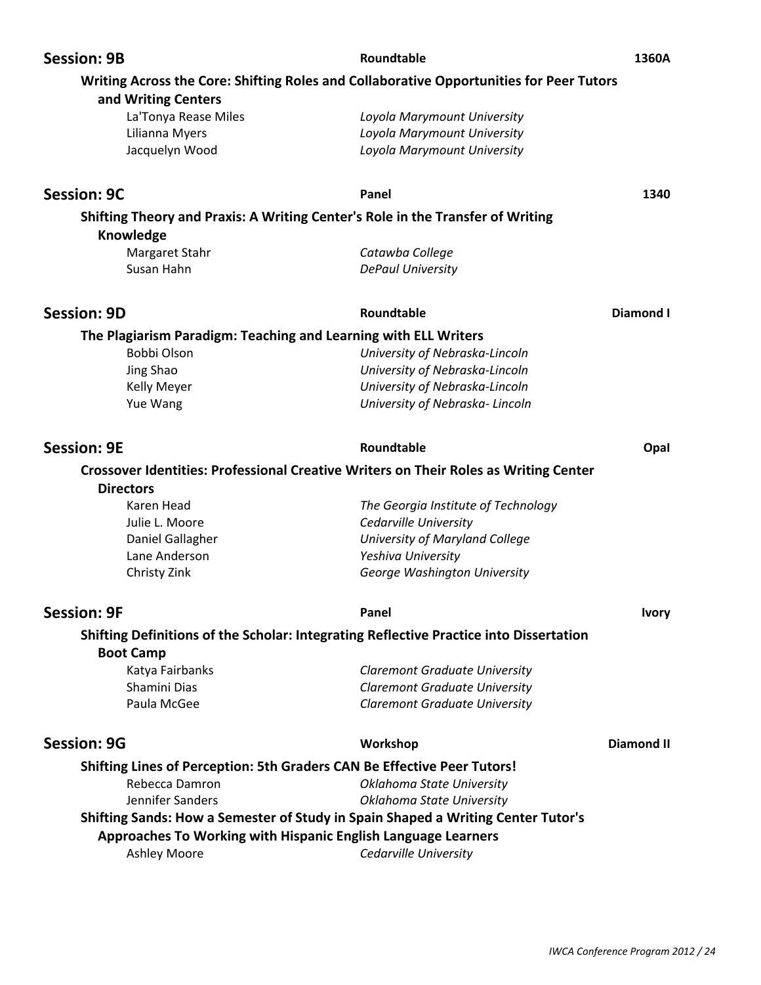| <b>Session: 9B</b>                                                                   | Roundtable                                                                              | 1360A             |
|--------------------------------------------------------------------------------------|-----------------------------------------------------------------------------------------|-------------------|
|                                                                                      | Writing Across the Core: Shifting Roles and Collaborative Opportunities for Peer Tutors |                   |
| and Writing Centers<br>La'Tonya Rease Miles                                          | Loyola Marymount University                                                             |                   |
| Lilianna Myers                                                                       | Loyola Marymount University                                                             |                   |
| Jacquelyn Wood                                                                       | Loyola Marymount University                                                             |                   |
| <b>Session: 9C</b>                                                                   | Panel                                                                                   | 1340              |
|                                                                                      | Shifting Theory and Praxis: A Writing Center's Role in the Transfer of Writing          |                   |
| Knowledge                                                                            |                                                                                         |                   |
| Margaret Stahr                                                                       | Catawba College                                                                         |                   |
| Susan Hahn                                                                           | <b>DePaul University</b>                                                                |                   |
| <b>Session: 9D</b>                                                                   | Roundtable                                                                              | <b>Diamond I</b>  |
| The Plagiarism Paradigm: Teaching and Learning with ELL Writers                      |                                                                                         |                   |
| Bobbi Olson                                                                          | University of Nebraska-Lincoln                                                          |                   |
| Jing Shao                                                                            | University of Nebraska-Lincoln                                                          |                   |
| Kelly Meyer                                                                          | University of Nebraska-Lincoln                                                          |                   |
| Yue Wang                                                                             | University of Nebraska-Lincoln                                                          |                   |
| <b>Session: 9E</b>                                                                   | Roundtable                                                                              | Opal              |
| <b>Directors</b>                                                                     | Crossover Identities: Professional Creative Writers on Their Roles as Writing Center    |                   |
| Karen Head                                                                           | The Georgia Institute of Technology                                                     |                   |
| Julie L. Moore                                                                       | Cedarville University                                                                   |                   |
| Daniel Gallagher                                                                     | University of Maryland College                                                          |                   |
| Lane Anderson                                                                        | Yeshiva University                                                                      |                   |
| Christy Zink                                                                         | George Washington University                                                            |                   |
| <b>Session: 9F</b>                                                                   | Panel                                                                                   | <b>Ivory</b>      |
|                                                                                      | Shifting Definitions of the Scholar: Integrating Reflective Practice into Dissertation  |                   |
| <b>Boot Camp</b>                                                                     |                                                                                         |                   |
| Katya Fairbanks                                                                      | <b>Claremont Graduate University</b>                                                    |                   |
| Shamini Dias                                                                         | <b>Claremont Graduate University</b>                                                    |                   |
| Paula McGee                                                                          | <b>Claremont Graduate University</b>                                                    |                   |
| <b>Session: 9G</b>                                                                   | Workshop                                                                                | <b>Diamond II</b> |
| Shifting Lines of Perception: 5th Graders CAN Be Effective Peer Tutors!              |                                                                                         |                   |
| Rebecca Damron                                                                       | Oklahoma State University                                                               |                   |
| Jennifer Sanders                                                                     | Oklahoma State University                                                               |                   |
|                                                                                      | Shifting Sands: How a Semester of Study in Spain Shaped a Writing Center Tutor's        |                   |
| Approaches To Working with Hispanic English Language Learners<br><b>Ashley Moore</b> | Cedarville University                                                                   |                   |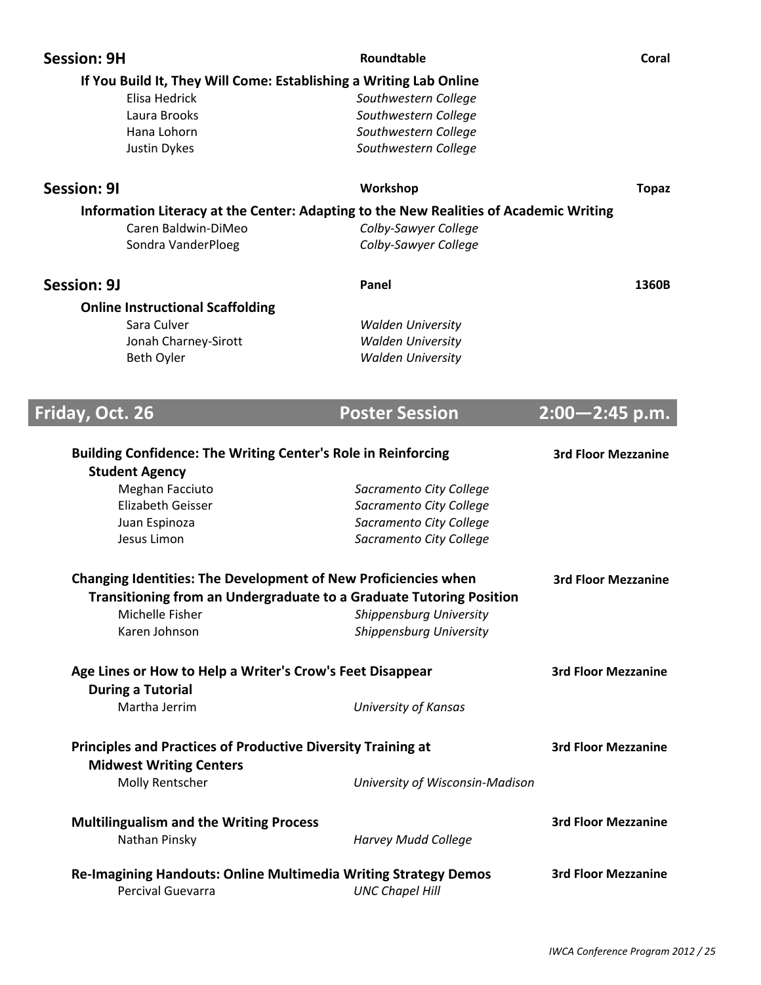|                    | <b>Session: 9H</b>                                                  | Roundtable                                                                            | Coral                      |
|--------------------|---------------------------------------------------------------------|---------------------------------------------------------------------------------------|----------------------------|
|                    |                                                                     | If You Build It, They Will Come: Establishing a Writing Lab Online                    |                            |
|                    | Elisa Hedrick                                                       | Southwestern College                                                                  |                            |
|                    | Laura Brooks                                                        | Southwestern College                                                                  |                            |
|                    | Hana Lohorn                                                         | Southwestern College                                                                  |                            |
|                    | Justin Dykes                                                        | Southwestern College                                                                  |                            |
| <b>Session: 91</b> |                                                                     | Workshop                                                                              | <b>Topaz</b>               |
|                    |                                                                     |                                                                                       |                            |
|                    |                                                                     | Information Literacy at the Center: Adapting to the New Realities of Academic Writing |                            |
|                    | Caren Baldwin-DiMeo                                                 | Colby-Sawyer College                                                                  |                            |
|                    | Sondra VanderPloeg                                                  | Colby-Sawyer College                                                                  |                            |
| <b>Session: 9J</b> |                                                                     | Panel                                                                                 | 1360B                      |
|                    | <b>Online Instructional Scaffolding</b>                             |                                                                                       |                            |
|                    | Sara Culver                                                         | <b>Walden University</b>                                                              |                            |
|                    | Jonah Charney-Sirott                                                | <b>Walden University</b>                                                              |                            |
|                    | Beth Oyler                                                          | <b>Walden University</b>                                                              |                            |
|                    |                                                                     |                                                                                       |                            |
|                    |                                                                     |                                                                                       |                            |
| Friday, Oct. 26    |                                                                     | <b>Poster Session</b>                                                                 | $2:00 - 2:45$ p.m.         |
|                    | <b>Student Agency</b>                                               | <b>Building Confidence: The Writing Center's Role in Reinforcing</b>                  | <b>3rd Floor Mezzanine</b> |
|                    | Meghan Facciuto                                                     | Sacramento City College                                                               |                            |
|                    | <b>Elizabeth Geisser</b>                                            | Sacramento City College                                                               |                            |
|                    | Juan Espinoza                                                       | Sacramento City College                                                               |                            |
|                    | Jesus Limon                                                         | Sacramento City College                                                               |                            |
|                    |                                                                     |                                                                                       |                            |
|                    |                                                                     |                                                                                       |                            |
|                    |                                                                     | Changing Identities: The Development of New Proficiencies when                        | <b>3rd Floor Mezzanine</b> |
|                    |                                                                     | <b>Transitioning from an Undergraduate to a Graduate Tutoring Position</b>            |                            |
|                    | Michelle Fisher                                                     | Shippensburg University                                                               |                            |
|                    | Karen Johnson                                                       | Shippensburg University                                                               |                            |
|                    |                                                                     |                                                                                       |                            |
|                    | Age Lines or How to Help a Writer's Crow's Feet Disappear           |                                                                                       | <b>3rd Floor Mezzanine</b> |
|                    | <b>During a Tutorial</b>                                            |                                                                                       |                            |
|                    | Martha Jerrim                                                       | University of Kansas                                                                  |                            |
|                    | <b>Principles and Practices of Productive Diversity Training at</b> |                                                                                       | <b>3rd Floor Mezzanine</b> |
|                    |                                                                     |                                                                                       |                            |
|                    | <b>Midwest Writing Centers</b><br>Molly Rentscher                   | University of Wisconsin-Madison                                                       |                            |
|                    |                                                                     |                                                                                       |                            |
|                    | <b>Multilingualism and the Writing Process</b>                      |                                                                                       | <b>3rd Floor Mezzanine</b> |
|                    | Nathan Pinsky                                                       | <b>Harvey Mudd College</b>                                                            |                            |
|                    |                                                                     | Re-Imagining Handouts: Online Multimedia Writing Strategy Demos                       | <b>3rd Floor Mezzanine</b> |
|                    | Percival Guevarra                                                   | <b>UNC Chapel Hill</b>                                                                |                            |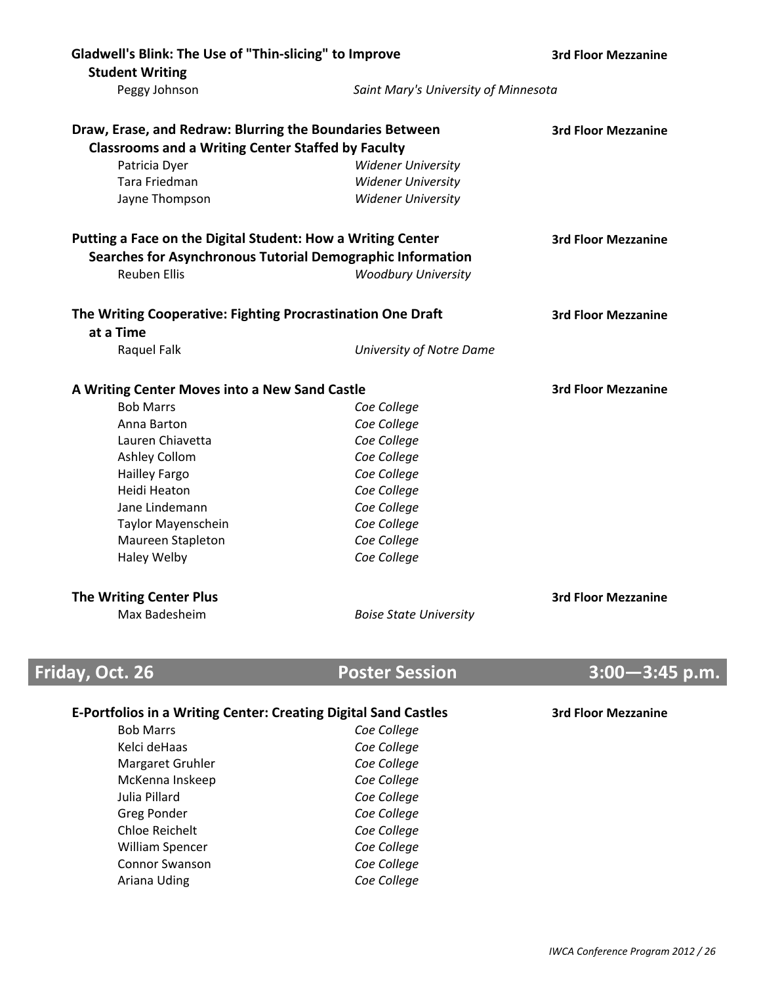| Gladwell's Blink: The Use of "Thin-slicing" to Improve                 |                                      | <b>3rd Floor Mezzanine</b> |
|------------------------------------------------------------------------|--------------------------------------|----------------------------|
| <b>Student Writing</b>                                                 |                                      |                            |
| Peggy Johnson                                                          | Saint Mary's University of Minnesota |                            |
| Draw, Erase, and Redraw: Blurring the Boundaries Between               |                                      | <b>3rd Floor Mezzanine</b> |
| <b>Classrooms and a Writing Center Staffed by Faculty</b>              |                                      |                            |
| Patricia Dyer                                                          | <b>Widener University</b>            |                            |
| Tara Friedman                                                          | <b>Widener University</b>            |                            |
| Jayne Thompson                                                         | <b>Widener University</b>            |                            |
| Putting a Face on the Digital Student: How a Writing Center            |                                      | <b>3rd Floor Mezzanine</b> |
| Searches for Asynchronous Tutorial Demographic Information             |                                      |                            |
| <b>Reuben Ellis</b>                                                    | <b>Woodbury University</b>           |                            |
| The Writing Cooperative: Fighting Procrastination One Draft            |                                      | <b>3rd Floor Mezzanine</b> |
| at a Time                                                              |                                      |                            |
| Raquel Falk                                                            | University of Notre Dame             |                            |
| A Writing Center Moves into a New Sand Castle                          |                                      | <b>3rd Floor Mezzanine</b> |
| <b>Bob Marrs</b>                                                       | Coe College                          |                            |
| Anna Barton                                                            | Coe College                          |                            |
| Lauren Chiavetta                                                       | Coe College                          |                            |
| Ashley Collom                                                          | Coe College                          |                            |
| <b>Hailley Fargo</b>                                                   | Coe College                          |                            |
| Heidi Heaton                                                           | Coe College                          |                            |
| Jane Lindemann                                                         | Coe College                          |                            |
| Taylor Mayenschein                                                     | Coe College                          |                            |
| Maureen Stapleton                                                      | Coe College                          |                            |
| Haley Welby                                                            | Coe College                          |                            |
| <b>The Writing Center Plus</b>                                         |                                      | <b>3rd Floor Mezzanine</b> |
| Max Badesheim                                                          | <b>Boise State University</b>        |                            |
|                                                                        |                                      |                            |
| Friday, Oct. 26                                                        | <b>Poster Session</b>                | $3:00 - 3:45$ p.m.         |
| <b>E-Portfolios in a Writing Center: Creating Digital Sand Castles</b> |                                      | <b>3rd Floor Mezzanine</b> |
| <b>Bob Marrs</b>                                                       | Coe College                          |                            |
| Kelci deHaas                                                           | Coe College                          |                            |
| Margaret Gruhler                                                       | Coe College                          |                            |
| McKenna Inskeep                                                        | Coe College                          |                            |
| Julia Pillard                                                          | Coe College                          |                            |
| <b>Greg Ponder</b>                                                     | Coe College                          |                            |
| <b>Chloe Reichelt</b>                                                  | Coe College                          |                            |
| <b>William Spencer</b>                                                 | Coe College                          |                            |
| Connor Swanson                                                         | Coe College                          |                            |
|                                                                        |                                      |                            |

Connor Swanson *Coe College*

Ariana Uding *Coe College*

*IWCA Conference Program 2012 / 26*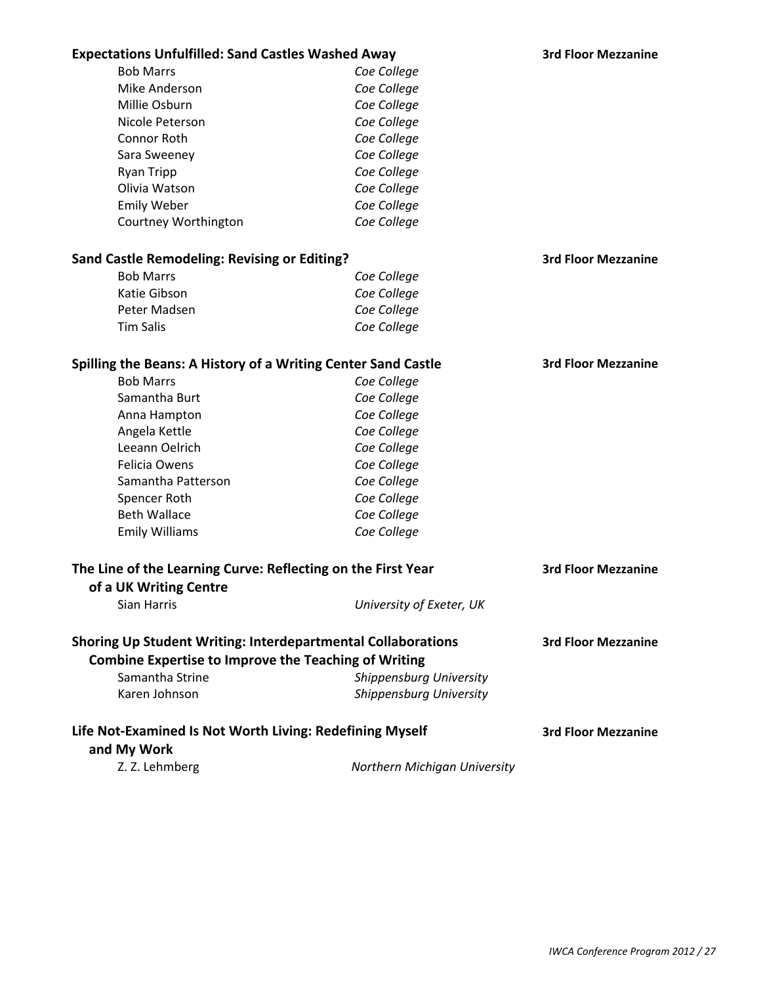| <b>Expectations Unfulfilled: Sand Castles Washed Away</b>                                                                          |                              | <b>3rd Floor Mezzanine</b> |
|------------------------------------------------------------------------------------------------------------------------------------|------------------------------|----------------------------|
| <b>Bob Marrs</b>                                                                                                                   | Coe College                  |                            |
| Mike Anderson                                                                                                                      | Coe College                  |                            |
| Millie Osburn                                                                                                                      | Coe College                  |                            |
| Nicole Peterson                                                                                                                    | Coe College                  |                            |
| Connor Roth                                                                                                                        | Coe College                  |                            |
| Sara Sweeney                                                                                                                       | Coe College                  |                            |
| Ryan Tripp                                                                                                                         | Coe College                  |                            |
| Olivia Watson                                                                                                                      | Coe College                  |                            |
| <b>Emily Weber</b>                                                                                                                 | Coe College                  |                            |
| Courtney Worthington                                                                                                               | Coe College                  |                            |
| <b>Sand Castle Remodeling: Revising or Editing?</b>                                                                                |                              | <b>3rd Floor Mezzanine</b> |
| <b>Bob Marrs</b>                                                                                                                   | Coe College                  |                            |
| Katie Gibson                                                                                                                       | Coe College                  |                            |
| Peter Madsen                                                                                                                       | Coe College                  |                            |
| <b>Tim Salis</b>                                                                                                                   | Coe College                  |                            |
| Spilling the Beans: A History of a Writing Center Sand Castle                                                                      |                              | <b>3rd Floor Mezzanine</b> |
| <b>Bob Marrs</b>                                                                                                                   | Coe College                  |                            |
| Samantha Burt                                                                                                                      | Coe College                  |                            |
| Anna Hampton                                                                                                                       | Coe College                  |                            |
| Angela Kettle                                                                                                                      | Coe College                  |                            |
| Leeann Oelrich                                                                                                                     | Coe College                  |                            |
| Felicia Owens                                                                                                                      | Coe College                  |                            |
| Samantha Patterson                                                                                                                 | Coe College                  |                            |
| Spencer Roth                                                                                                                       | Coe College                  |                            |
| <b>Beth Wallace</b>                                                                                                                | Coe College                  |                            |
| <b>Emily Williams</b>                                                                                                              | Coe College                  |                            |
| The Line of the Learning Curve: Reflecting on the First Year                                                                       |                              | <b>3rd Floor Mezzanine</b> |
| of a UK Writing Centre                                                                                                             |                              |                            |
| Sian Harris                                                                                                                        | University of Exeter, UK     |                            |
|                                                                                                                                    |                              |                            |
| <b>Shoring Up Student Writing: Interdepartmental Collaborations</b><br><b>Combine Expertise to Improve the Teaching of Writing</b> |                              | <b>3rd Floor Mezzanine</b> |
| Samantha Strine                                                                                                                    | Shippensburg University      |                            |
| Karen Johnson                                                                                                                      | Shippensburg University      |                            |
| Life Not-Examined Is Not Worth Living: Redefining Myself                                                                           |                              | <b>3rd Floor Mezzanine</b> |
| and My Work                                                                                                                        |                              |                            |
| Z. Z. Lehmberg                                                                                                                     | Northern Michigan University |                            |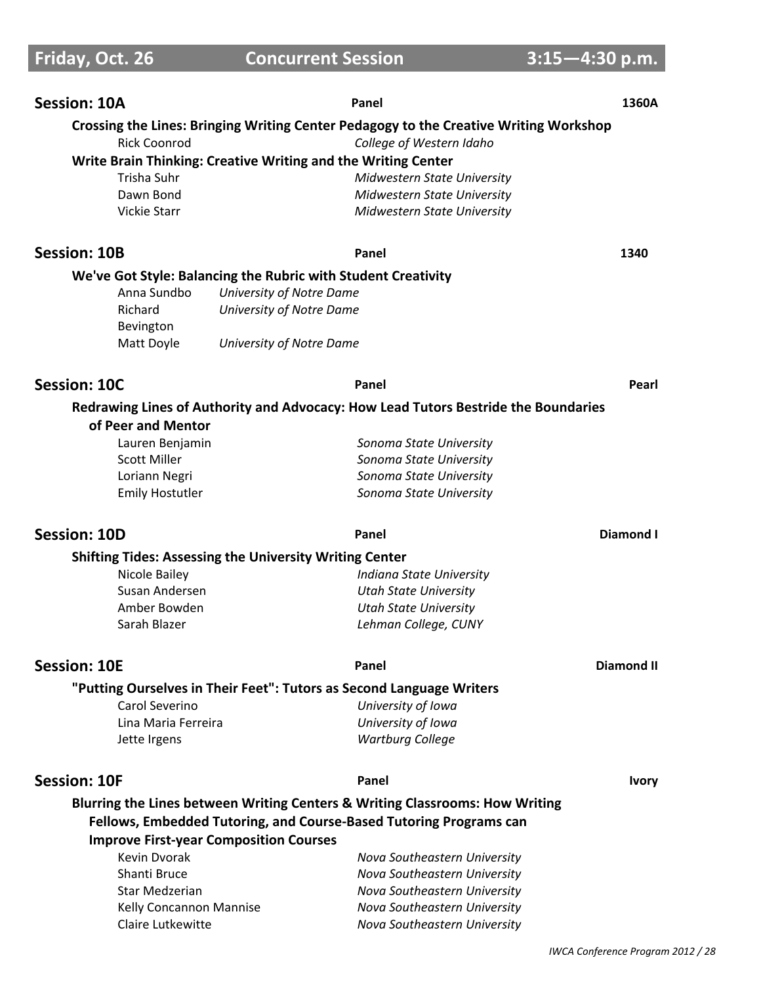**Friday, Oct. 26 Concurrent Session 3:15-4:30 p.m.** 

| <b>Session: 10A</b>                                           | Panel                                                                                                             | 1360A             |
|---------------------------------------------------------------|-------------------------------------------------------------------------------------------------------------------|-------------------|
| <b>Rick Coonrod</b>                                           | Crossing the Lines: Bringing Writing Center Pedagogy to the Creative Writing Workshop<br>College of Western Idaho |                   |
|                                                               | Write Brain Thinking: Creative Writing and the Writing Center                                                     |                   |
| Trisha Suhr                                                   | Midwestern State University                                                                                       |                   |
| Dawn Bond                                                     | Midwestern State University                                                                                       |                   |
| <b>Vickie Starr</b>                                           | <b>Midwestern State University</b>                                                                                |                   |
| <b>Session: 10B</b>                                           | Panel                                                                                                             | 1340              |
|                                                               | We've Got Style: Balancing the Rubric with Student Creativity                                                     |                   |
| Anna Sundbo                                                   | University of Notre Dame                                                                                          |                   |
| Richard                                                       | University of Notre Dame                                                                                          |                   |
| Bevington                                                     |                                                                                                                   |                   |
| Matt Doyle                                                    | University of Notre Dame                                                                                          |                   |
| <b>Session: 10C</b>                                           | Panel                                                                                                             | Pearl             |
| of Peer and Mentor                                            | Redrawing Lines of Authority and Advocacy: How Lead Tutors Bestride the Boundaries                                |                   |
| Lauren Benjamin                                               | Sonoma State University                                                                                           |                   |
| <b>Scott Miller</b>                                           | Sonoma State University                                                                                           |                   |
| Loriann Negri                                                 | Sonoma State University                                                                                           |                   |
| <b>Emily Hostutler</b>                                        | Sonoma State University                                                                                           |                   |
|                                                               |                                                                                                                   |                   |
| <b>Session: 10D</b>                                           | Panel                                                                                                             | <b>Diamond I</b>  |
|                                                               |                                                                                                                   |                   |
| Nicole Bailey                                                 | <b>Shifting Tides: Assessing the University Writing Center</b><br>Indiana State University                        |                   |
| Susan Andersen                                                | <b>Utah State University</b>                                                                                      |                   |
| Amber Bowden                                                  | <b>Utah State University</b>                                                                                      |                   |
| Sarah Blazer                                                  | Lehman College, CUNY                                                                                              |                   |
| <b>Session: 10E</b>                                           | Panel                                                                                                             | <b>Diamond II</b> |
|                                                               |                                                                                                                   |                   |
| Carol Severino                                                | "Putting Ourselves in Their Feet": Tutors as Second Language Writers<br>University of Iowa                        |                   |
| Lina Maria Ferreira                                           |                                                                                                                   |                   |
| Jette Irgens                                                  | University of Iowa<br><b>Wartburg College</b>                                                                     |                   |
| <b>Session: 10F</b>                                           | Panel                                                                                                             | <b>Ivory</b>      |
|                                                               |                                                                                                                   |                   |
|                                                               | Blurring the Lines between Writing Centers & Writing Classrooms: How Writing                                      |                   |
|                                                               | Fellows, Embedded Tutoring, and Course-Based Tutoring Programs can                                                |                   |
| <b>Improve First-year Composition Courses</b><br>Kevin Dvorak |                                                                                                                   |                   |
| Shanti Bruce                                                  | Nova Southeastern University<br>Nova Southeastern University                                                      |                   |
| <b>Star Medzerian</b>                                         | Nova Southeastern University                                                                                      |                   |
| Kelly Concannon Mannise                                       | Nova Southeastern University                                                                                      |                   |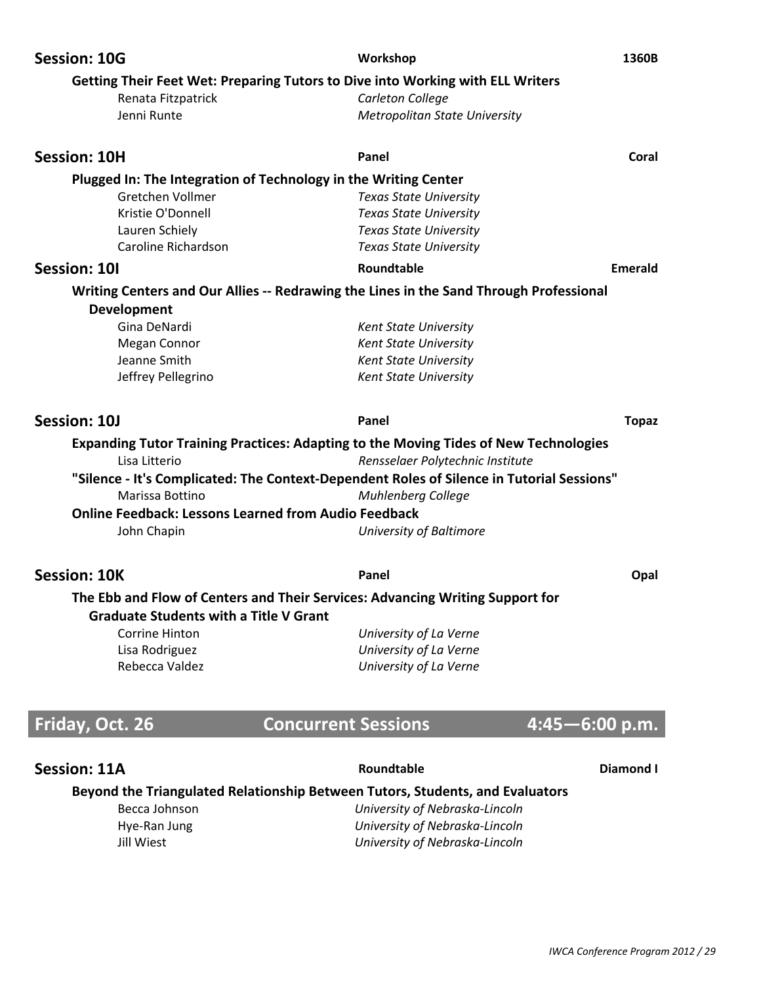| Getting Their Feet Wet: Preparing Tutors to Dive into Working with ELL Writers<br>Carleton College<br>Renata Fitzpatrick<br>Jenni Runte<br><b>Metropolitan State University</b><br><b>Session: 10H</b><br>Panel<br>Coral<br>Plugged In: The Integration of Technology in the Writing Center |
|---------------------------------------------------------------------------------------------------------------------------------------------------------------------------------------------------------------------------------------------------------------------------------------------|
|                                                                                                                                                                                                                                                                                             |
|                                                                                                                                                                                                                                                                                             |
|                                                                                                                                                                                                                                                                                             |
|                                                                                                                                                                                                                                                                                             |
|                                                                                                                                                                                                                                                                                             |
| Gretchen Vollmer<br><b>Texas State University</b>                                                                                                                                                                                                                                           |
| Kristie O'Donnell<br><b>Texas State University</b>                                                                                                                                                                                                                                          |
| Lauren Schiely<br><b>Texas State University</b>                                                                                                                                                                                                                                             |
| Caroline Richardson<br><b>Texas State University</b>                                                                                                                                                                                                                                        |
| Session: 10I<br>Roundtable<br><b>Emerald</b>                                                                                                                                                                                                                                                |
| Writing Centers and Our Allies -- Redrawing the Lines in the Sand Through Professional                                                                                                                                                                                                      |
| <b>Development</b>                                                                                                                                                                                                                                                                          |
| Gina DeNardi<br><b>Kent State University</b>                                                                                                                                                                                                                                                |
| <b>Kent State University</b><br>Megan Connor                                                                                                                                                                                                                                                |
| Jeanne Smith<br><b>Kent State University</b>                                                                                                                                                                                                                                                |
| Jeffrey Pellegrino<br>Kent State University                                                                                                                                                                                                                                                 |
| Session: 10J<br>Panel<br><b>Topaz</b>                                                                                                                                                                                                                                                       |
| <b>Expanding Tutor Training Practices: Adapting to the Moving Tides of New Technologies</b>                                                                                                                                                                                                 |
| Rensselaer Polytechnic Institute<br>Lisa Litterio                                                                                                                                                                                                                                           |
| "Silence - It's Complicated: The Context-Dependent Roles of Silence in Tutorial Sessions"                                                                                                                                                                                                   |
| Marissa Bottino<br><b>Muhlenberg College</b>                                                                                                                                                                                                                                                |
| <b>Online Feedback: Lessons Learned from Audio Feedback</b>                                                                                                                                                                                                                                 |
| John Chapin<br>University of Baltimore                                                                                                                                                                                                                                                      |
|                                                                                                                                                                                                                                                                                             |
| <b>Session: 10K</b><br>Panel<br>Opal                                                                                                                                                                                                                                                        |
| The Ebb and Flow of Centers and Their Services: Advancing Writing Support for                                                                                                                                                                                                               |
| <b>Graduate Students with a Title V Grant</b>                                                                                                                                                                                                                                               |
| <b>Corrine Hinton</b><br>University of La Verne                                                                                                                                                                                                                                             |
| University of La Verne<br>Lisa Rodriguez                                                                                                                                                                                                                                                    |
| Rebecca Valdez<br>University of La Verne                                                                                                                                                                                                                                                    |
|                                                                                                                                                                                                                                                                                             |
| Friday, Oct. 26<br>$4:45 - 6:00$ p.m.<br><b>Concurrent Sessions</b>                                                                                                                                                                                                                         |
|                                                                                                                                                                                                                                                                                             |

## **Session: 11A Diamond <b>I Roundtable Diamond I**

### **Beyond the Triangulated Relationship Between Tutors, Students, and Evaluators**

Becca Johnson *University of Nebraska-Lincoln* Hye-Ran Jung *University of Nebraska-Lincoln University of Nebraska-Lincoln University of Nebraska-Lincoln*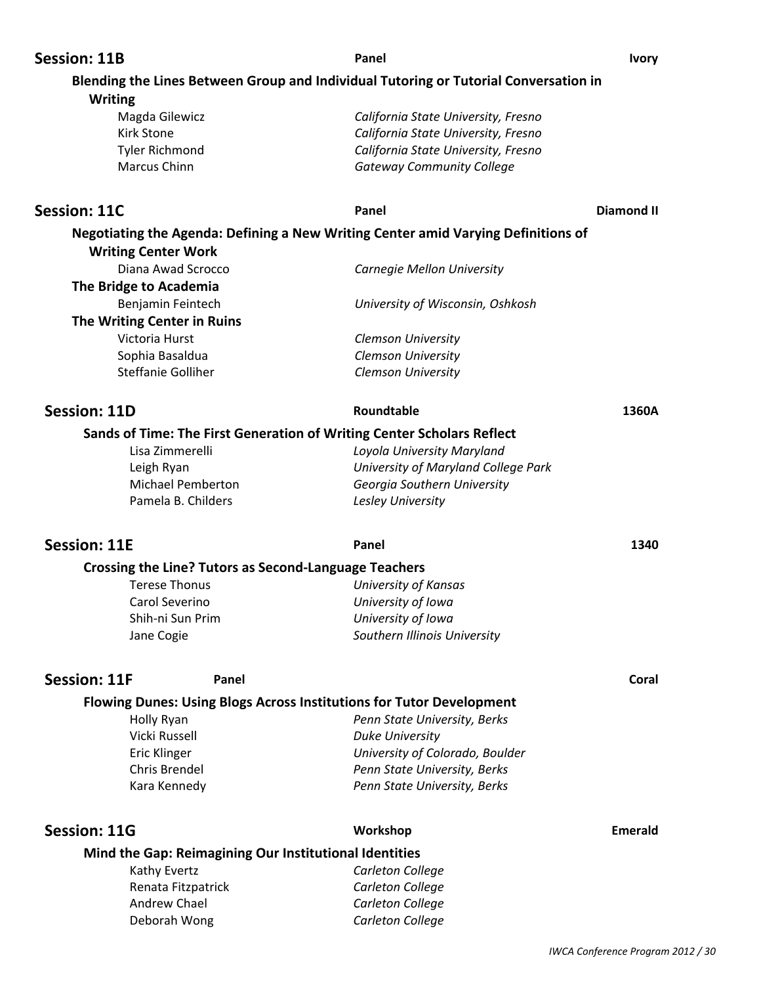| <b>Session: 11B</b> |                                                              | Panel                                                                                | <b>Ivory</b>   |
|---------------------|--------------------------------------------------------------|--------------------------------------------------------------------------------------|----------------|
| <b>Writing</b>      |                                                              | Blending the Lines Between Group and Individual Tutoring or Tutorial Conversation in |                |
|                     | Magda Gilewicz                                               | California State University, Fresno                                                  |                |
|                     | <b>Kirk Stone</b>                                            | California State University, Fresno                                                  |                |
|                     | <b>Tyler Richmond</b>                                        | California State University, Fresno                                                  |                |
|                     | Marcus Chinn                                                 | <b>Gateway Community College</b>                                                     |                |
|                     |                                                              |                                                                                      |                |
| <b>Session: 11C</b> |                                                              | Panel                                                                                | Diamond II     |
|                     | <b>Writing Center Work</b>                                   | Negotiating the Agenda: Defining a New Writing Center amid Varying Definitions of    |                |
|                     | Diana Awad Scrocco                                           | Carnegie Mellon University                                                           |                |
|                     | The Bridge to Academia                                       |                                                                                      |                |
|                     | Benjamin Feintech                                            | University of Wisconsin, Oshkosh                                                     |                |
|                     | The Writing Center in Ruins                                  |                                                                                      |                |
|                     | Victoria Hurst                                               | Clemson University                                                                   |                |
|                     | Sophia Basaldua                                              | Clemson University                                                                   |                |
|                     | <b>Steffanie Golliher</b>                                    | Clemson University                                                                   |                |
| <b>Session: 11D</b> |                                                              | Roundtable                                                                           | 1360A          |
|                     |                                                              | Sands of Time: The First Generation of Writing Center Scholars Reflect               |                |
|                     | Lisa Zimmerelli                                              | Loyola University Maryland                                                           |                |
|                     | Leigh Ryan                                                   | University of Maryland College Park                                                  |                |
|                     | <b>Michael Pemberton</b>                                     | Georgia Southern University                                                          |                |
|                     | Pamela B. Childers                                           | Lesley University                                                                    |                |
| <b>Session: 11E</b> |                                                              | Panel                                                                                | 1340           |
|                     | <b>Crossing the Line? Tutors as Second-Language Teachers</b> |                                                                                      |                |
|                     | <b>Terese Thonus</b>                                         | <b>University of Kansas</b>                                                          |                |
|                     | Carol Severino                                               | University of Iowa                                                                   |                |
|                     | Shih-ni Sun Prim                                             | University of Iowa                                                                   |                |
|                     | Jane Cogie                                                   | Southern Illinois University                                                         |                |
| <b>Session: 11F</b> | Panel                                                        |                                                                                      | Coral          |
|                     |                                                              | <b>Flowing Dunes: Using Blogs Across Institutions for Tutor Development</b>          |                |
|                     | Holly Ryan                                                   | Penn State University, Berks                                                         |                |
|                     | Vicki Russell                                                | <b>Duke University</b>                                                               |                |
|                     | <b>Eric Klinger</b>                                          | University of Colorado, Boulder                                                      |                |
|                     | Chris Brendel                                                | Penn State University, Berks                                                         |                |
|                     | Kara Kennedy                                                 | Penn State University, Berks                                                         |                |
| <b>Session: 11G</b> |                                                              | Workshop                                                                             | <b>Emerald</b> |
|                     | Mind the Gap: Reimagining Our Institutional Identities       |                                                                                      |                |
|                     | Kathy Evertz                                                 | Carleton College                                                                     |                |
|                     | Renata Fitzpatrick                                           | Carleton College                                                                     |                |
|                     | Andrew Chael                                                 | Carleton College                                                                     |                |
|                     | Deborah Wong                                                 | Carleton College                                                                     |                |
|                     |                                                              |                                                                                      |                |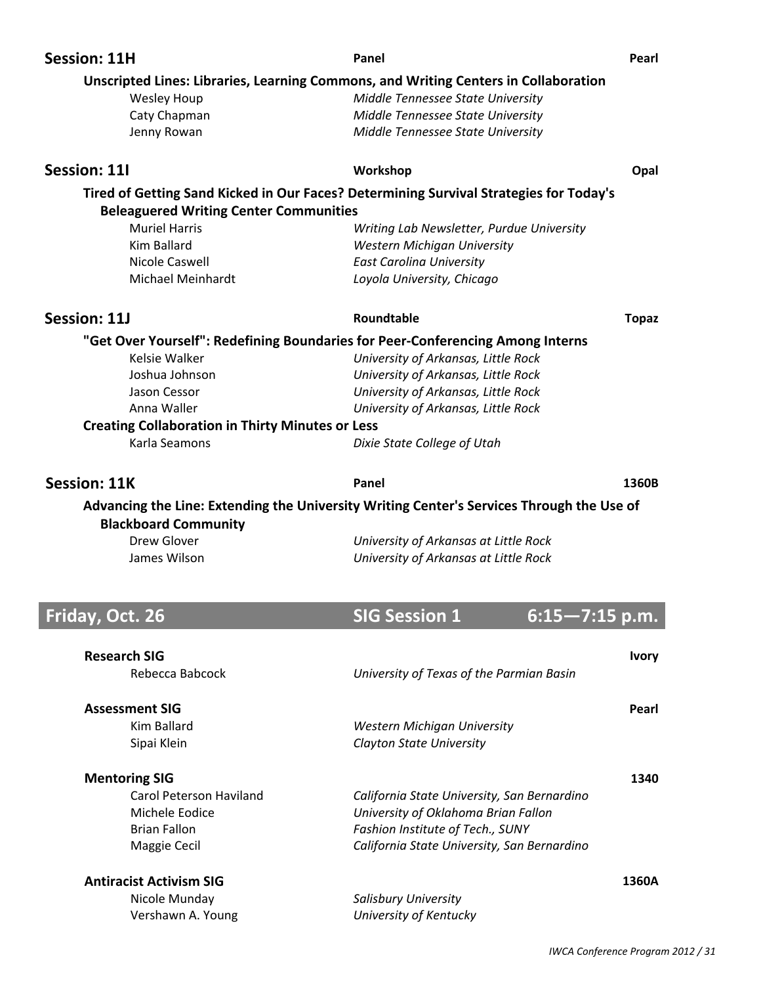| <b>Session: 11H</b>                                                            | Panel                                                                                     | Pearl        |
|--------------------------------------------------------------------------------|-------------------------------------------------------------------------------------------|--------------|
|                                                                                | Unscripted Lines: Libraries, Learning Commons, and Writing Centers in Collaboration       |              |
| <b>Wesley Houp</b>                                                             | Middle Tennessee State University                                                         |              |
| Caty Chapman                                                                   | Middle Tennessee State University                                                         |              |
| Jenny Rowan                                                                    | Middle Tennessee State University                                                         |              |
| <b>Session: 111</b>                                                            | Workshop                                                                                  | Opal         |
|                                                                                | Tired of Getting Sand Kicked in Our Faces? Determining Survival Strategies for Today's    |              |
| <b>Beleaguered Writing Center Communities</b>                                  |                                                                                           |              |
| <b>Muriel Harris</b>                                                           | Writing Lab Newsletter, Purdue University                                                 |              |
| Kim Ballard                                                                    | Western Michigan University                                                               |              |
| Nicole Caswell                                                                 | <b>East Carolina University</b>                                                           |              |
| <b>Michael Meinhardt</b>                                                       | Loyola University, Chicago                                                                |              |
| <b>Session: 11J</b>                                                            | Roundtable                                                                                | <b>Topaz</b> |
| "Get Over Yourself": Redefining Boundaries for Peer-Conferencing Among Interns |                                                                                           |              |
| Kelsie Walker                                                                  | University of Arkansas, Little Rock                                                       |              |
| Joshua Johnson                                                                 | University of Arkansas, Little Rock                                                       |              |
| Jason Cessor                                                                   | University of Arkansas, Little Rock                                                       |              |
| Anna Waller                                                                    | University of Arkansas, Little Rock                                                       |              |
| <b>Creating Collaboration in Thirty Minutes or Less</b>                        |                                                                                           |              |
| Karla Seamons                                                                  | Dixie State College of Utah                                                               |              |
|                                                                                |                                                                                           |              |
| <b>Session: 11K</b>                                                            | Panel                                                                                     | 1360B        |
|                                                                                |                                                                                           |              |
|                                                                                | Advancing the Line: Extending the University Writing Center's Services Through the Use of |              |
| <b>Blackboard Community</b>                                                    |                                                                                           |              |
| Drew Glover<br>James Wilson                                                    | University of Arkansas at Little Rock<br>University of Arkansas at Little Rock            |              |
|                                                                                |                                                                                           |              |
| Friday, Oct. 26                                                                | <b>SIG Session 1</b><br>$6:15 - 7:15$ p.m.                                                |              |
|                                                                                |                                                                                           |              |
| <b>Research SIG</b>                                                            |                                                                                           | <b>Ivory</b> |
| Rebecca Babcock                                                                | University of Texas of the Parmian Basin                                                  |              |
| <b>Assessment SIG</b>                                                          |                                                                                           | Pearl        |
| <b>Kim Ballard</b>                                                             |                                                                                           |              |
| Sipai Klein                                                                    | Western Michigan University<br><b>Clayton State University</b>                            |              |
| <b>Mentoring SIG</b>                                                           |                                                                                           | 1340         |
| <b>Carol Peterson Haviland</b>                                                 |                                                                                           |              |
| Michele Eodice                                                                 | California State University, San Bernardino                                               |              |
| <b>Brian Fallon</b>                                                            | University of Oklahoma Brian Fallon<br>Fashion Institute of Tech., SUNY                   |              |
| Maggie Cecil                                                                   | California State University, San Bernardino                                               |              |

 Nicole Munday *Salisbury University* Vershawn A. Young *University of Kentucky*

*IWCA Conference Program 2012 / 31*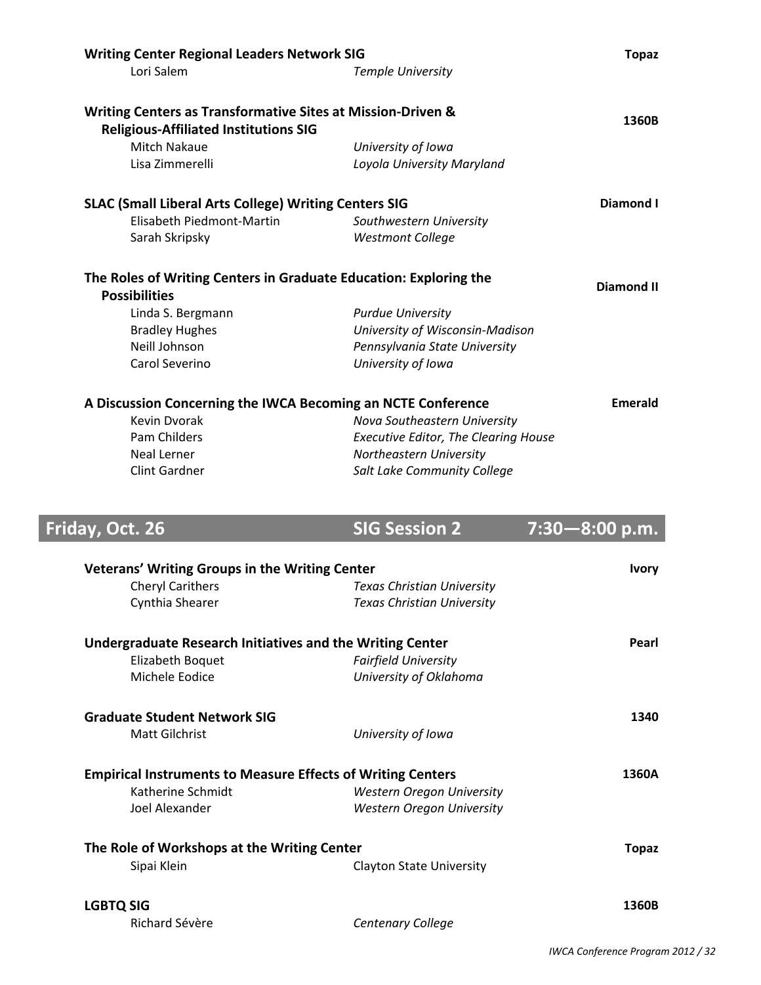| <b>Writing Center Regional Leaders Network SIG</b>                 |                                             | <b>Topaz</b>      |
|--------------------------------------------------------------------|---------------------------------------------|-------------------|
| Lori Salem                                                         | <b>Temple University</b>                    |                   |
| Writing Centers as Transformative Sites at Mission-Driven &        |                                             | 1360B             |
| <b>Religious-Affiliated Institutions SIG</b>                       |                                             |                   |
| Mitch Nakaue                                                       | University of Iowa                          |                   |
| Lisa Zimmerelli                                                    | Loyola University Maryland                  |                   |
| <b>SLAC (Small Liberal Arts College) Writing Centers SIG</b>       |                                             | Diamond I         |
| Elisabeth Piedmont-Martin                                          | Southwestern University                     |                   |
| Sarah Skripsky                                                     | <b>Westmont College</b>                     |                   |
| The Roles of Writing Centers in Graduate Education: Exploring the  |                                             |                   |
| <b>Possibilities</b>                                               |                                             | <b>Diamond II</b> |
| Linda S. Bergmann                                                  | <b>Purdue University</b>                    |                   |
| <b>Bradley Hughes</b>                                              | University of Wisconsin-Madison             |                   |
| Neill Johnson                                                      | Pennsylvania State University               |                   |
| Carol Severino                                                     | University of Iowa                          |                   |
| A Discussion Concerning the IWCA Becoming an NCTE Conference       |                                             | Emerald           |
| <b>Kevin Dvorak</b>                                                | Nova Southeastern University                |                   |
| Pam Childers                                                       | <b>Executive Editor, The Clearing House</b> |                   |
| Neal Lerner                                                        | Northeastern University                     |                   |
| <b>Clint Gardner</b>                                               | Salt Lake Community College                 |                   |
|                                                                    |                                             |                   |
| Friday, Oct. 26                                                    | <b>SIG Session 2</b>                        | 7:30-8:00 p.m.    |
| <b>Veterans' Writing Groups in the Writing Center</b>              |                                             | <b>Ivory</b>      |
| <b>Cheryl Carithers</b>                                            | <b>Texas Christian University</b>           |                   |
| Cynthia Shearer                                                    | <b>Texas Christian University</b>           |                   |
| <b>Undergraduate Research Initiatives and the Writing Center</b>   |                                             | Pearl             |
| Elizabeth Boquet                                                   | <b>Fairfield University</b>                 |                   |
| Michele Eodice                                                     | University of Oklahoma                      |                   |
| <b>Graduate Student Network SIG</b>                                |                                             | 1340              |
| <b>Matt Gilchrist</b>                                              | University of Iowa                          |                   |
| <b>Empirical Instruments to Measure Effects of Writing Centers</b> |                                             | 1360A             |
| Katherine Schmidt                                                  | Western Oregon University                   |                   |
| Joel Alexander                                                     | <b>Western Oregon University</b>            |                   |
| The Role of Workshops at the Writing Center                        |                                             | <b>Topaz</b>      |
| Sipai Klein                                                        | <b>Clayton State University</b>             |                   |

**LGBTQ SIG 1360B**<br>
Richard Sévère **1360B** *Centenary College* 

Richard Sévère *Centenary College*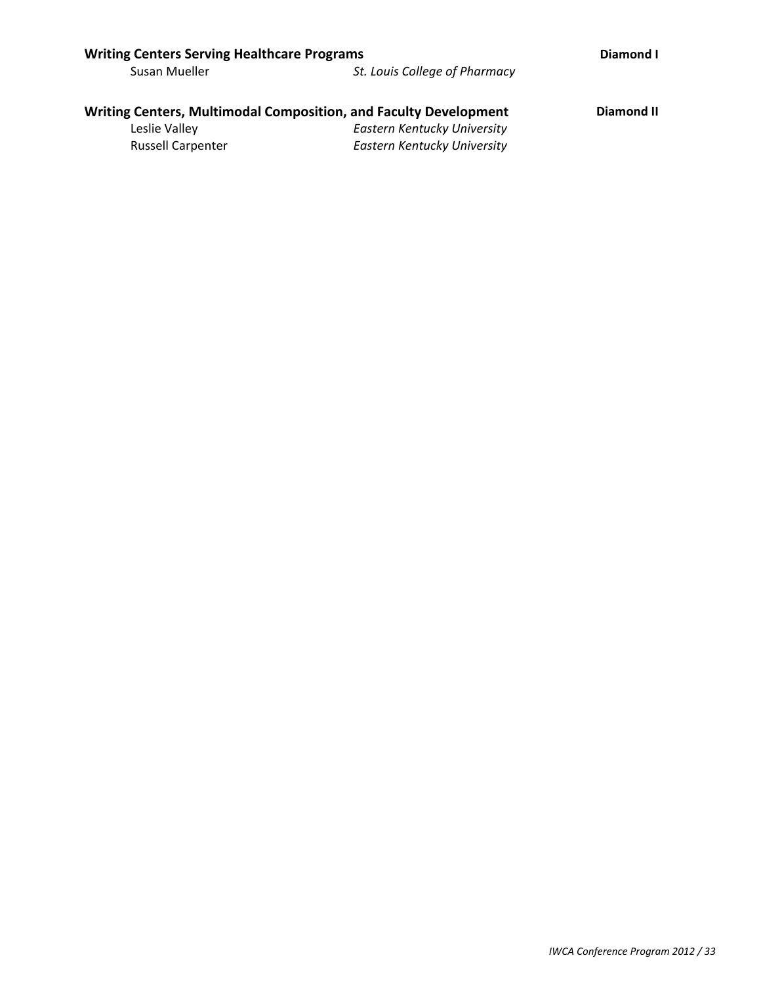| <b>Writing Centers Serving Healthcare Programs</b> |                                                                  | Diamond I  |
|----------------------------------------------------|------------------------------------------------------------------|------------|
| Susan Mueller                                      | St. Louis College of Pharmacy                                    |            |
|                                                    |                                                                  |            |
|                                                    | Writing Centers, Multimodal Composition, and Faculty Development | Diamond II |
| Leslie Valley                                      | Eastern Kentucky University                                      |            |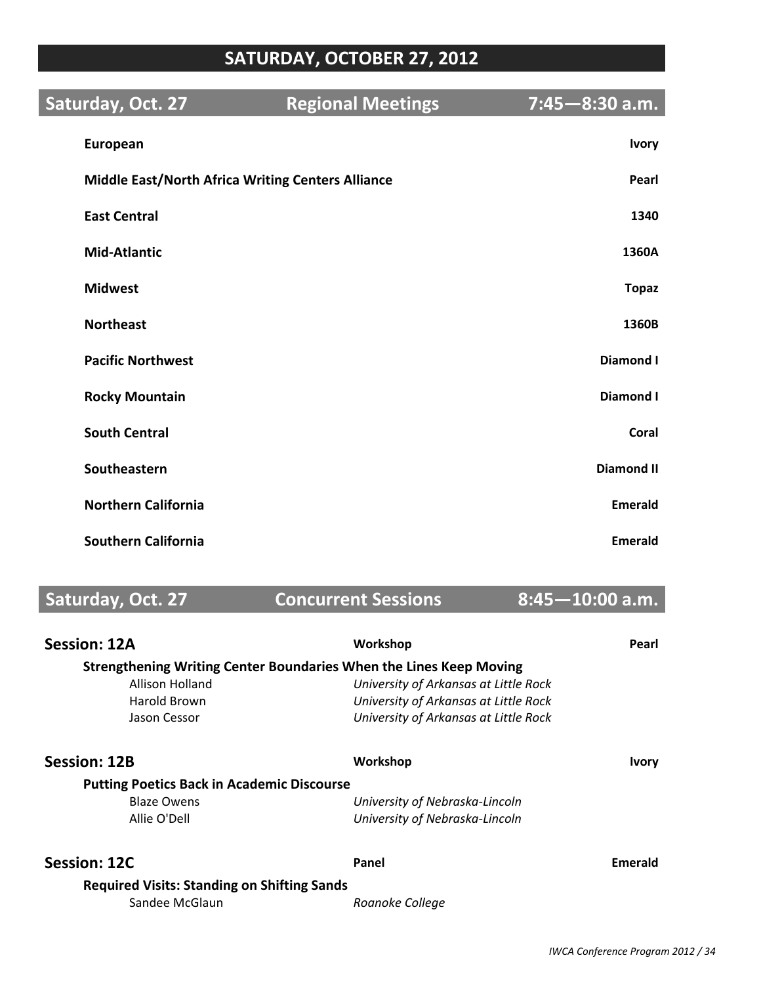# **SATURDAY, OCTOBER 27, 2012**

| Saturday, Oct. 27                                        | <b>Regional Meetings</b> | $7:45 - 8:30$ a.m. |
|----------------------------------------------------------|--------------------------|--------------------|
| European                                                 |                          | <b>Ivory</b>       |
| <b>Middle East/North Africa Writing Centers Alliance</b> |                          | Pearl              |
| <b>East Central</b>                                      |                          | 1340               |
| <b>Mid-Atlantic</b>                                      |                          | 1360A              |
| <b>Midwest</b>                                           |                          | <b>Topaz</b>       |
| <b>Northeast</b>                                         |                          | 1360B              |
| <b>Pacific Northwest</b>                                 |                          | <b>Diamond I</b>   |
| <b>Rocky Mountain</b>                                    |                          | <b>Diamond I</b>   |
| <b>South Central</b>                                     |                          | Coral              |
| Southeastern                                             |                          | <b>Diamond II</b>  |
| <b>Northern California</b>                               |                          | <b>Emerald</b>     |
| <b>Southern California</b>                               |                          | <b>Emerald</b>     |

**Saturday, Oct. 27 Concurrent Sessions 8:45-10:00 a.m.** 

| <b>Session: 12A</b>                                                | Workshop                              | Pearl        |
|--------------------------------------------------------------------|---------------------------------------|--------------|
| Strengthening Writing Center Boundaries When the Lines Keep Moving |                                       |              |
| Allison Holland                                                    | University of Arkansas at Little Rock |              |
| Harold Brown                                                       | University of Arkansas at Little Rock |              |
| Jason Cessor                                                       | University of Arkansas at Little Rock |              |
| <b>Session: 12B</b>                                                | Workshop                              | <b>Ivory</b> |
| <b>Putting Poetics Back in Academic Discourse</b>                  |                                       |              |
| <b>Blaze Owens</b>                                                 | University of Nebraska-Lincoln        |              |
| Allie O'Dell                                                       | University of Nebraska-Lincoln        |              |
| Session: 12C                                                       | Panel                                 | Emerald      |
| <b>Required Visits: Standing on Shifting Sands</b>                 |                                       |              |
| Sandee McGlaun                                                     | Roanoke College                       |              |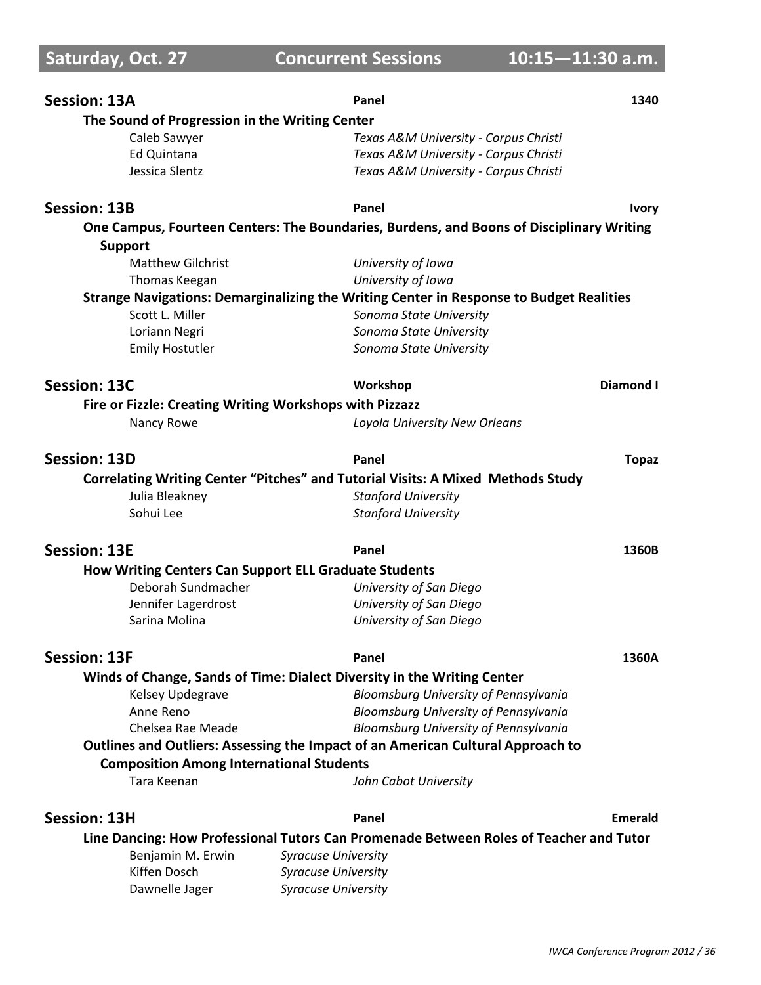| <b>Session: 13A</b>                                          | Panel                                                                                    | 1340           |
|--------------------------------------------------------------|------------------------------------------------------------------------------------------|----------------|
| The Sound of Progression in the Writing Center               |                                                                                          |                |
| Caleb Sawyer                                                 | Texas A&M University - Corpus Christi                                                    |                |
| <b>Ed Quintana</b>                                           | Texas A&M University - Corpus Christi                                                    |                |
| Jessica Slentz                                               | Texas A&M University - Corpus Christi                                                    |                |
| <b>Session: 13B</b>                                          | Panel                                                                                    | <b>Ivory</b>   |
|                                                              | One Campus, Fourteen Centers: The Boundaries, Burdens, and Boons of Disciplinary Writing |                |
| <b>Support</b>                                               |                                                                                          |                |
| <b>Matthew Gilchrist</b>                                     | University of Iowa                                                                       |                |
| Thomas Keegan                                                | University of Iowa                                                                       |                |
|                                                              | Strange Navigations: Demarginalizing the Writing Center in Response to Budget Realities  |                |
| Scott L. Miller                                              | Sonoma State University                                                                  |                |
| Loriann Negri                                                | Sonoma State University                                                                  |                |
| <b>Emily Hostutler</b>                                       | Sonoma State University                                                                  |                |
| Session: 13C                                                 | Workshop                                                                                 | Diamond I      |
| Fire or Fizzle: Creating Writing Workshops with Pizzazz      |                                                                                          |                |
| Nancy Rowe                                                   | Loyola University New Orleans                                                            |                |
|                                                              |                                                                                          |                |
| <b>Session: 13D</b>                                          | Panel                                                                                    | <b>Topaz</b>   |
|                                                              | <b>Correlating Writing Center "Pitches" and Tutorial Visits: A Mixed Methods Study</b>   |                |
| Julia Bleakney                                               | <b>Stanford University</b>                                                               |                |
| Sohui Lee                                                    | <b>Stanford University</b>                                                               |                |
| <b>Session: 13E</b>                                          | Panel                                                                                    | 1360B          |
| <b>How Writing Centers Can Support ELL Graduate Students</b> |                                                                                          |                |
| Deborah Sundmacher                                           | University of San Diego                                                                  |                |
| Jennifer Lagerdrost                                          | University of San Diego                                                                  |                |
| Sarina Molina                                                | University of San Diego                                                                  |                |
| <b>Session: 13F</b>                                          | Panel                                                                                    | 1360A          |
|                                                              | Winds of Change, Sands of Time: Dialect Diversity in the Writing Center                  |                |
| Kelsey Updegrave                                             | Bloomsburg University of Pennsylvania                                                    |                |
| Anne Reno                                                    | Bloomsburg University of Pennsylvania                                                    |                |
| Chelsea Rae Meade                                            | Bloomsburg University of Pennsylvania                                                    |                |
|                                                              | Outlines and Outliers: Assessing the Impact of an American Cultural Approach to          |                |
| <b>Composition Among International Students</b>              |                                                                                          |                |
| Tara Keenan                                                  | John Cabot University                                                                    |                |
| <b>Session: 13H</b>                                          | Panel                                                                                    | <b>Emerald</b> |
|                                                              | Line Dancing: How Professional Tutors Can Promenade Between Roles of Teacher and Tutor   |                |
| Benjamin M. Erwin                                            | <b>Syracuse University</b>                                                               |                |
| Kiffen Dosch                                                 | <b>Syracuse University</b>                                                               |                |
| Dawnelle Jager                                               | <b>Syracuse University</b>                                                               |                |
|                                                              |                                                                                          |                |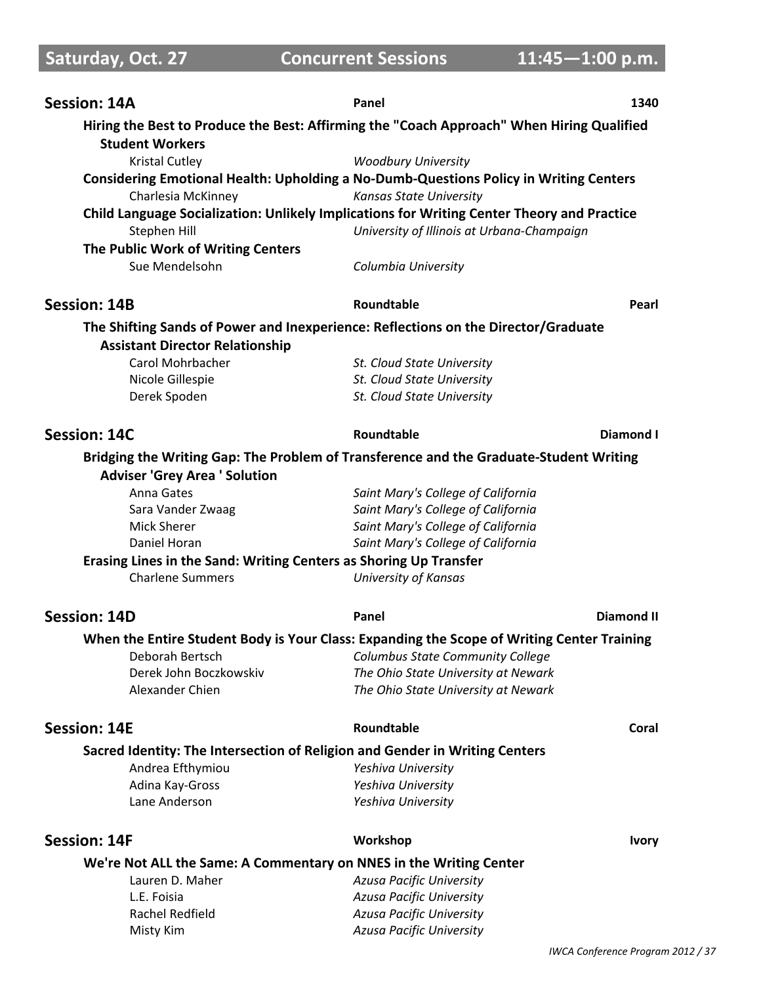**Saturday, Oct. 27 Concurrent Sessions 11:45-1:00 p.m.** 

| <b>Session: 14A</b>                                                                                                 | Panel                                      | 1340              |
|---------------------------------------------------------------------------------------------------------------------|--------------------------------------------|-------------------|
| Hiring the Best to Produce the Best: Affirming the "Coach Approach" When Hiring Qualified<br><b>Student Workers</b> |                                            |                   |
| <b>Kristal Cutley</b>                                                                                               | <b>Woodbury University</b>                 |                   |
| Considering Emotional Health: Upholding a No-Dumb-Questions Policy in Writing Centers                               |                                            |                   |
| Charlesia McKinney<br>Kansas State University                                                                       |                                            |                   |
| Child Language Socialization: Unlikely Implications for Writing Center Theory and Practice                          |                                            |                   |
| Stephen Hill                                                                                                        | University of Illinois at Urbana-Champaign |                   |
| The Public Work of Writing Centers                                                                                  |                                            |                   |
| Sue Mendelsohn                                                                                                      | Columbia University                        |                   |
| <b>Session: 14B</b>                                                                                                 | Roundtable                                 | Pearl             |
| The Shifting Sands of Power and Inexperience: Reflections on the Director/Graduate                                  |                                            |                   |
| <b>Assistant Director Relationship</b>                                                                              |                                            |                   |
| Carol Mohrbacher                                                                                                    | St. Cloud State University                 |                   |
| Nicole Gillespie                                                                                                    | St. Cloud State University                 |                   |
| Derek Spoden                                                                                                        | St. Cloud State University                 |                   |
| <b>Session: 14C</b>                                                                                                 | Roundtable                                 | Diamond I         |
| Bridging the Writing Gap: The Problem of Transference and the Graduate-Student Writing                              |                                            |                   |
| <b>Adviser 'Grey Area ' Solution</b>                                                                                |                                            |                   |
| Anna Gates                                                                                                          | Saint Mary's College of California         |                   |
| Sara Vander Zwaag                                                                                                   | Saint Mary's College of California         |                   |
| <b>Mick Sherer</b>                                                                                                  | Saint Mary's College of California         |                   |
| Daniel Horan                                                                                                        | Saint Mary's College of California         |                   |
| Erasing Lines in the Sand: Writing Centers as Shoring Up Transfer                                                   |                                            |                   |
| <b>Charlene Summers</b>                                                                                             | <b>University of Kansas</b>                |                   |
| <b>Session: 14D</b>                                                                                                 | Panel                                      | <b>Diamond II</b> |
| When the Entire Student Body is Your Class: Expanding the Scope of Writing Center Training                          |                                            |                   |
| Deborah Bertsch Columbus State Community College                                                                    |                                            |                   |
| Derek John Boczkowskiv                                                                                              | The Ohio State University at Newark        |                   |
| Alexander Chien                                                                                                     | The Ohio State University at Newark        |                   |
| <b>Session: 14E</b>                                                                                                 | Roundtable                                 | Coral             |
| Sacred Identity: The Intersection of Religion and Gender in Writing Centers                                         |                                            |                   |
| Andrea Efthymiou                                                                                                    | Yeshiva University                         |                   |
| Adina Kay-Gross                                                                                                     | Yeshiva University                         |                   |
| Lane Anderson                                                                                                       | Yeshiva University                         |                   |
| <b>Session: 14F</b>                                                                                                 | Workshop                                   | <b>Ivory</b>      |
| We're Not ALL the Same: A Commentary on NNES in the Writing Center                                                  |                                            |                   |
| Lauren D. Maher                                                                                                     | Azusa Pacific University                   |                   |
| L.E. Foisia                                                                                                         | Azusa Pacific University                   |                   |
| Rachel Redfield                                                                                                     | Azusa Pacific University                   |                   |
| Misty Kim                                                                                                           | Azusa Pacific University                   |                   |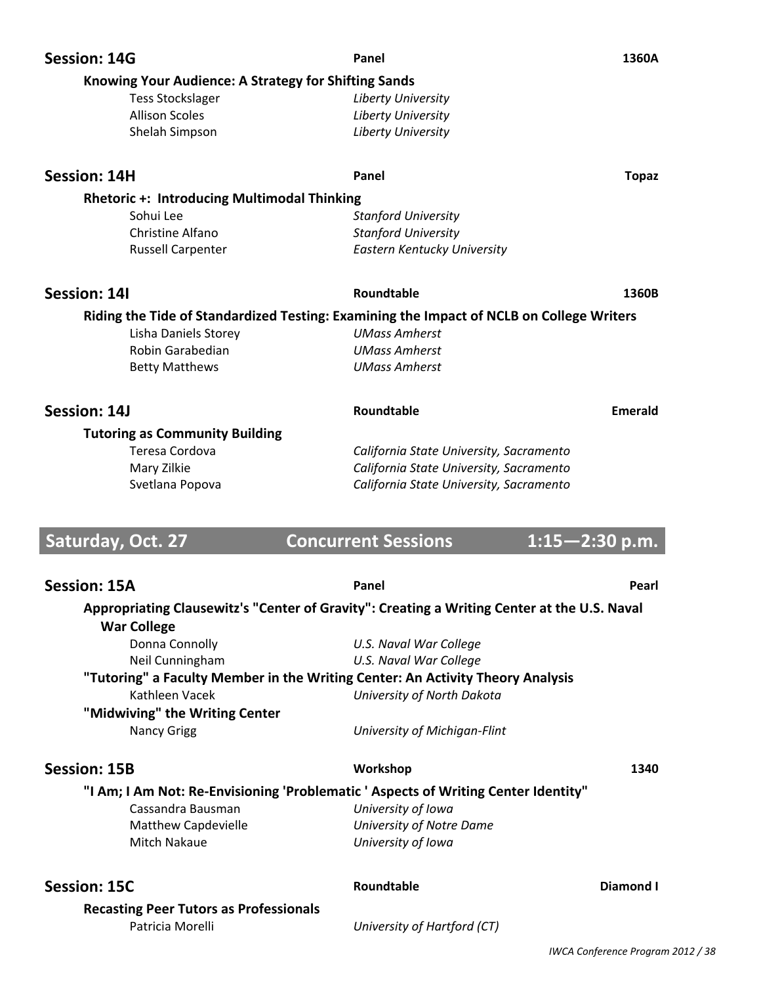| <b>Session: 14G</b>                                                                         | Panel                                   | 1360A              |
|---------------------------------------------------------------------------------------------|-----------------------------------------|--------------------|
| <b>Knowing Your Audience: A Strategy for Shifting Sands</b>                                 |                                         |                    |
| <b>Tess Stockslager</b>                                                                     | Liberty University                      |                    |
| <b>Allison Scoles</b>                                                                       | Liberty University                      |                    |
|                                                                                             |                                         |                    |
| Shelah Simpson                                                                              | Liberty University                      |                    |
| <b>Session: 14H</b>                                                                         | Panel                                   | <b>Topaz</b>       |
| <b>Rhetoric +: Introducing Multimodal Thinking</b>                                          |                                         |                    |
| Sohui Lee                                                                                   | <b>Stanford University</b>              |                    |
| Christine Alfano                                                                            | <b>Stanford University</b>              |                    |
| <b>Russell Carpenter</b>                                                                    | Eastern Kentucky University             |                    |
|                                                                                             |                                         |                    |
| Session: 14I                                                                                | Roundtable                              | 1360B              |
| Riding the Tide of Standardized Testing: Examining the Impact of NCLB on College Writers    |                                         |                    |
| Lisha Daniels Storey                                                                        | <b>UMass Amherst</b>                    |                    |
| Robin Garabedian                                                                            | <b>UMass Amherst</b>                    |                    |
| <b>Betty Matthews</b>                                                                       | <b>UMass Amherst</b>                    |                    |
|                                                                                             |                                         |                    |
| Session: 14J                                                                                | Roundtable                              | <b>Emerald</b>     |
| <b>Tutoring as Community Building</b>                                                       |                                         |                    |
| Teresa Cordova                                                                              | California State University, Sacramento |                    |
| Mary Zilkie                                                                                 | California State University, Sacramento |                    |
| Svetlana Popova                                                                             | California State University, Sacramento |                    |
|                                                                                             |                                         |                    |
|                                                                                             |                                         |                    |
|                                                                                             |                                         |                    |
| Saturday, Oct. 27                                                                           | <b>Concurrent Sessions</b>              | $1:15 - 2:30$ p.m. |
|                                                                                             |                                         |                    |
| <b>Session: 15A</b>                                                                         | Panel                                   | Pearl              |
| Appropriating Clausewitz's "Center of Gravity": Creating a Writing Center at the U.S. Naval |                                         |                    |
| <b>War College</b>                                                                          |                                         |                    |
| Donna Connolly                                                                              | U.S. Naval War College                  |                    |
| Neil Cunningham                                                                             | U.S. Naval War College                  |                    |
| "Tutoring" a Faculty Member in the Writing Center: An Activity Theory Analysis              |                                         |                    |
| Kathleen Vacek                                                                              | University of North Dakota              |                    |
| "Midwiving" the Writing Center                                                              |                                         |                    |
| <b>Nancy Grigg</b>                                                                          | University of Michigan-Flint            |                    |
|                                                                                             |                                         |                    |
| <b>Session: 15B</b>                                                                         | Workshop                                | 1340               |
| "I Am; I Am Not: Re-Envisioning 'Problematic ' Aspects of Writing Center Identity"          |                                         |                    |
| Cassandra Bausman                                                                           | University of Iowa                      |                    |
| <b>Matthew Capdevielle</b>                                                                  | University of Notre Dame                |                    |
| Mitch Nakaue                                                                                | University of Iowa                      |                    |
|                                                                                             |                                         |                    |
| <b>Session: 15C</b>                                                                         | Roundtable                              | <b>Diamond I</b>   |
| <b>Recasting Peer Tutors as Professionals</b>                                               |                                         |                    |
| Patricia Morelli                                                                            | University of Hartford (CT)             |                    |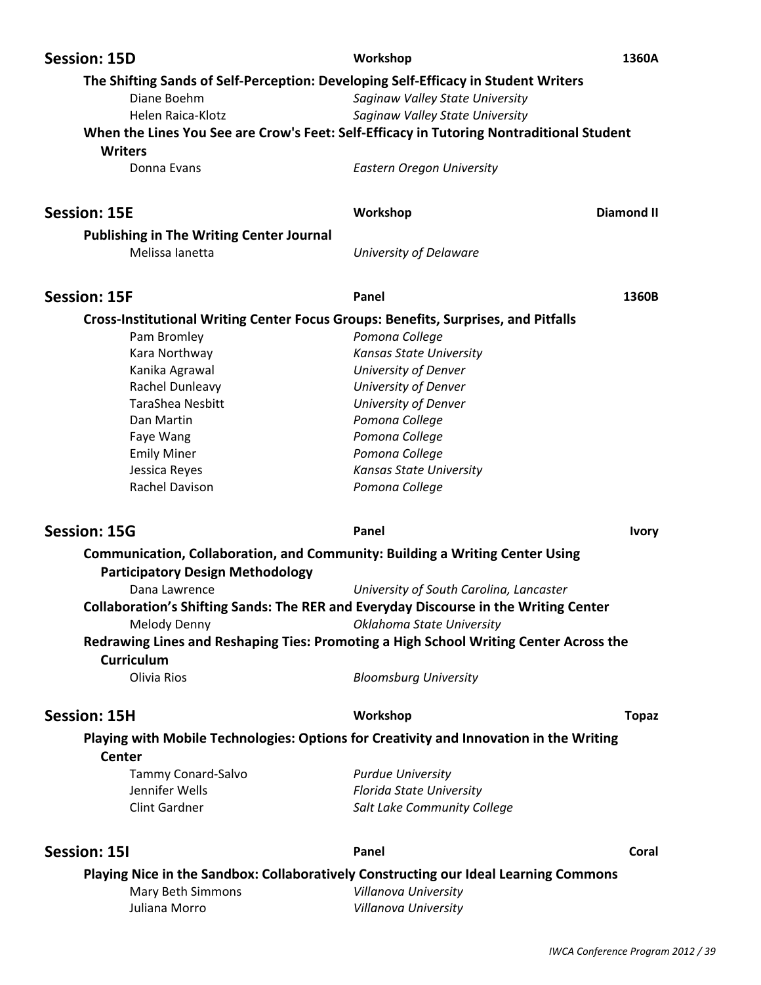| The Shifting Sands of Self-Perception: Developing Self-Efficacy in Student Writers<br>Diane Boehm<br>Saginaw Valley State University<br>Helen Raica-Klotz<br>Saginaw Valley State University<br>When the Lines You See are Crow's Feet: Self-Efficacy in Tutoring Nontraditional Student<br><b>Writers</b><br>Donna Evans<br><b>Eastern Oregon University</b><br><b>Diamond II</b><br>Workshop<br><b>Publishing in The Writing Center Journal</b><br>Melissa lanetta<br>University of Delaware<br><b>Session: 15F</b><br>Panel<br>1360B<br>Cross-Institutional Writing Center Focus Groups: Benefits, Surprises, and Pitfalls<br>Pam Bromley<br>Pomona College<br>Kara Northway<br>Kansas State University<br>Kanika Agrawal<br>University of Denver<br>Rachel Dunleavy<br>University of Denver<br>TaraShea Nesbitt<br>University of Denver<br>Pomona College<br>Dan Martin<br>Pomona College<br>Faye Wang<br><b>Emily Miner</b><br>Pomona College<br>Jessica Reyes<br><b>Kansas State University</b><br>Rachel Davison<br>Pomona College<br><b>Session: 15G</b><br>Panel<br><b>Ivory</b><br>Communication, Collaboration, and Community: Building a Writing Center Using<br><b>Participatory Design Methodology</b><br>University of South Carolina, Lancaster<br>Dana Lawrence<br>Collaboration's Shifting Sands: The RER and Everyday Discourse in the Writing Center<br>Melody Denny<br>Oklahoma State University<br>Redrawing Lines and Reshaping Ties: Promoting a High School Writing Center Across the<br>Curriculum<br>Olivia Rios<br><b>Bloomsburg University</b><br><b>Session: 15H</b><br>Workshop<br><b>Topaz</b><br>Playing with Mobile Technologies: Options for Creativity and Innovation in the Writing<br><b>Center</b><br>Tammy Conard-Salvo<br><b>Purdue University</b><br>Jennifer Wells<br><b>Florida State University</b><br><b>Clint Gardner</b><br>Salt Lake Community College<br><b>Session: 15I</b><br>Panel<br>Coral<br>Playing Nice in the Sandbox: Collaboratively Constructing our Ideal Learning Commons<br>Mary Beth Simmons<br>Villanova University<br>Juliana Morro<br>Villanova University | <b>Session: 15D</b> | Workshop | 1360A |
|--------------------------------------------------------------------------------------------------------------------------------------------------------------------------------------------------------------------------------------------------------------------------------------------------------------------------------------------------------------------------------------------------------------------------------------------------------------------------------------------------------------------------------------------------------------------------------------------------------------------------------------------------------------------------------------------------------------------------------------------------------------------------------------------------------------------------------------------------------------------------------------------------------------------------------------------------------------------------------------------------------------------------------------------------------------------------------------------------------------------------------------------------------------------------------------------------------------------------------------------------------------------------------------------------------------------------------------------------------------------------------------------------------------------------------------------------------------------------------------------------------------------------------------------------------------------------------------------------------------------------------------------------------------------------------------------------------------------------------------------------------------------------------------------------------------------------------------------------------------------------------------------------------------------------------------------------------------------------------------------------------------------------------------------------------------------------------------------------------------------------------|---------------------|----------|-------|
|                                                                                                                                                                                                                                                                                                                                                                                                                                                                                                                                                                                                                                                                                                                                                                                                                                                                                                                                                                                                                                                                                                                                                                                                                                                                                                                                                                                                                                                                                                                                                                                                                                                                                                                                                                                                                                                                                                                                                                                                                                                                                                                                |                     |          |       |
|                                                                                                                                                                                                                                                                                                                                                                                                                                                                                                                                                                                                                                                                                                                                                                                                                                                                                                                                                                                                                                                                                                                                                                                                                                                                                                                                                                                                                                                                                                                                                                                                                                                                                                                                                                                                                                                                                                                                                                                                                                                                                                                                |                     |          |       |
|                                                                                                                                                                                                                                                                                                                                                                                                                                                                                                                                                                                                                                                                                                                                                                                                                                                                                                                                                                                                                                                                                                                                                                                                                                                                                                                                                                                                                                                                                                                                                                                                                                                                                                                                                                                                                                                                                                                                                                                                                                                                                                                                |                     |          |       |
|                                                                                                                                                                                                                                                                                                                                                                                                                                                                                                                                                                                                                                                                                                                                                                                                                                                                                                                                                                                                                                                                                                                                                                                                                                                                                                                                                                                                                                                                                                                                                                                                                                                                                                                                                                                                                                                                                                                                                                                                                                                                                                                                |                     |          |       |
|                                                                                                                                                                                                                                                                                                                                                                                                                                                                                                                                                                                                                                                                                                                                                                                                                                                                                                                                                                                                                                                                                                                                                                                                                                                                                                                                                                                                                                                                                                                                                                                                                                                                                                                                                                                                                                                                                                                                                                                                                                                                                                                                |                     |          |       |
|                                                                                                                                                                                                                                                                                                                                                                                                                                                                                                                                                                                                                                                                                                                                                                                                                                                                                                                                                                                                                                                                                                                                                                                                                                                                                                                                                                                                                                                                                                                                                                                                                                                                                                                                                                                                                                                                                                                                                                                                                                                                                                                                | <b>Session: 15E</b> |          |       |
|                                                                                                                                                                                                                                                                                                                                                                                                                                                                                                                                                                                                                                                                                                                                                                                                                                                                                                                                                                                                                                                                                                                                                                                                                                                                                                                                                                                                                                                                                                                                                                                                                                                                                                                                                                                                                                                                                                                                                                                                                                                                                                                                |                     |          |       |
|                                                                                                                                                                                                                                                                                                                                                                                                                                                                                                                                                                                                                                                                                                                                                                                                                                                                                                                                                                                                                                                                                                                                                                                                                                                                                                                                                                                                                                                                                                                                                                                                                                                                                                                                                                                                                                                                                                                                                                                                                                                                                                                                |                     |          |       |
|                                                                                                                                                                                                                                                                                                                                                                                                                                                                                                                                                                                                                                                                                                                                                                                                                                                                                                                                                                                                                                                                                                                                                                                                                                                                                                                                                                                                                                                                                                                                                                                                                                                                                                                                                                                                                                                                                                                                                                                                                                                                                                                                |                     |          |       |
|                                                                                                                                                                                                                                                                                                                                                                                                                                                                                                                                                                                                                                                                                                                                                                                                                                                                                                                                                                                                                                                                                                                                                                                                                                                                                                                                                                                                                                                                                                                                                                                                                                                                                                                                                                                                                                                                                                                                                                                                                                                                                                                                |                     |          |       |
|                                                                                                                                                                                                                                                                                                                                                                                                                                                                                                                                                                                                                                                                                                                                                                                                                                                                                                                                                                                                                                                                                                                                                                                                                                                                                                                                                                                                                                                                                                                                                                                                                                                                                                                                                                                                                                                                                                                                                                                                                                                                                                                                |                     |          |       |
|                                                                                                                                                                                                                                                                                                                                                                                                                                                                                                                                                                                                                                                                                                                                                                                                                                                                                                                                                                                                                                                                                                                                                                                                                                                                                                                                                                                                                                                                                                                                                                                                                                                                                                                                                                                                                                                                                                                                                                                                                                                                                                                                |                     |          |       |
|                                                                                                                                                                                                                                                                                                                                                                                                                                                                                                                                                                                                                                                                                                                                                                                                                                                                                                                                                                                                                                                                                                                                                                                                                                                                                                                                                                                                                                                                                                                                                                                                                                                                                                                                                                                                                                                                                                                                                                                                                                                                                                                                |                     |          |       |
|                                                                                                                                                                                                                                                                                                                                                                                                                                                                                                                                                                                                                                                                                                                                                                                                                                                                                                                                                                                                                                                                                                                                                                                                                                                                                                                                                                                                                                                                                                                                                                                                                                                                                                                                                                                                                                                                                                                                                                                                                                                                                                                                |                     |          |       |
|                                                                                                                                                                                                                                                                                                                                                                                                                                                                                                                                                                                                                                                                                                                                                                                                                                                                                                                                                                                                                                                                                                                                                                                                                                                                                                                                                                                                                                                                                                                                                                                                                                                                                                                                                                                                                                                                                                                                                                                                                                                                                                                                |                     |          |       |
|                                                                                                                                                                                                                                                                                                                                                                                                                                                                                                                                                                                                                                                                                                                                                                                                                                                                                                                                                                                                                                                                                                                                                                                                                                                                                                                                                                                                                                                                                                                                                                                                                                                                                                                                                                                                                                                                                                                                                                                                                                                                                                                                |                     |          |       |
|                                                                                                                                                                                                                                                                                                                                                                                                                                                                                                                                                                                                                                                                                                                                                                                                                                                                                                                                                                                                                                                                                                                                                                                                                                                                                                                                                                                                                                                                                                                                                                                                                                                                                                                                                                                                                                                                                                                                                                                                                                                                                                                                |                     |          |       |
|                                                                                                                                                                                                                                                                                                                                                                                                                                                                                                                                                                                                                                                                                                                                                                                                                                                                                                                                                                                                                                                                                                                                                                                                                                                                                                                                                                                                                                                                                                                                                                                                                                                                                                                                                                                                                                                                                                                                                                                                                                                                                                                                |                     |          |       |
|                                                                                                                                                                                                                                                                                                                                                                                                                                                                                                                                                                                                                                                                                                                                                                                                                                                                                                                                                                                                                                                                                                                                                                                                                                                                                                                                                                                                                                                                                                                                                                                                                                                                                                                                                                                                                                                                                                                                                                                                                                                                                                                                |                     |          |       |
|                                                                                                                                                                                                                                                                                                                                                                                                                                                                                                                                                                                                                                                                                                                                                                                                                                                                                                                                                                                                                                                                                                                                                                                                                                                                                                                                                                                                                                                                                                                                                                                                                                                                                                                                                                                                                                                                                                                                                                                                                                                                                                                                |                     |          |       |
|                                                                                                                                                                                                                                                                                                                                                                                                                                                                                                                                                                                                                                                                                                                                                                                                                                                                                                                                                                                                                                                                                                                                                                                                                                                                                                                                                                                                                                                                                                                                                                                                                                                                                                                                                                                                                                                                                                                                                                                                                                                                                                                                |                     |          |       |
|                                                                                                                                                                                                                                                                                                                                                                                                                                                                                                                                                                                                                                                                                                                                                                                                                                                                                                                                                                                                                                                                                                                                                                                                                                                                                                                                                                                                                                                                                                                                                                                                                                                                                                                                                                                                                                                                                                                                                                                                                                                                                                                                |                     |          |       |
|                                                                                                                                                                                                                                                                                                                                                                                                                                                                                                                                                                                                                                                                                                                                                                                                                                                                                                                                                                                                                                                                                                                                                                                                                                                                                                                                                                                                                                                                                                                                                                                                                                                                                                                                                                                                                                                                                                                                                                                                                                                                                                                                |                     |          |       |
|                                                                                                                                                                                                                                                                                                                                                                                                                                                                                                                                                                                                                                                                                                                                                                                                                                                                                                                                                                                                                                                                                                                                                                                                                                                                                                                                                                                                                                                                                                                                                                                                                                                                                                                                                                                                                                                                                                                                                                                                                                                                                                                                |                     |          |       |
|                                                                                                                                                                                                                                                                                                                                                                                                                                                                                                                                                                                                                                                                                                                                                                                                                                                                                                                                                                                                                                                                                                                                                                                                                                                                                                                                                                                                                                                                                                                                                                                                                                                                                                                                                                                                                                                                                                                                                                                                                                                                                                                                |                     |          |       |
|                                                                                                                                                                                                                                                                                                                                                                                                                                                                                                                                                                                                                                                                                                                                                                                                                                                                                                                                                                                                                                                                                                                                                                                                                                                                                                                                                                                                                                                                                                                                                                                                                                                                                                                                                                                                                                                                                                                                                                                                                                                                                                                                |                     |          |       |
|                                                                                                                                                                                                                                                                                                                                                                                                                                                                                                                                                                                                                                                                                                                                                                                                                                                                                                                                                                                                                                                                                                                                                                                                                                                                                                                                                                                                                                                                                                                                                                                                                                                                                                                                                                                                                                                                                                                                                                                                                                                                                                                                |                     |          |       |
|                                                                                                                                                                                                                                                                                                                                                                                                                                                                                                                                                                                                                                                                                                                                                                                                                                                                                                                                                                                                                                                                                                                                                                                                                                                                                                                                                                                                                                                                                                                                                                                                                                                                                                                                                                                                                                                                                                                                                                                                                                                                                                                                |                     |          |       |
|                                                                                                                                                                                                                                                                                                                                                                                                                                                                                                                                                                                                                                                                                                                                                                                                                                                                                                                                                                                                                                                                                                                                                                                                                                                                                                                                                                                                                                                                                                                                                                                                                                                                                                                                                                                                                                                                                                                                                                                                                                                                                                                                |                     |          |       |
|                                                                                                                                                                                                                                                                                                                                                                                                                                                                                                                                                                                                                                                                                                                                                                                                                                                                                                                                                                                                                                                                                                                                                                                                                                                                                                                                                                                                                                                                                                                                                                                                                                                                                                                                                                                                                                                                                                                                                                                                                                                                                                                                |                     |          |       |
|                                                                                                                                                                                                                                                                                                                                                                                                                                                                                                                                                                                                                                                                                                                                                                                                                                                                                                                                                                                                                                                                                                                                                                                                                                                                                                                                                                                                                                                                                                                                                                                                                                                                                                                                                                                                                                                                                                                                                                                                                                                                                                                                |                     |          |       |
|                                                                                                                                                                                                                                                                                                                                                                                                                                                                                                                                                                                                                                                                                                                                                                                                                                                                                                                                                                                                                                                                                                                                                                                                                                                                                                                                                                                                                                                                                                                                                                                                                                                                                                                                                                                                                                                                                                                                                                                                                                                                                                                                |                     |          |       |
|                                                                                                                                                                                                                                                                                                                                                                                                                                                                                                                                                                                                                                                                                                                                                                                                                                                                                                                                                                                                                                                                                                                                                                                                                                                                                                                                                                                                                                                                                                                                                                                                                                                                                                                                                                                                                                                                                                                                                                                                                                                                                                                                |                     |          |       |
|                                                                                                                                                                                                                                                                                                                                                                                                                                                                                                                                                                                                                                                                                                                                                                                                                                                                                                                                                                                                                                                                                                                                                                                                                                                                                                                                                                                                                                                                                                                                                                                                                                                                                                                                                                                                                                                                                                                                                                                                                                                                                                                                |                     |          |       |
|                                                                                                                                                                                                                                                                                                                                                                                                                                                                                                                                                                                                                                                                                                                                                                                                                                                                                                                                                                                                                                                                                                                                                                                                                                                                                                                                                                                                                                                                                                                                                                                                                                                                                                                                                                                                                                                                                                                                                                                                                                                                                                                                |                     |          |       |
|                                                                                                                                                                                                                                                                                                                                                                                                                                                                                                                                                                                                                                                                                                                                                                                                                                                                                                                                                                                                                                                                                                                                                                                                                                                                                                                                                                                                                                                                                                                                                                                                                                                                                                                                                                                                                                                                                                                                                                                                                                                                                                                                |                     |          |       |
|                                                                                                                                                                                                                                                                                                                                                                                                                                                                                                                                                                                                                                                                                                                                                                                                                                                                                                                                                                                                                                                                                                                                                                                                                                                                                                                                                                                                                                                                                                                                                                                                                                                                                                                                                                                                                                                                                                                                                                                                                                                                                                                                |                     |          |       |
|                                                                                                                                                                                                                                                                                                                                                                                                                                                                                                                                                                                                                                                                                                                                                                                                                                                                                                                                                                                                                                                                                                                                                                                                                                                                                                                                                                                                                                                                                                                                                                                                                                                                                                                                                                                                                                                                                                                                                                                                                                                                                                                                |                     |          |       |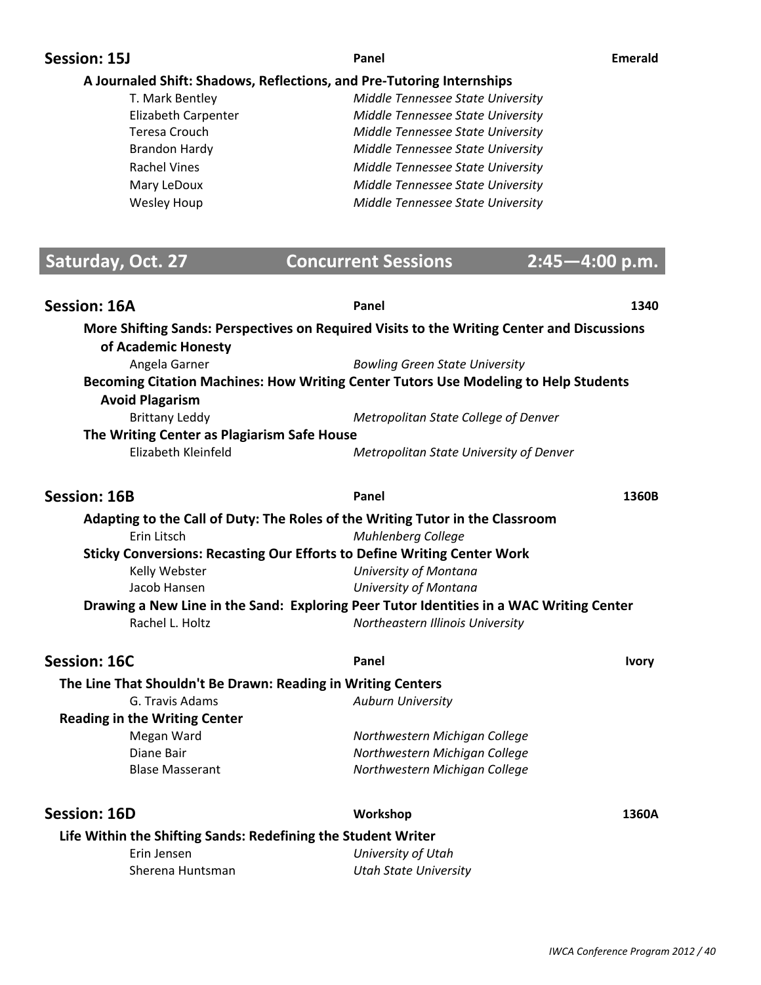## **Session: 15J Panel Emerald**

### **A Journaled Shift: Shadows, Reflections, and PreͲTutoring Internships**

| T. Mark Bentley      | Middle Tennessee State University |
|----------------------|-----------------------------------|
| Elizabeth Carpenter  | Middle Tennessee State University |
| Teresa Crouch        | Middle Tennessee State University |
| <b>Brandon Hardy</b> | Middle Tennessee State University |
| <b>Rachel Vines</b>  | Middle Tennessee State University |
| Mary LeDoux          | Middle Tennessee State University |
| Wesley Houp          | Middle Tennessee State University |
|                      |                                   |

# **Saturday, Oct. 27 Concurrent Sessions 2:45-4:00 p.m.**

| <b>Session: 16A</b> |                                                               | Panel                                                                                      | 1340         |
|---------------------|---------------------------------------------------------------|--------------------------------------------------------------------------------------------|--------------|
|                     | of Academic Honesty                                           | More Shifting Sands: Perspectives on Required Visits to the Writing Center and Discussions |              |
|                     | Angela Garner                                                 | <b>Bowling Green State University</b>                                                      |              |
|                     | <b>Avoid Plagarism</b>                                        | Becoming Citation Machines: How Writing Center Tutors Use Modeling to Help Students        |              |
|                     | <b>Brittany Leddy</b>                                         | Metropolitan State College of Denver                                                       |              |
|                     | The Writing Center as Plagiarism Safe House                   |                                                                                            |              |
|                     | Elizabeth Kleinfeld                                           | Metropolitan State University of Denver                                                    |              |
| <b>Session: 16B</b> |                                                               | Panel                                                                                      | 1360B        |
|                     |                                                               | Adapting to the Call of Duty: The Roles of the Writing Tutor in the Classroom              |              |
|                     | Erin Litsch                                                   | <b>Muhlenberg College</b>                                                                  |              |
|                     |                                                               | <b>Sticky Conversions: Recasting Our Efforts to Define Writing Center Work</b>             |              |
|                     | Kelly Webster                                                 | University of Montana                                                                      |              |
|                     | Jacob Hansen                                                  | University of Montana                                                                      |              |
|                     |                                                               | Drawing a New Line in the Sand: Exploring Peer Tutor Identities in a WAC Writing Center    |              |
|                     | Rachel L. Holtz                                               | Northeastern Illinois University                                                           |              |
| <b>Session: 16C</b> |                                                               | Panel                                                                                      | <b>Ivory</b> |
|                     | The Line That Shouldn't Be Drawn: Reading in Writing Centers  |                                                                                            |              |
|                     | G. Travis Adams                                               | <b>Auburn University</b>                                                                   |              |
|                     | <b>Reading in the Writing Center</b>                          |                                                                                            |              |
|                     | Megan Ward                                                    | Northwestern Michigan College                                                              |              |
|                     | Diane Bair                                                    | Northwestern Michigan College                                                              |              |
|                     | <b>Blase Masserant</b>                                        | Northwestern Michigan College                                                              |              |
| <b>Session: 16D</b> |                                                               | Workshop                                                                                   | 1360A        |
|                     | Life Within the Shifting Sands: Redefining the Student Writer |                                                                                            |              |
|                     | Erin Jensen                                                   | University of Utah                                                                         |              |
|                     | Sherena Huntsman                                              | <b>Utah State University</b>                                                               |              |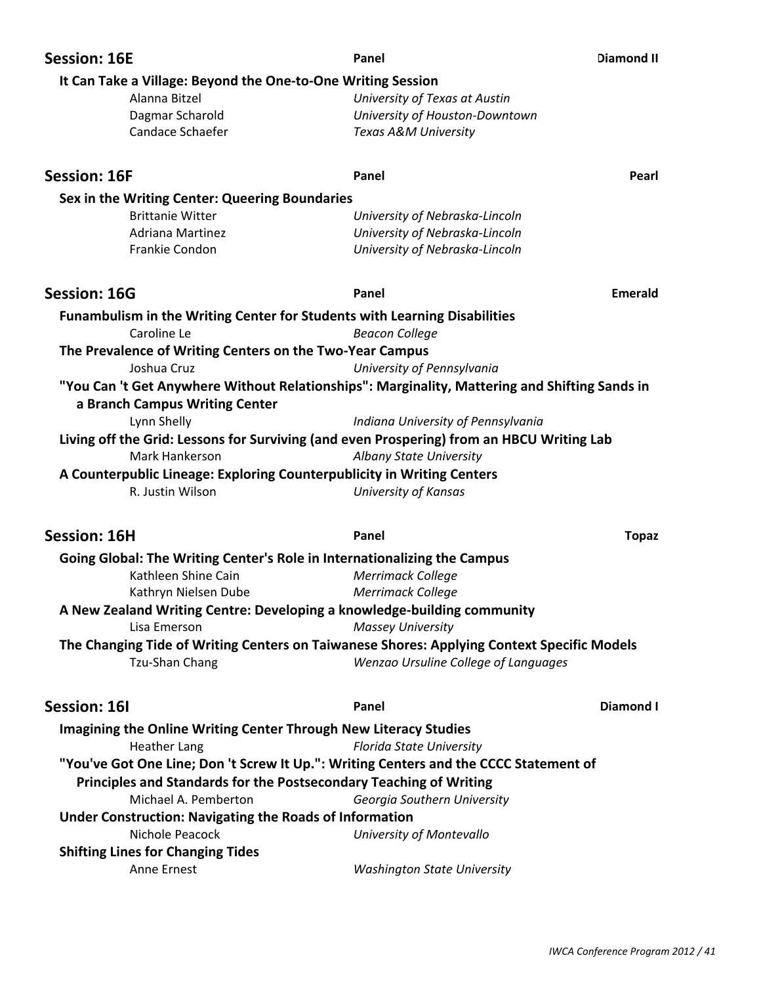| <b>Session: 16E</b>                                                                           | Panel                                | <b>Diamond II</b> |
|-----------------------------------------------------------------------------------------------|--------------------------------------|-------------------|
| It Can Take a Village: Beyond the One-to-One Writing Session                                  |                                      |                   |
| Alanna Bitzel                                                                                 | University of Texas at Austin        |                   |
| Dagmar Scharold                                                                               | University of Houston-Downtown       |                   |
| Candace Schaefer                                                                              | Texas A&M University                 |                   |
| <b>Session: 16F</b>                                                                           | Panel                                | Pearl             |
|                                                                                               |                                      |                   |
| Sex in the Writing Center: Queering Boundaries                                                |                                      |                   |
| <b>Brittanie Witter</b>                                                                       | University of Nebraska-Lincoln       |                   |
| <b>Adriana Martinez</b>                                                                       | University of Nebraska-Lincoln       |                   |
| Frankie Condon                                                                                | University of Nebraska-Lincoln       |                   |
| <b>Session: 16G</b>                                                                           | Panel                                | Emerald           |
| Funambulism in the Writing Center for Students with Learning Disabilities                     |                                      |                   |
| Caroline Le                                                                                   | <b>Beacon College</b>                |                   |
| The Prevalence of Writing Centers on the Two-Year Campus                                      |                                      |                   |
| Joshua Cruz                                                                                   | University of Pennsylvania           |                   |
| "You Can 't Get Anywhere Without Relationships": Marginality, Mattering and Shifting Sands in |                                      |                   |
| a Branch Campus Writing Center                                                                |                                      |                   |
|                                                                                               |                                      |                   |
| Lynn Shelly                                                                                   | Indiana University of Pennsylvania   |                   |
| Living off the Grid: Lessons for Surviving (and even Prospering) from an HBCU Writing Lab     |                                      |                   |
| Mark Hankerson                                                                                | Albany State University              |                   |
| A Counterpublic Lineage: Exploring Counterpublicity in Writing Centers                        |                                      |                   |
| R. Justin Wilson                                                                              | <b>University of Kansas</b>          |                   |
| <b>Session: 16H</b>                                                                           | Panel                                | <b>Topaz</b>      |
| Going Global: The Writing Center's Role in Internationalizing the Campus                      |                                      |                   |
| Kathleen Shine Cain                                                                           | Merrimack College                    |                   |
| Kathryn Nielsen Dube                                                                          | <b>Merrimack College</b>             |                   |
| A New Zealand Writing Centre: Developing a knowledge-building community                       |                                      |                   |
| Lisa Emerson                                                                                  | <b>Massey University</b>             |                   |
| The Changing Tide of Writing Centers on Taiwanese Shores: Applying Context Specific Models    |                                      |                   |
| Tzu-Shan Chang                                                                                | Wenzao Ursuline College of Languages |                   |
| <b>Session: 16I</b>                                                                           | Panel                                | Diamond I         |
| <b>Imagining the Online Writing Center Through New Literacy Studies</b>                       |                                      |                   |
| <b>Heather Lang</b>                                                                           | <b>Florida State University</b>      |                   |
| "You've Got One Line; Don 't Screw It Up.": Writing Centers and the CCCC Statement of         |                                      |                   |
| Principles and Standards for the Postsecondary Teaching of Writing                            |                                      |                   |
| Michael A. Pemberton                                                                          | Georgia Southern University          |                   |
| <b>Under Construction: Navigating the Roads of Information</b>                                |                                      |                   |
| Nichole Peacock                                                                               | University of Montevallo             |                   |
| <b>Shifting Lines for Changing Tides</b>                                                      |                                      |                   |
| Anne Ernest                                                                                   | <b>Washington State University</b>   |                   |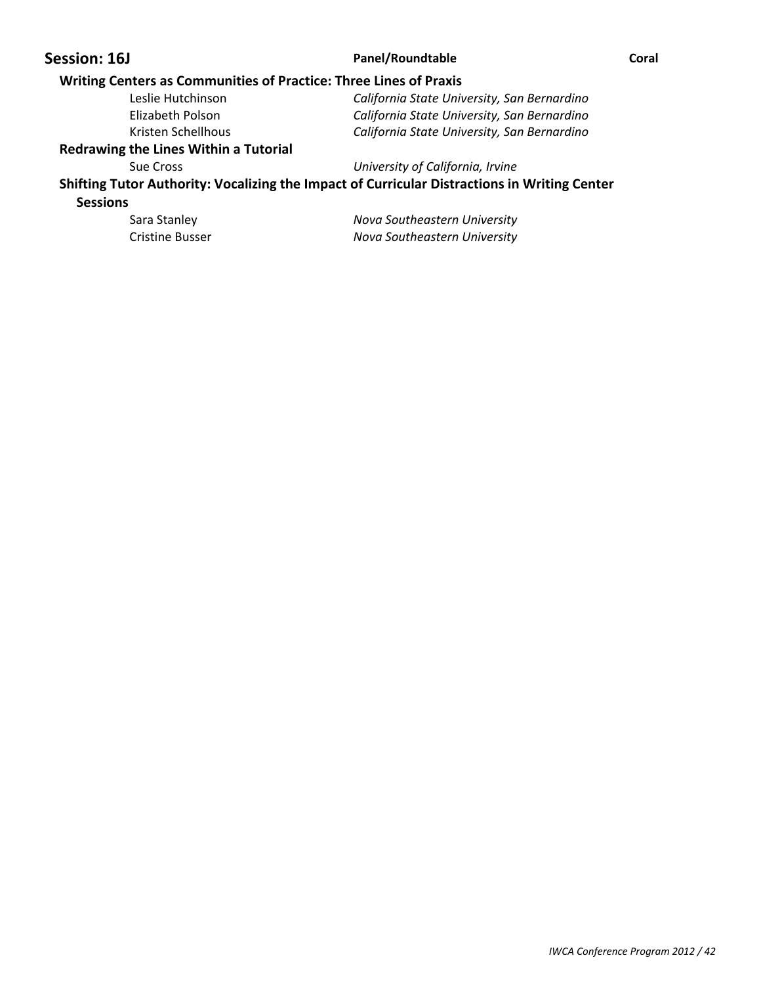### **Session: 16J Panel/Roundtable Coral**

### **Writing Centers as Communities of Practice: Three Lines of Praxis**

| Leslie Hutchinson  | California State University, San Bernardino |
|--------------------|---------------------------------------------|
| Elizabeth Polson   | California State University, San Bernardino |
| Kristen Schellhous | California State University, San Bernardino |
|                    |                                             |

### **Redrawing the Lines Within a Tutorial**

Sue Cross *University of California, Irvine*

**Shifting Tutor Authority: Vocalizing the Impact of Curricular Distractions in Writing Center Sessions**

 Sara Stanley *Nova Southeastern University* Cristine Busser *Nova Southeastern University*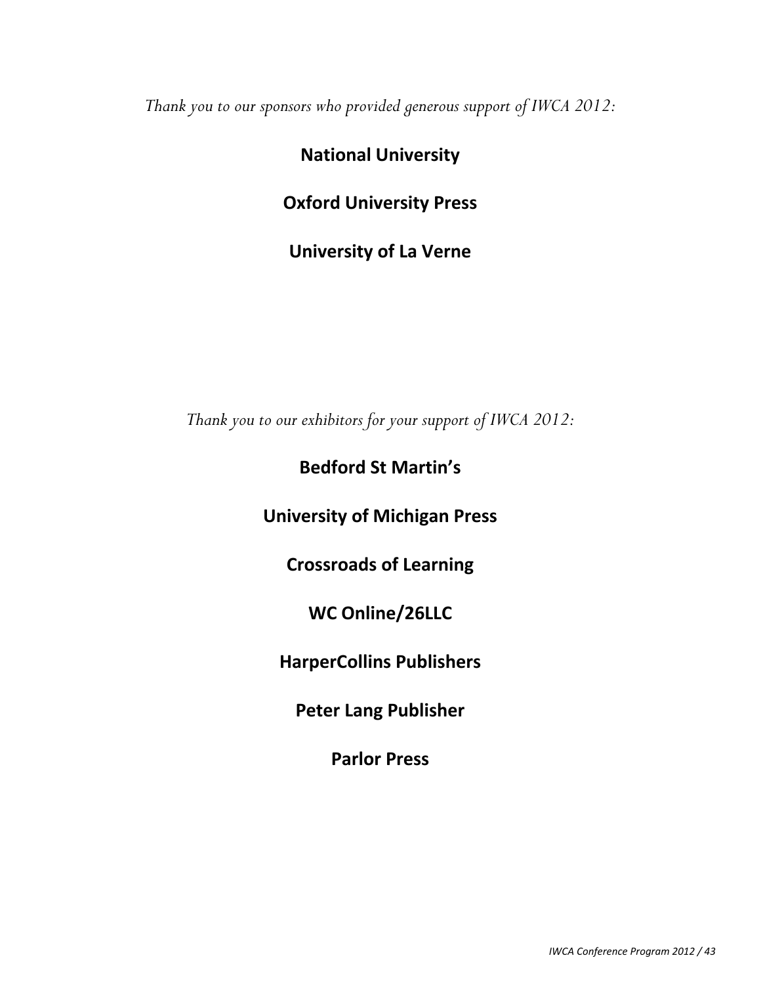*Thank you to our sponsors who provided generous support of IWCA 2012:* 

# **National University**

# **Oxford University Press**

**University of La Verne**

*Thank you to our exhibitors for your support of IWCA 2012:* 

# **Bedford St Martin`s**

# **University of Michigan Press**

**Crossroads of Learning**

**WC Online/26LLC**

**HarperCollins Publishers**

**Peter Lang Publisher**

**Parlor Press**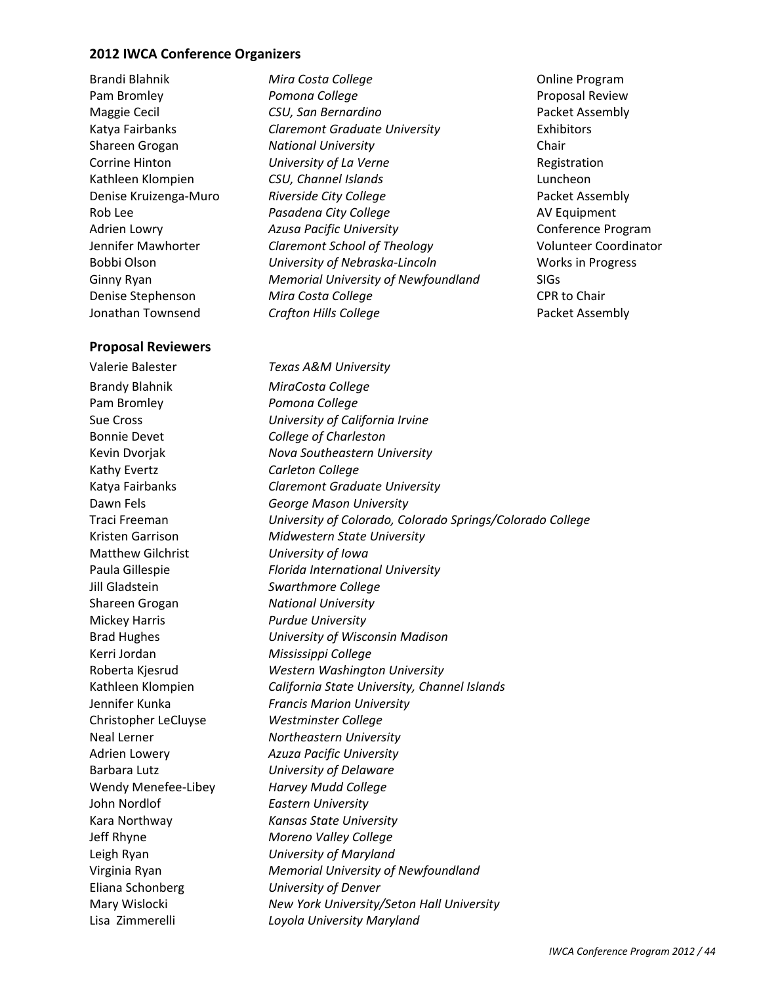### **2012 IWCA Conference Organizers**

### **Proposal Reviewers**

Valerie Balester *Texas A&M University* Brandy Blahnik *MiraCosta College* Pam Bromley *Pomona College* Bonnie Devet *College of Charleston* Kathy Evertz *Carleton College* Matthew Gilchrist *University of Iowa* Jill Gladstein *Swarthmore College* Shareen Grogan *National University* Mickey Harris *Purdue University* Kerri Jordan *Mississippi College* Christopher LeCluyse *Westminster College* Wendy Menefee-Libey *Harvey Mudd College* John Nordlof *Eastern University* Eliana Schonberg *University of Denver* LisaZimmerelli *Loyola University Maryland*

Brandi Blahnik *Mira Costa College* Online Program Pam Bromley *Pomona College* Proposal Review Maggie Cecil *CSU, San Bernardino*  Packet Assembly Katya Fairbanks *Claremont Graduate University* Exhibitors Shareen Grogan *National University* Chair Corrine Hinton *University of La Verne* Registration Kathleen Klompien *CSU, Channel Islands* Luncheon Denise KruizengaͲMuro *Riverside City College*  Packet Assembly Rob Lee *Pasadena City College* AV Equipment Adrien Lowry *Azusa Pacific University* Conference Program Jennifer Mawhorter *Claremont School of Theology*  Volunteer Coordinator Bobbi Olson *University of NebraskaͲLincoln* Works in Progress Ginny Ryan *Memorial University of Newfoundland* SIGs Denise Stephenson *Mira Costa College* CPR to Chair Jonathan Townsend *Crafton Hills College*  Packet Assembly

Sue Cross *University of California Irvine* Kevin Dvorjak *Nova Southeastern University* Katya Fairbanks *Claremont Graduate University* Dawn Fels *George Mason University* Traci Freeman *University of Colorado, Colorado Springs/Colorado College* Kristen Garrison *Midwestern State University* Paula Gillespie *Florida International University* Brad Hughes *University of Wisconsin Madison* Roberta Kjesrud *Western Washington University* Kathleen Klompien *California State University, Channel Islands* Jennifer Kunka *Francis Marion University* Neal Lerner *Northeastern University* Adrien Lowery *Azuza Pacific University* Barbara Lutz *University of Delaware* Kara Northway *Kansas State University* Jeff Rhyne *Moreno Valley College* Leigh Ryan *University of Maryland* Virginia Ryan *Memorial University of Newfoundland* Mary Wislocki *New York University/Seton Hall University*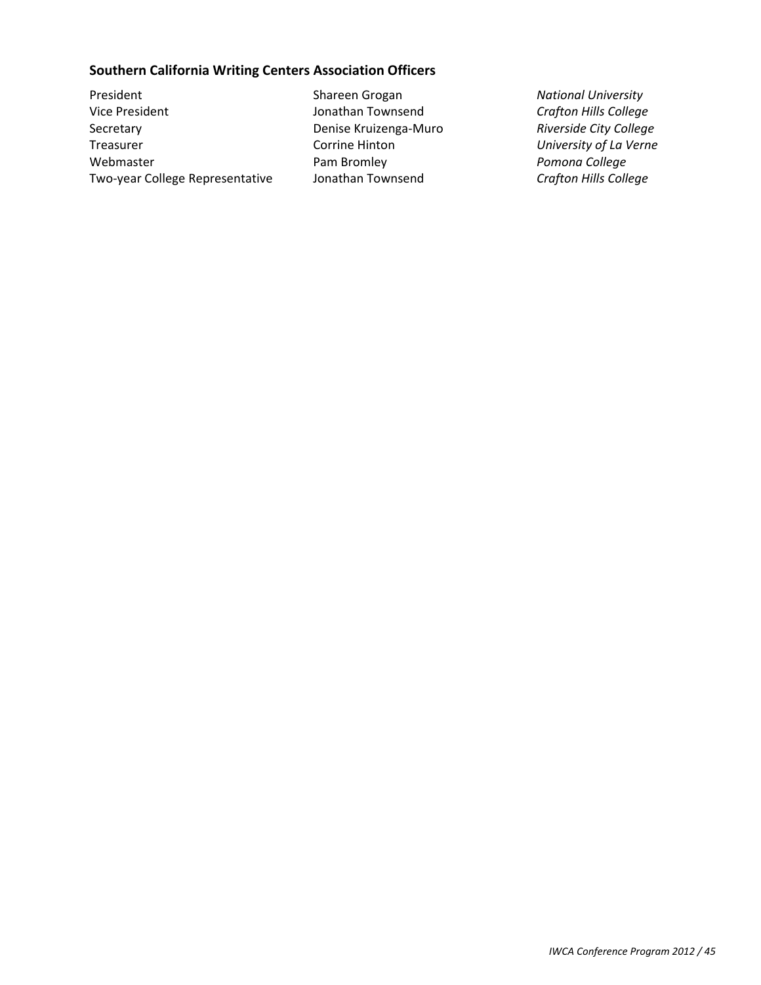### **Southern California Writing Centers Association Officers**

President Shareen Grogan *National University* Vice President Jonathan Townsend *Crafton Hills College* Secretary Denise KruizengaͲMuro *Riverside City College* Treasurer Corrine Hinton *University of La Verne* Webmaster Pam Bromley *Pomona College* Two-year College Representative Jonathan Townsend *Crafton Hills College*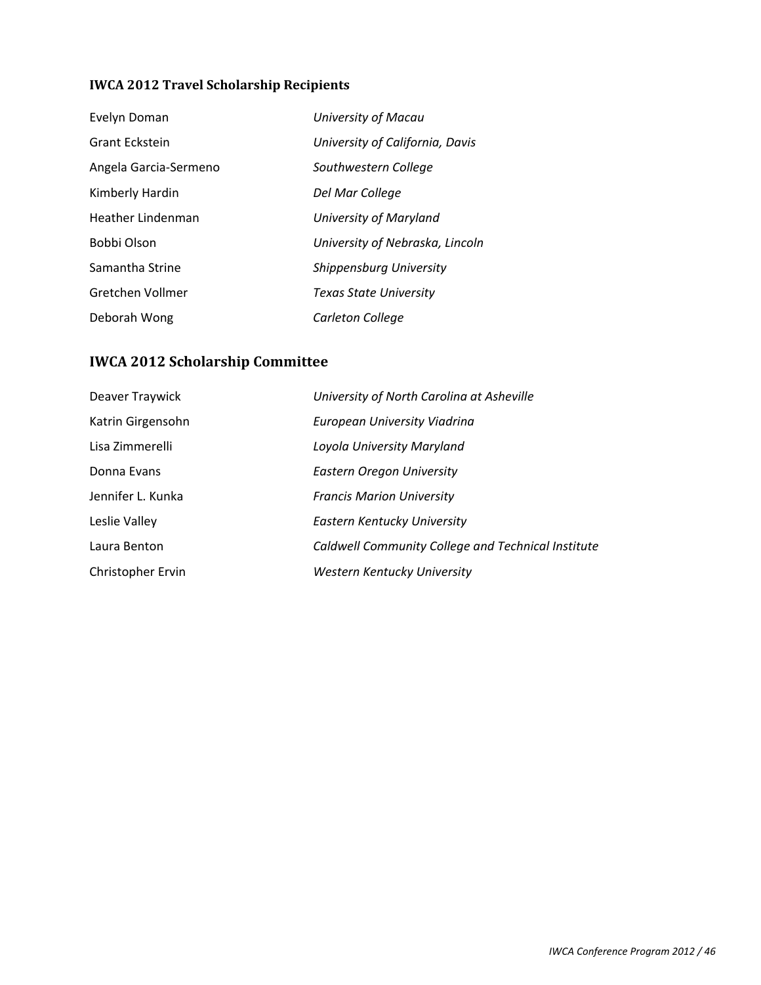### **IWCA 2012 Travel Scholarship Recipients**

| Evelyn Doman          | <b>University of Macau</b>      |
|-----------------------|---------------------------------|
| <b>Grant Eckstein</b> | University of California, Davis |
| Angela Garcia-Sermeno | Southwestern College            |
| Kimberly Hardin       | Del Mar College                 |
| Heather Lindenman     | University of Maryland          |
| Bobbi Olson           | University of Nebraska, Lincoln |
| Samantha Strine       | Shippensburg University         |
| Gretchen Vollmer      | <b>Texas State University</b>   |
| Deborah Wong          | Carleton College                |

# **IWCA 2012 Scholarship Committee**

| Deaver Traywick   | University of North Carolina at Asheville          |
|-------------------|----------------------------------------------------|
| Katrin Girgensohn | European University Viadrina                       |
| Lisa Zimmerelli   | Loyola University Maryland                         |
| Donna Evans       | Eastern Oregon University                          |
| Jennifer L. Kunka | <b>Francis Marion University</b>                   |
| Leslie Valley     | Eastern Kentucky University                        |
| Laura Benton      | Caldwell Community College and Technical Institute |
| Christopher Ervin | Western Kentucky University                        |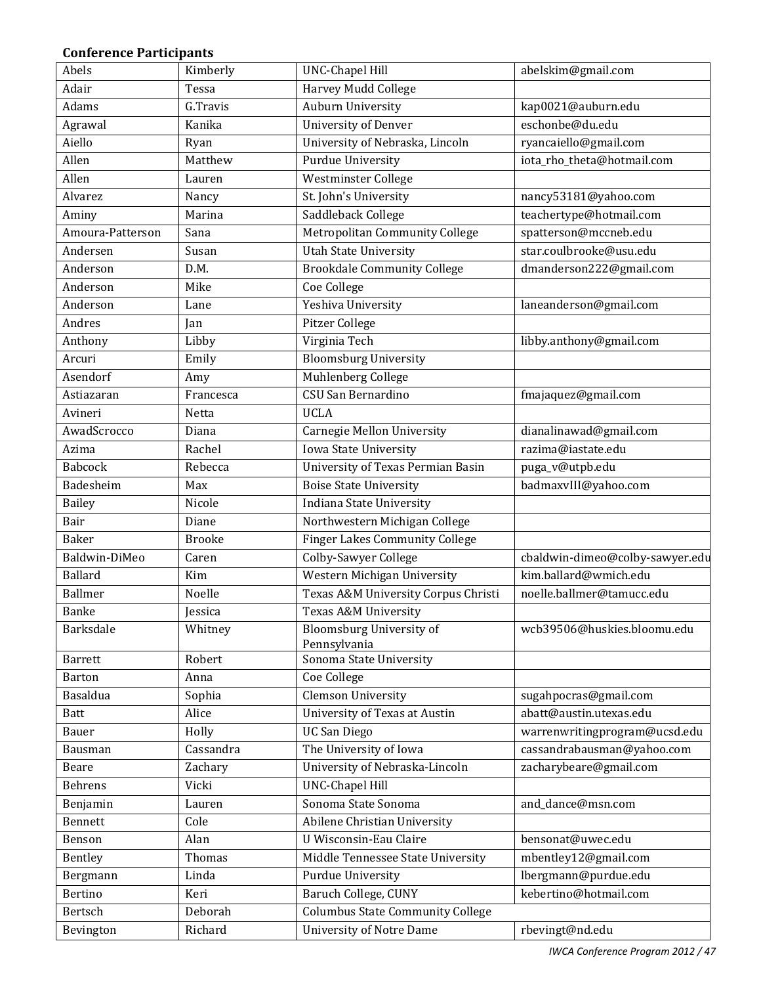### **Conference Participants**

| Abels            | Kimberly      | <b>UNC-Chapel Hill</b>                  | abelskim@gmail.com              |
|------------------|---------------|-----------------------------------------|---------------------------------|
| Adair            | Tessa         | Harvey Mudd College                     |                                 |
| Adams            | G.Travis      | Auburn University                       | kap0021@auburn.edu              |
| Agrawal          | Kanika        | <b>University of Denver</b>             | eschonbe@du.edu                 |
| Aiello           | Ryan          | University of Nebraska, Lincoln         | ryancaiello@gmail.com           |
| Allen            | Matthew       | <b>Purdue University</b>                | iota_rho_theta@hotmail.com      |
| Allen            | Lauren        | Westminster College                     |                                 |
| Alvarez          | Nancy         | St. John's University                   | nancy53181@yahoo.com            |
| Aminy            | Marina        | Saddleback College                      | teachertype@hotmail.com         |
| Amoura-Patterson | Sana          | Metropolitan Community College          | spatterson@mccneb.edu           |
| Andersen         | Susan         | <b>Utah State University</b>            | star.coulbrooke@usu.edu         |
| Anderson         | D.M.          | <b>Brookdale Community College</b>      | dmanderson222@gmail.com         |
| Anderson         | Mike          | Coe College                             |                                 |
| Anderson         | Lane          | Yeshiva University                      | laneanderson@gmail.com          |
| Andres           | Jan           | Pitzer College                          |                                 |
| Anthony          | Libby         | Virginia Tech                           | libby.anthony@gmail.com         |
| Arcuri           | Emily         | <b>Bloomsburg University</b>            |                                 |
| Asendorf         | Amy           | Muhlenberg College                      |                                 |
| Astiazaran       | Francesca     | CSU San Bernardino                      | fmajaquez@gmail.com             |
| Avineri          | Netta         | <b>UCLA</b>                             |                                 |
| AwadScrocco      | Diana         | <b>Carnegie Mellon University</b>       | dianalinawad@gmail.com          |
| Azima            | Rachel        | Iowa State University                   | razima@iastate.edu              |
| <b>Babcock</b>   | Rebecca       | University of Texas Permian Basin       | puga_v@utpb.edu                 |
| Badesheim        | Max           | <b>Boise State University</b>           | badmaxvIII@yahoo.com            |
| <b>Bailey</b>    | Nicole        | Indiana State University                |                                 |
| Bair             | Diane         | Northwestern Michigan College           |                                 |
| <b>Baker</b>     | <b>Brooke</b> | <b>Finger Lakes Community College</b>   |                                 |
| Baldwin-DiMeo    | Caren         | Colby-Sawyer College                    | cbaldwin-dimeo@colby-sawyer.edu |
| Ballard          | Kim           | Western Michigan University             | kim.ballard@wmich.edu           |
| <b>Ballmer</b>   | Noelle        | Texas A&M University Corpus Christi     | noelle.ballmer@tamucc.edu       |
| Banke            | Jessica       | Texas A&M University                    |                                 |
| Barksdale        |               | Bloomsburg University of                | wcb39506@huskies.bloomu.edu     |
|                  | Whitney       | Pennsylvania                            |                                 |
| <b>Barrett</b>   | Robert        | Sonoma State University                 |                                 |
| Barton           | Anna          | Coe College                             |                                 |
| Basaldua         | Sophia        | <b>Clemson University</b>               | sugahpocras@gmail.com           |
| <b>Batt</b>      | Alice         | University of Texas at Austin           | abatt@austin.utexas.edu         |
| Bauer            | Holly         | <b>UC San Diego</b>                     | warrenwritingprogram@ucsd.edu   |
| Bausman          | Cassandra     | The University of Iowa                  | cassandrabausman@yahoo.com      |
| Beare            | Zachary       | University of Nebraska-Lincoln          | zacharybeare@gmail.com          |
| Behrens          | Vicki         | <b>UNC-Chapel Hill</b>                  |                                 |
| Benjamin         | Lauren        | Sonoma State Sonoma                     | and_dance@msn.com               |
| Bennett          | Cole          | Abilene Christian University            |                                 |
| Benson           | Alan          | U Wisconsin-Eau Claire                  | bensonat@uwec.edu               |
| Bentley          | Thomas        | Middle Tennessee State University       | mbentley12@gmail.com            |
| Bergmann         | Linda         | <b>Purdue University</b>                | lbergmann@purdue.edu            |
| Bertino          | Keri          | Baruch College, CUNY                    | kebertino@hotmail.com           |
| Bertsch          | Deborah       | <b>Columbus State Community College</b> |                                 |
| Bevington        | Richard       | <b>University of Notre Dame</b>         | rbevingt@nd.edu                 |

*IWCA Conference Program 2012 / 47*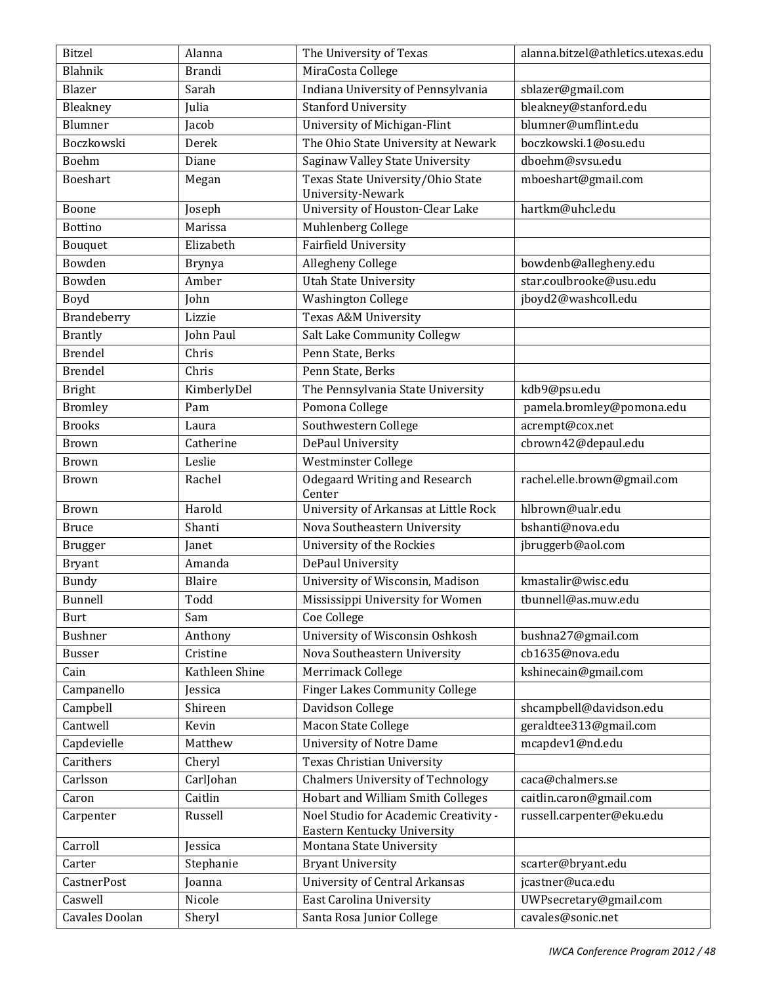| <b>Bitzel</b>      | Alanna         | The University of Texas                                 | alanna.bitzel@athletics.utexas.edu |
|--------------------|----------------|---------------------------------------------------------|------------------------------------|
| Blahnik            | <b>Brandi</b>  | MiraCosta College                                       |                                    |
| Blazer             | Sarah          | Indiana University of Pennsylvania                      | sblazer@gmail.com                  |
| Bleakney           | Julia          | Stanford University                                     | bleakney@stanford.edu              |
| Blumner            | Jacob          | University of Michigan-Flint                            | blumner@umflint.edu                |
| Boczkowski         | Derek          | The Ohio State University at Newark                     | boczkowski.1@osu.edu               |
| Boehm              | Diane          | Saginaw Valley State University                         | dboehm@svsu.edu                    |
| Boeshart           | Megan          | Texas State University/Ohio State                       | mboeshart@gmail.com                |
|                    |                | University-Newark                                       |                                    |
| Boone              | Joseph         | University of Houston-Clear Lake                        | hartkm@uhcl.edu                    |
| <b>Bottino</b>     | Marissa        | Muhlenberg College                                      |                                    |
| Bouquet            | Elizabeth      | Fairfield University                                    |                                    |
| Bowden             | <b>Brynya</b>  | Allegheny College                                       | bowdenb@allegheny.edu              |
| Bowden             | Amber          | <b>Utah State University</b>                            | star.coulbrooke@usu.edu            |
| Boyd               | John           | <b>Washington College</b>                               | jboyd2@washcoll.edu                |
| Brandeberry        | Lizzie         | <b>Texas A&amp;M University</b>                         |                                    |
| <b>Brantly</b>     | John Paul      | Salt Lake Community Collegw                             |                                    |
| <b>Brendel</b>     | Chris          | Penn State, Berks                                       |                                    |
| <b>Brendel</b>     | Chris          | Penn State, Berks                                       |                                    |
| <b>Bright</b>      | KimberlyDel    | The Pennsylvania State University                       | kdb9@psu.edu                       |
| <b>Bromley</b>     | Pam            | Pomona College                                          | pamela.bromley@pomona.edu          |
| <b>Brooks</b>      | Laura          | Southwestern College                                    | acrempt@cox.net                    |
| <b>Brown</b>       | Catherine      | DePaul University                                       | cbrown42@depaul.edu                |
| <b>Brown</b>       | Leslie         | Westminster College                                     |                                    |
| <b>Brown</b>       | Rachel         | Odegaard Writing and Research                           | rachel.elle.brown@gmail.com        |
|                    |                | Center                                                  |                                    |
| <b>Brown</b>       | Harold         | University of Arkansas at Little Rock                   | hlbrown@ualr.edu                   |
| <b>Bruce</b>       | Shanti         | Nova Southeastern University                            | bshanti@nova.edu                   |
| <b>Brugger</b>     | Janet          | University of the Rockies                               | jbruggerb@aol.com                  |
| <b>Bryant</b>      | Amanda         | DePaul University                                       |                                    |
| <b>Bundy</b>       | Blaire         | University of Wisconsin, Madison                        | kmastalir@wisc.edu                 |
| Bunnell            | Todd           | Mississippi University for Women                        | tbunnell@as.muw.edu                |
| Burt               | Sam            | Coe College                                             |                                    |
| <b>Bushner</b>     | Anthony        | University of Wisconsin Oshkosh                         | bushna27@gmail.com                 |
| <b>Busser</b>      | Cristine       | Nova Southeastern University                            | cb1635@nova.edu                    |
| Cain               | Kathleen Shine | Merrimack College                                       | kshinecain@gmail.com               |
| Campanello         | Jessica        | <b>Finger Lakes Community College</b>                   |                                    |
| Campbell           | Shireen        | Davidson College                                        | shcampbell@davidson.edu            |
| Cantwell           | Kevin          | Macon State College                                     | geraldtee313@gmail.com             |
| Capdevielle        | Matthew        | <b>University of Notre Dame</b>                         | mcapdev1@nd.edu                    |
| Carithers          | Cheryl         | Texas Christian University                              |                                    |
| Carlsson           | CarlJohan      | <b>Chalmers University of Technology</b>                | caca@chalmers.se                   |
| Caron              | Caitlin        | <b>Hobart and William Smith Colleges</b>                | caitlin.caron@gmail.com            |
| Carpenter          | Russell        | Noel Studio for Academic Creativity -                   | russell.carpenter@eku.edu          |
| Carroll            | Jessica        | Eastern Kentucky University<br>Montana State University |                                    |
| Carter             | Stephanie      | <b>Bryant University</b>                                | scarter@bryant.edu                 |
| <b>CastnerPost</b> | Joanna         | <b>University of Central Arkansas</b>                   | jcastner@uca.edu                   |
| Caswell            | Nicole         | <b>East Carolina University</b>                         | UWPsecretary@gmail.com             |
| Cavales Doolan     | Sheryl         | Santa Rosa Junior College                               | cavales@sonic.net                  |
|                    |                |                                                         |                                    |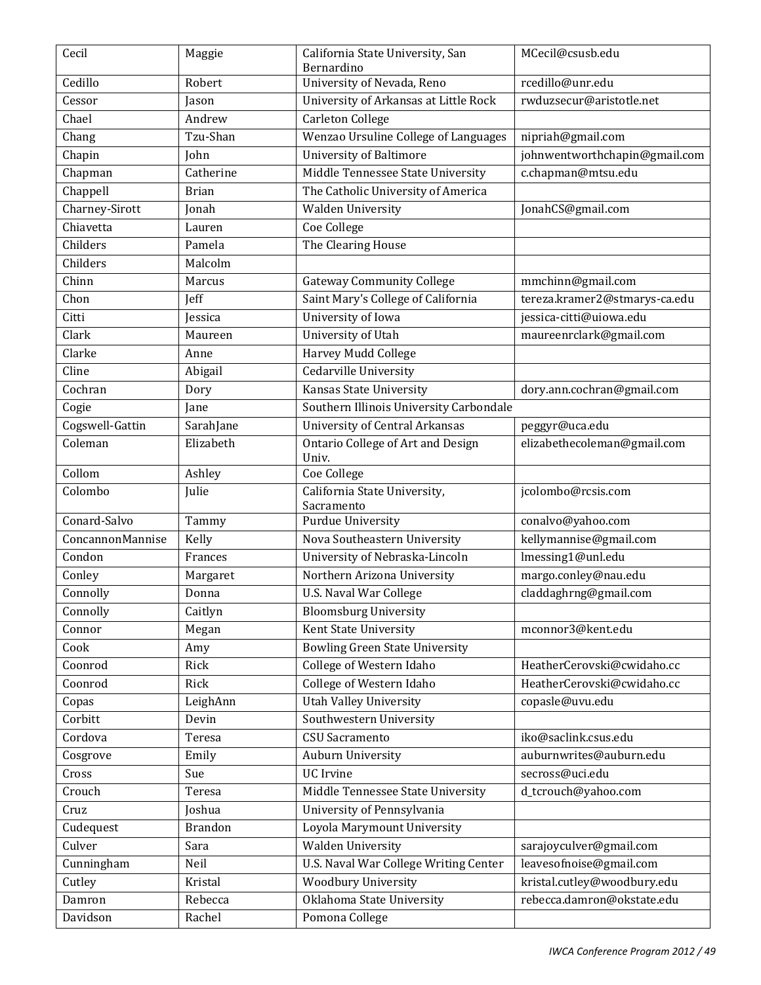| Cecil                       | Maggie           | California State University, San                                       | MCecil@csusb.edu                                   |
|-----------------------------|------------------|------------------------------------------------------------------------|----------------------------------------------------|
| Cedillo                     | Robert           | Bernardino<br>University of Nevada, Reno                               | rcedillo@unr.edu                                   |
| Cessor                      |                  | University of Arkansas at Little Rock                                  | rwduzsecur@aristotle.net                           |
| Chael                       | Jason<br>Andrew  |                                                                        |                                                    |
|                             | Tzu-Shan         | <b>Carleton College</b><br>Wenzao Ursuline College of Languages        |                                                    |
| Chang                       |                  | <b>University of Baltimore</b>                                         | nipriah@gmail.com<br>johnwentworthchapin@gmail.com |
| Chapin                      | John             |                                                                        |                                                    |
| Chapman                     | Catherine        | Middle Tennessee State University                                      | c.chapman@mtsu.edu                                 |
| Chappell                    | <b>Brian</b>     | The Catholic University of America                                     |                                                    |
| Charney-Sirott<br>Chiavetta | Jonah            | Walden University                                                      | JonahCS@gmail.com                                  |
| Childers                    | Lauren<br>Pamela | Coe College                                                            |                                                    |
| Childers                    | Malcolm          | The Clearing House                                                     |                                                    |
| Chinn                       | Marcus           |                                                                        |                                                    |
| Chon                        |                  | <b>Gateway Community College</b><br>Saint Mary's College of California | mmchinn@gmail.com<br>tereza.kramer2@stmarys-ca.edu |
| Citti                       | Jeff             | University of Iowa                                                     |                                                    |
|                             | Jessica          |                                                                        | jessica-citti@uiowa.edu                            |
| Clark                       | Maureen          | University of Utah                                                     | maureenrclark@gmail.com                            |
| Clarke                      | Anne             | Harvey Mudd College                                                    |                                                    |
| Cline                       | Abigail          | <b>Cedarville University</b>                                           |                                                    |
| Cochran                     | Dory             | Kansas State University                                                | dory.ann.cochran@gmail.com                         |
| Cogie                       | Jane             | Southern Illinois University Carbondale                                |                                                    |
| Cogswell-Gattin             | SarahJane        | <b>University of Central Arkansas</b>                                  | peggyr@uca.edu                                     |
| Coleman                     | Elizabeth        | Ontario College of Art and Design<br>Univ.                             | elizabethecoleman@gmail.com                        |
| Collom                      | Ashley           | <b>Coe College</b>                                                     |                                                    |
| Colombo                     | Julie            | California State University,                                           | jcolombo@rcsis.com                                 |
|                             |                  | Sacramento                                                             |                                                    |
| Conard-Salvo                | Tammy            | <b>Purdue University</b>                                               | conalvo@yahoo.com                                  |
| ConcannonMannise            | Kelly            | Nova Southeastern University                                           | kellymannise@gmail.com                             |
| Condon                      | Frances          | University of Nebraska-Lincoln                                         | Imessing1@unl.edu                                  |
| Conley                      | Margaret         | Northern Arizona University                                            | margo.conley@nau.edu                               |
| Connolly                    | Donna            | <b>U.S. Naval War College</b>                                          | claddaghrng@gmail.com                              |
| Connolly                    | Caitlyn          | <b>Bloomsburg University</b>                                           |                                                    |
| Connor                      | Megan            | Kent State University                                                  | mconnor3@kent.edu                                  |
| Cook                        | Amy              | <b>Bowling Green State University</b>                                  |                                                    |
| Coonrod                     | Rick             | College of Western Idaho                                               | HeatherCerovski@cwidaho.cc                         |
| Coonrod                     | Rick             | College of Western Idaho                                               | HeatherCerovski@cwidaho.cc                         |
| Copas                       | LeighAnn         | <b>Utah Valley University</b>                                          | copasle@uvu.edu                                    |
| Corbitt                     | Devin            | Southwestern University                                                |                                                    |
| Cordova                     | Teresa           | <b>CSU</b> Sacramento                                                  | iko@saclink.csus.edu                               |
| Cosgrove                    | Emily            | Auburn University                                                      | auburnwrites@auburn.edu                            |
| Cross                       | Sue              | <b>UC</b> Irvine                                                       | secross@uci.edu                                    |
| Crouch                      | Teresa           | Middle Tennessee State University                                      | d_tcrouch@yahoo.com                                |
| Cruz                        | Joshua           | University of Pennsylvania                                             |                                                    |
| Cudequest                   | <b>Brandon</b>   | Loyola Marymount University                                            |                                                    |
| Culver                      | Sara             | <b>Walden University</b>                                               | sarajoyculver@gmail.com                            |
| Cunningham                  | Neil             | U.S. Naval War College Writing Center                                  | leavesofnoise@gmail.com                            |
| Cutley                      | Kristal          | <b>Woodbury University</b>                                             | kristal.cutley@woodbury.edu                        |
| Damron                      | Rebecca          | Oklahoma State University                                              | rebecca.damron@okstate.edu                         |
| Davidson                    | Rachel           | Pomona College                                                         |                                                    |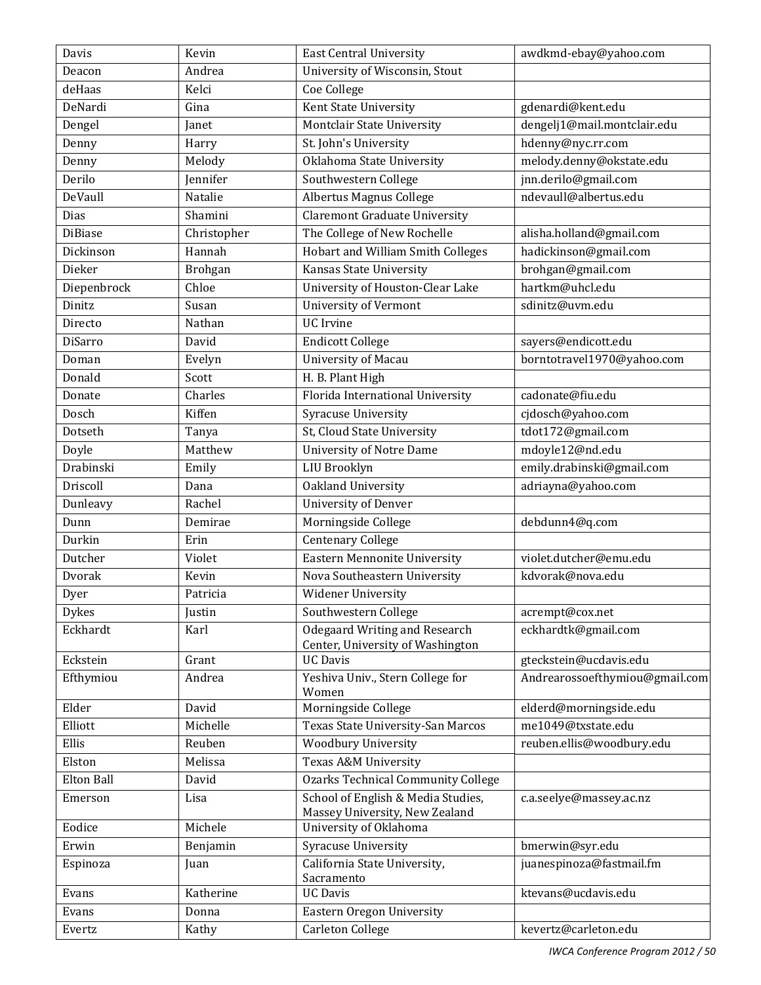| Davis             | Kevin          | <b>East Central University</b>                                       | awdkmd-ebay@yahoo.com          |
|-------------------|----------------|----------------------------------------------------------------------|--------------------------------|
| Deacon            | Andrea         | University of Wisconsin, Stout                                       |                                |
| deHaas            | Kelci          | Coe College                                                          |                                |
| DeNardi           | Gina           | Kent State University                                                | gdenardi@kent.edu              |
| Dengel            | Janet          | Montclair State University                                           | dengelj1@mail.montclair.edu    |
| Denny             | Harry          | St. John's University                                                | hdenny@nyc.rr.com              |
| Denny             | Melody         | Oklahoma State University                                            | melody.denny@okstate.edu       |
| Derilo            | Jennifer       | Southwestern College                                                 | jnn.derilo@gmail.com           |
| DeVaull           | Natalie        | <b>Albertus Magnus College</b>                                       | ndevaull@albertus.edu          |
| Dias              | Shamini        | <b>Claremont Graduate University</b>                                 |                                |
| <b>DiBiase</b>    | Christopher    | The College of New Rochelle                                          | alisha.holland@gmail.com       |
| Dickinson         | Hannah         | <b>Hobart and William Smith Colleges</b>                             | hadickinson@gmail.com          |
| Dieker            | <b>Brohgan</b> | Kansas State University                                              | brohgan@gmail.com              |
| Diepenbrock       | Chloe          | University of Houston-Clear Lake                                     | hartkm@uhcl.edu                |
| Dinitz            | Susan          | <b>University of Vermont</b>                                         | sdinitz@uvm.edu                |
| Directo           | Nathan         | <b>UC</b> Irvine                                                     |                                |
| <b>DiSarro</b>    | David          | <b>Endicott College</b>                                              | sayers@endicott.edu            |
| Doman             | Evelyn         | University of Macau                                                  | borntotravel1970@yahoo.com     |
| Donald            | Scott          | H. B. Plant High                                                     |                                |
| Donate            | Charles        | Florida International University                                     | cadonate@fiu.edu               |
| Dosch             | Kiffen         | Syracuse University                                                  | cjdosch@yahoo.com              |
| Dotseth           | Tanya          | St, Cloud State University                                           | tdot172@gmail.com              |
| Doyle             | Matthew        | <b>University of Notre Dame</b>                                      | mdoyle12@nd.edu                |
| Drabinski         | Emily          | <b>LIU Brooklyn</b>                                                  | emily.drabinski@gmail.com      |
| Driscoll          | Dana           | Oakland University                                                   | adriayna@yahoo.com             |
| Dunleavy          | Rachel         | <b>University of Denver</b>                                          |                                |
| Dunn              | Demirae        | Morningside College                                                  | debdunn4@q.com                 |
| Durkin            | Erin           | <b>Centenary College</b>                                             |                                |
| Dutcher           | Violet         | <b>Eastern Mennonite University</b>                                  | violet.dutcher@emu.edu         |
| Dvorak            | Kevin          | Nova Southeastern University                                         | kdvorak@nova.edu               |
| Dyer              | Patricia       | Widener University                                                   |                                |
| <b>Dykes</b>      | Justin         | Southwestern College                                                 | acrempt@cox.net                |
| Eckhardt          | Karl           | Odegaard Writing and Research                                        | eckhardtk@gmail.com            |
|                   |                | Center, University of Washington                                     |                                |
| Eckstein          | Grant          | <b>UC Davis</b>                                                      | gteckstein@ucdavis.edu         |
| Efthymiou         | Andrea         | Yeshiva Univ., Stern College for<br>Women                            | Andrearossoefthymiou@gmail.com |
| Elder             | David          | Morningside College                                                  | elderd@morningside.edu         |
| Elliott           | Michelle       | Texas State University-San Marcos                                    | me1049@txstate.edu             |
| Ellis             | Reuben         | <b>Woodbury University</b>                                           | reuben.ellis@woodbury.edu      |
| Elston            | Melissa        | Texas A&M University                                                 |                                |
| <b>Elton Ball</b> | David          | <b>Ozarks Technical Community College</b>                            |                                |
| Emerson           | Lisa           | School of English & Media Studies,<br>Massey University, New Zealand | c.a.seelye@massey.ac.nz        |
| Eodice            | Michele        | University of Oklahoma                                               |                                |
| Erwin             | Benjamin       | Syracuse University                                                  | bmerwin@syr.edu                |
| Espinoza          | Juan           | California State University,<br>Sacramento                           | juanespinoza@fastmail.fm       |
| Evans             | Katherine      | <b>UC Davis</b>                                                      | ktevans@ucdavis.edu            |
| Evans             | Donna          | Eastern Oregon University                                            |                                |
| Evertz            | Kathy          | Carleton College                                                     | kevertz@carleton.edu           |
|                   |                |                                                                      |                                |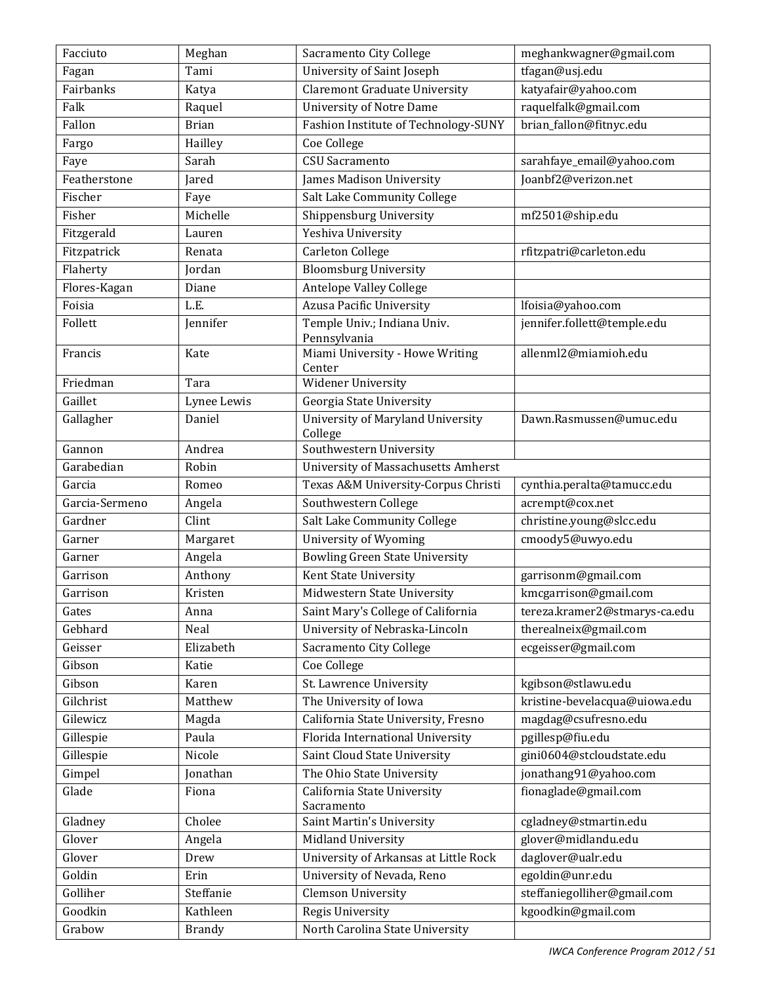| Facciuto       | Meghan        | Sacramento City College                      | meghankwagner@gmail.com       |
|----------------|---------------|----------------------------------------------|-------------------------------|
| Fagan          | Tami          | University of Saint Joseph                   | tfagan@usj.edu                |
| Fairbanks      | Katya         | <b>Claremont Graduate University</b>         | katyafair@yahoo.com           |
| Falk           | Raquel        | <b>University of Notre Dame</b>              | raquelfalk@gmail.com          |
| Fallon         | <b>Brian</b>  | Fashion Institute of Technology-SUNY         | brian_fallon@fitnyc.edu       |
| Fargo          | Hailley       | Coe College                                  |                               |
| Faye           | Sarah         | CSU Sacramento                               | sarahfaye_email@yahoo.com     |
| Featherstone   | Jared         | James Madison University                     | Joanbf2@verizon.net           |
| Fischer        | Faye          | Salt Lake Community College                  |                               |
| Fisher         | Michelle      | Shippensburg University                      | mf2501@ship.edu               |
| Fitzgerald     | Lauren        | Yeshiva University                           |                               |
| Fitzpatrick    | Renata        | Carleton College                             | rfitzpatri@carleton.edu       |
| Flaherty       | Jordan        | <b>Bloomsburg University</b>                 |                               |
| Flores-Kagan   | Diane         | <b>Antelope Valley College</b>               |                               |
| Foisia         | L.E.          | <b>Azusa Pacific University</b>              | lfoisia@yahoo.com             |
| Follett        | Jennifer      | Temple Univ.; Indiana Univ.                  | jennifer.follett@temple.edu   |
|                |               | Pennsylvania                                 |                               |
| Francis        | Kate          | Miami University - Howe Writing<br>Center    | allenml2@miamioh.edu          |
| Friedman       | Tara          | <b>Widener University</b>                    |                               |
| Gaillet        | Lynee Lewis   | Georgia State University                     |                               |
| Gallagher      | Daniel        | University of Maryland University<br>College | Dawn.Rasmussen@umuc.edu       |
| Gannon         | Andrea        | Southwestern University                      |                               |
| Garabedian     | Robin         | University of Massachusetts Amherst          |                               |
| Garcia         | Romeo         | Texas A&M University-Corpus Christi          | cynthia.peralta@tamucc.edu    |
| Garcia-Sermeno | Angela        | Southwestern College                         | acrempt@cox.net               |
| Gardner        | Clint         | Salt Lake Community College                  | christine.young@slcc.edu      |
| Garner         | Margaret      | University of Wyoming                        | cmoody5@uwyo.edu              |
| Garner         | Angela        | <b>Bowling Green State University</b>        |                               |
| Garrison       | Anthony       | Kent State University                        | garrisonm@gmail.com           |
| Garrison       | Kristen       | Midwestern State University                  | kmcgarrison@gmail.com         |
| Gates          | Anna          | Saint Mary's College of California           | tereza.kramer2@stmarys-ca.edu |
| Gebhard        | Neal          | University of Nebraska-Lincoln               | therealneix@gmail.com         |
| Geisser        | Elizabeth     | Sacramento City College                      | ecgeisser@gmail.com           |
| Gibson         | Katie         | Coe College                                  |                               |
| Gibson         | Karen         | St. Lawrence University                      | kgibson@stlawu.edu            |
| Gilchrist      | Matthew       | The University of Iowa                       | kristine-bevelacqua@uiowa.edu |
| Gilewicz       | Magda         | California State University, Fresno          | magdag@csufresno.edu          |
| Gillespie      | Paula         | Florida International University             | pgillesp@fiu.edu              |
| Gillespie      | Nicole        | Saint Cloud State University                 | gini0604@stcloudstate.edu     |
| Gimpel         | Jonathan      | The Ohio State University                    | jonathang91@yahoo.com         |
| Glade          | Fiona         | California State University                  | fionaglade@gmail.com          |
|                |               | Sacramento                                   |                               |
| Gladney        | Cholee        | Saint Martin's University                    | cgladney@stmartin.edu         |
| Glover         | Angela        | Midland University                           | glover@midlandu.edu           |
| Glover         | Drew          | University of Arkansas at Little Rock        | daglover@ualr.edu             |
| Goldin         | Erin          | University of Nevada, Reno                   | egoldin@unr.edu               |
| Golliher       | Steffanie     | <b>Clemson University</b>                    | steffaniegolliher@gmail.com   |
| Goodkin        | Kathleen      | Regis University                             | kgoodkin@gmail.com            |
| Grabow         | <b>Brandy</b> | North Carolina State University              |                               |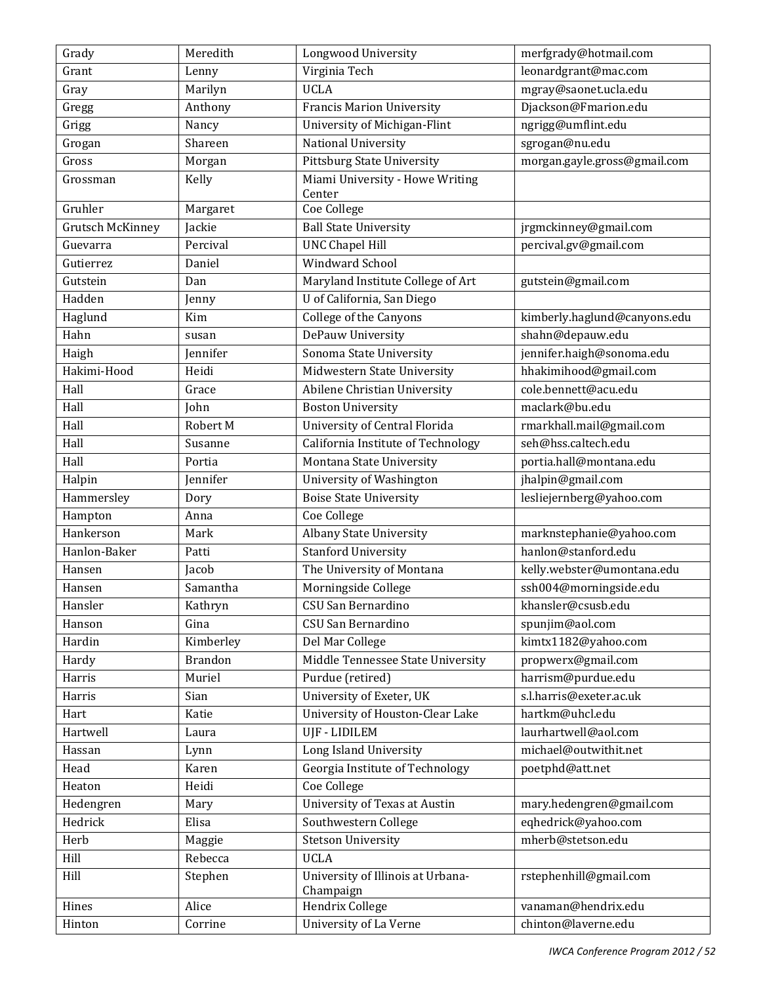| Grady                   | Meredith       | Longwood University                | merfgrady@hotmail.com        |
|-------------------------|----------------|------------------------------------|------------------------------|
| Grant                   | Lenny          | Virginia Tech                      | leonardgrant@mac.com         |
| Gray                    | Marilyn        | <b>UCLA</b>                        | mgray@saonet.ucla.edu        |
| Gregg                   | Anthony        | <b>Francis Marion University</b>   | Djackson@Fmarion.edu         |
| Grigg                   | Nancy          | University of Michigan-Flint       | ngrigg@umflint.edu           |
| Grogan                  | Shareen        | National University                | sgrogan@nu.edu               |
| Gross                   | Morgan         | <b>Pittsburg State University</b>  | morgan.gayle.gross@gmail.com |
| Grossman                | Kelly          | Miami University - Howe Writing    |                              |
|                         |                | Center                             |                              |
| Gruhler                 | Margaret       | Coe College                        |                              |
| <b>Grutsch McKinney</b> | Jackie         | <b>Ball State University</b>       | jrgmckinney@gmail.com        |
| Guevarra                | Percival       | <b>UNC Chapel Hill</b>             | percival.gv@gmail.com        |
| Gutierrez               | Daniel         | Windward School                    |                              |
| Gutstein                | Dan            | Maryland Institute College of Art  | gutstein@gmail.com           |
| Hadden                  | Jenny          | U of California, San Diego         |                              |
| Haglund                 | Kim            | <b>College of the Canyons</b>      | kimberly.haglund@canyons.edu |
| Hahn                    | susan          | DePauw University                  | shahn@depauw.edu             |
| Haigh                   | Jennifer       | Sonoma State University            | jennifer.haigh@sonoma.edu    |
| Hakimi-Hood             | Heidi          | Midwestern State University        | hhakimihood@gmail.com        |
| Hall                    | Grace          | Abilene Christian University       | cole.bennett@acu.edu         |
| Hall                    | John           | <b>Boston University</b>           | maclark@bu.edu               |
| Hall                    | Robert M       | University of Central Florida      | rmarkhall.mail@gmail.com     |
| Hall                    | Susanne        | California Institute of Technology | seh@hss.caltech.edu          |
| Hall                    | Portia         | Montana State University           | portia.hall@montana.edu      |
| Halpin                  | Jennifer       | University of Washington           | jhalpin@gmail.com            |
| Hammersley              | Dory           | <b>Boise State University</b>      | lesliejernberg@yahoo.com     |
| Hampton                 | Anna           | Coe College                        |                              |
| Hankerson               | Mark           | Albany State University            | marknstephanie@yahoo.com     |
| Hanlon-Baker            | Patti          | <b>Stanford University</b>         | hanlon@stanford.edu          |
| Hansen                  | Jacob          | The University of Montana          | kelly.webster@umontana.edu   |
| Hansen                  | Samantha       | Morningside College                | ssh004@morningside.edu       |
| Hansler                 | Kathryn        | CSU San Bernardino                 | khansler@csusb.edu           |
| Hanson                  | Gina           | CSU San Bernardino                 | spunjim@aol.com              |
| Hardin                  | Kimberley      | Del Mar College                    | kimtx1182@yahoo.com          |
| Hardy                   | <b>Brandon</b> | Middle Tennessee State University  | propwerx@gmail.com           |
| Harris                  | Muriel         | Purdue (retired)                   | harrism@purdue.edu           |
| Harris                  | Sian           | University of Exeter, UK           | s.l.harris@exeter.ac.uk      |
| Hart                    | Katie          | University of Houston-Clear Lake   | hartkm@uhcl.edu              |
| Hartwell                | Laura          | UJF - LIDILEM                      | laurhartwell@aol.com         |
| Hassan                  | Lynn           | Long Island University             | michael@outwithit.net        |
| Head                    | Karen          | Georgia Institute of Technology    | poetphd@att.net              |
| Heaton                  | Heidi          | Coe College                        |                              |
| Hedengren               | Mary           | University of Texas at Austin      | mary.hedengren@gmail.com     |
| Hedrick                 | Elisa          | Southwestern College               | eqhedrick@yahoo.com          |
| Herb                    | Maggie         | <b>Stetson University</b>          | mherb@stetson.edu            |
| Hill                    | Rebecca        | <b>UCLA</b>                        |                              |
| Hill                    | Stephen        | University of Illinois at Urbana-  | rstephenhill@gmail.com       |
|                         |                | Champaign                          |                              |
| Hines                   | Alice          | Hendrix College                    | vanaman@hendrix.edu          |
| Hinton                  | Corrine        | University of La Verne             | chinton@laverne.edu          |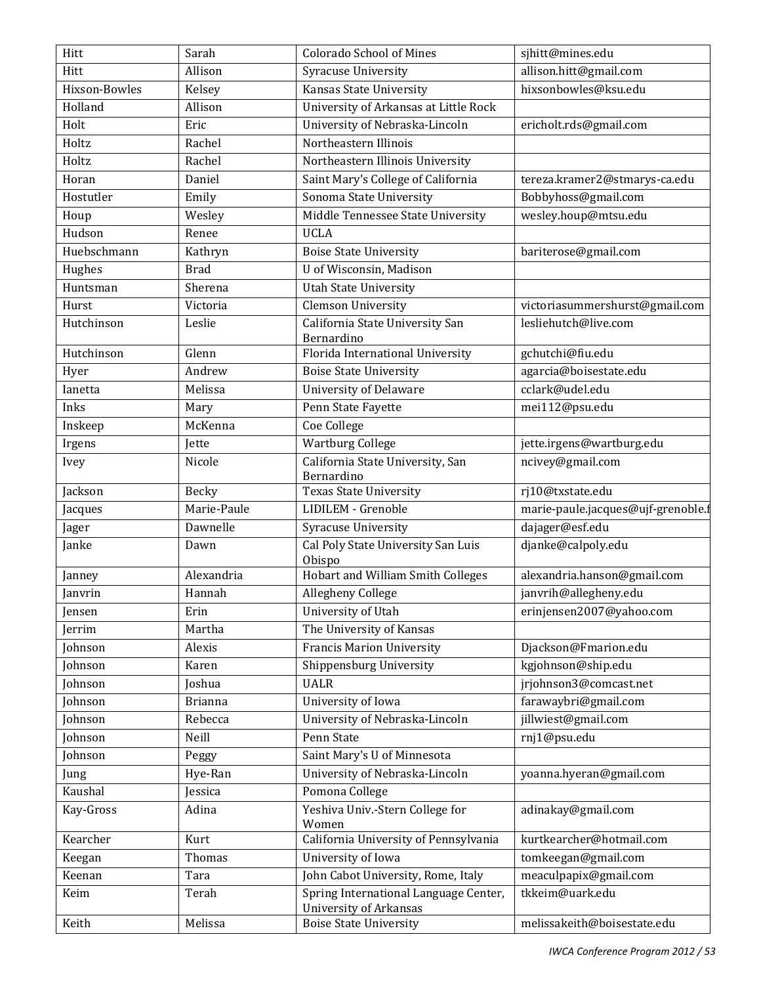| Hitt          | Sarah          | <b>Colorado School of Mines</b>                                | sjhitt@mines.edu                   |
|---------------|----------------|----------------------------------------------------------------|------------------------------------|
| Hitt          | Allison        | Syracuse University                                            | allison.hitt@gmail.com             |
| Hixson-Bowles | Kelsey         | Kansas State University                                        | hixsonbowles@ksu.edu               |
| Holland       | Allison        | University of Arkansas at Little Rock                          |                                    |
| Holt          | Eric           | University of Nebraska-Lincoln                                 | ericholt.rds@gmail.com             |
| Holtz         | Rachel         | Northeastern Illinois                                          |                                    |
| Holtz         | Rachel         | Northeastern Illinois University                               |                                    |
| Horan         | Daniel         | Saint Mary's College of California                             | tereza.kramer2@stmarys-ca.edu      |
| Hostutler     | Emily          | Sonoma State University                                        | Bobbyhoss@gmail.com                |
| Houp          | Wesley         | Middle Tennessee State University                              | wesley.houp@mtsu.edu               |
| Hudson        | Renee          | <b>UCLA</b>                                                    |                                    |
| Huebschmann   | Kathryn        | <b>Boise State University</b>                                  | bariterose@gmail.com               |
| Hughes        | <b>Brad</b>    | U of Wisconsin, Madison                                        |                                    |
| Huntsman      | Sherena        | <b>Utah State University</b>                                   |                                    |
| Hurst         | Victoria       | <b>Clemson University</b>                                      | victoriasummershurst@gmail.com     |
| Hutchinson    | Leslie         | California State University San                                | lesliehutch@live.com               |
|               |                | Bernardino                                                     |                                    |
| Hutchinson    | Glenn          | Florida International University                               | gchutchi@fiu.edu                   |
| Hyer          | Andrew         | <b>Boise State University</b>                                  | agarcia@boisestate.edu             |
| Ianetta       | Melissa        | <b>University of Delaware</b>                                  | cclark@udel.edu                    |
| Inks          | Mary           | Penn State Fayette                                             | mei112@psu.edu                     |
| Inskeep       | McKenna        | Coe College                                                    |                                    |
| Irgens        | Jette          | Wartburg College                                               | jette.irgens@wartburg.edu          |
| Ivey          | Nicole         | California State University, San<br>Bernardino                 | ncivey@gmail.com                   |
| Jackson       | Becky          | <b>Texas State University</b>                                  | rj10@txstate.edu                   |
| Jacques       | Marie-Paule    | LIDILEM - Grenoble                                             | marie-paule.jacques@ujf-grenoble.f |
| Jager         | Dawnelle       | Syracuse University                                            | dajager@esf.edu                    |
| Janke         | Dawn           | Cal Poly State University San Luis<br>Obispo                   | djanke@calpoly.edu                 |
| Janney        | Alexandria     | <b>Hobart and William Smith Colleges</b>                       | alexandria.hanson@gmail.com        |
| Janvrin       | Hannah         | Allegheny College                                              | janvrih@allegheny.edu              |
| Jensen        | Erin           | University of Utah                                             | erinjensen2007@yahoo.com           |
| Jerrim        | Martha         | The University of Kansas                                       |                                    |
| Johnson       | Alexis         | <b>Francis Marion University</b>                               | Djackson@Fmarion.edu               |
| Johnson       | Karen          | Shippensburg University                                        | kgjohnson@ship.edu                 |
| Johnson       | Joshua         | <b>UALR</b>                                                    | jrjohnson3@comcast.net             |
| Johnson       | <b>Brianna</b> | University of Iowa                                             | farawaybri@gmail.com               |
| Johnson       | Rebecca        | University of Nebraska-Lincoln                                 | jillwiest@gmail.com                |
| Johnson       | Neill          | Penn State                                                     | rnj1@psu.edu                       |
| Johnson       | Peggy          | Saint Mary's U of Minnesota                                    |                                    |
| Jung          | Hye-Ran        | University of Nebraska-Lincoln                                 | yoanna.hyeran@gmail.com            |
| Kaushal       | Jessica        | Pomona College                                                 |                                    |
| Kay-Gross     | Adina          | Yeshiva Univ.-Stern College for<br>Women                       | adinakay@gmail.com                 |
| Kearcher      | Kurt           | California University of Pennsylvania                          | kurtkearcher@hotmail.com           |
| Keegan        | Thomas         | University of Iowa                                             | tomkeegan@gmail.com                |
| Keenan        | Tara           | John Cabot University, Rome, Italy                             | meaculpapix@gmail.com              |
| Keim          | Terah          | Spring International Language Center,                          | tkkeim@uark.edu                    |
| Keith         | Melissa        | <b>University of Arkansas</b><br><b>Boise State University</b> | melissakeith@boisestate.edu        |
|               |                |                                                                |                                    |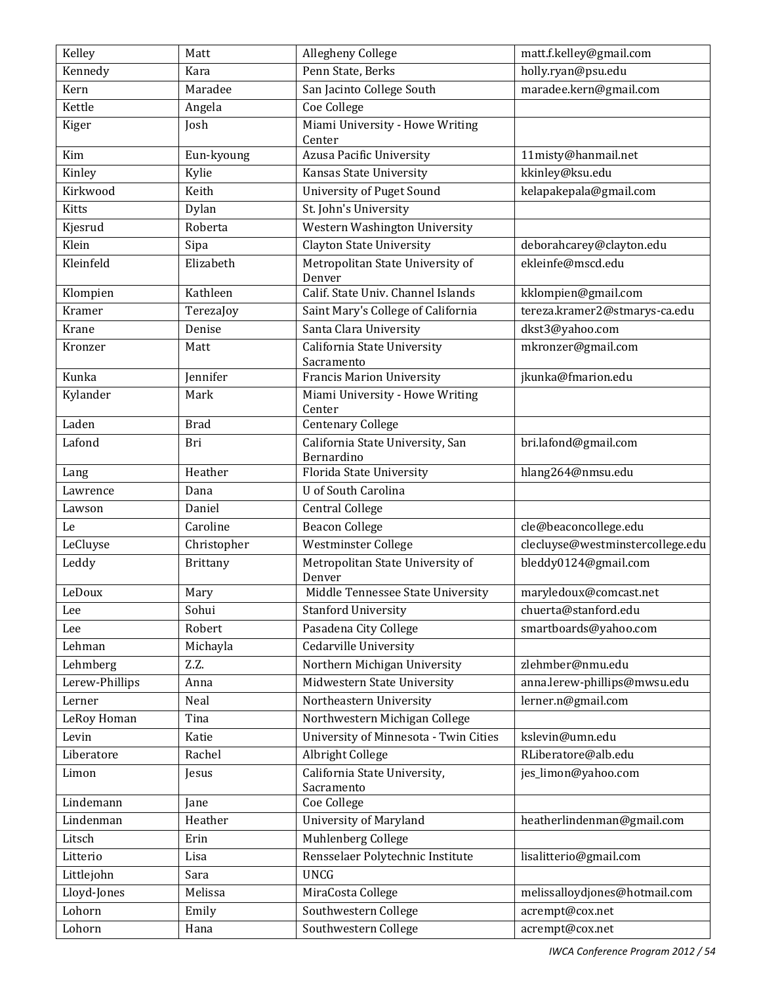| Kennedy<br>Penn State, Berks<br>holly.ryan@psu.edu<br>Kara<br>San Jacinto College South<br>Maradee<br>maradee.kern@gmail.com<br>Kern<br>Kettle<br>Coe College<br>Angela<br>Miami University - Howe Writing<br>Kiger<br>Josh<br>Center<br>Azusa Pacific University<br>11misty@hanmail.net<br>Kim<br>Eun-kyoung<br>kkinley@ksu.edu<br>Kinley<br>Kylie<br><b>Kansas State University</b><br>kelapakepala@gmail.com<br>Kirkwood<br>Keith<br>University of Puget Sound<br>St. John's University<br><b>Kitts</b><br>Dylan<br>Roberta<br>Western Washington University<br>Kjesrud<br>Klein<br><b>Clayton State University</b><br>deborahcarey@clayton.edu<br>Sipa<br>Elizabeth<br>Metropolitan State University of<br>ekleinfe@mscd.edu<br>Kleinfeld<br>Denver<br>Calif. State Univ. Channel Islands<br>Klompien<br>Kathleen<br>kklompien@gmail.com<br>Kramer<br>Saint Mary's College of California<br>tereza.kramer2@stmarys-ca.edu<br>TerezaJoy<br>Santa Clara University<br>dkst3@yahoo.com<br>Krane<br>Denise<br>California State University<br>mkronzer@gmail.com<br>Kronzer<br>Matt<br>Sacramento<br>Kunka<br><b>Francis Marion University</b><br>jkunka@fmarion.edu<br>Jennifer<br>Miami University - Howe Writing<br>Kylander<br>Mark<br>Center<br><b>Centenary College</b><br>Laden<br><b>Brad</b><br>California State University, San<br>bri.lafond@gmail.com<br>Lafond<br>Bri<br>Bernardino<br>Heather<br>Florida State University<br>hlang264@nmsu.edu<br>Lang |
|---------------------------------------------------------------------------------------------------------------------------------------------------------------------------------------------------------------------------------------------------------------------------------------------------------------------------------------------------------------------------------------------------------------------------------------------------------------------------------------------------------------------------------------------------------------------------------------------------------------------------------------------------------------------------------------------------------------------------------------------------------------------------------------------------------------------------------------------------------------------------------------------------------------------------------------------------------------------------------------------------------------------------------------------------------------------------------------------------------------------------------------------------------------------------------------------------------------------------------------------------------------------------------------------------------------------------------------------------------------------------------------------------------------------------------------------------------------------|
|                                                                                                                                                                                                                                                                                                                                                                                                                                                                                                                                                                                                                                                                                                                                                                                                                                                                                                                                                                                                                                                                                                                                                                                                                                                                                                                                                                                                                                                                     |
|                                                                                                                                                                                                                                                                                                                                                                                                                                                                                                                                                                                                                                                                                                                                                                                                                                                                                                                                                                                                                                                                                                                                                                                                                                                                                                                                                                                                                                                                     |
|                                                                                                                                                                                                                                                                                                                                                                                                                                                                                                                                                                                                                                                                                                                                                                                                                                                                                                                                                                                                                                                                                                                                                                                                                                                                                                                                                                                                                                                                     |
|                                                                                                                                                                                                                                                                                                                                                                                                                                                                                                                                                                                                                                                                                                                                                                                                                                                                                                                                                                                                                                                                                                                                                                                                                                                                                                                                                                                                                                                                     |
|                                                                                                                                                                                                                                                                                                                                                                                                                                                                                                                                                                                                                                                                                                                                                                                                                                                                                                                                                                                                                                                                                                                                                                                                                                                                                                                                                                                                                                                                     |
|                                                                                                                                                                                                                                                                                                                                                                                                                                                                                                                                                                                                                                                                                                                                                                                                                                                                                                                                                                                                                                                                                                                                                                                                                                                                                                                                                                                                                                                                     |
|                                                                                                                                                                                                                                                                                                                                                                                                                                                                                                                                                                                                                                                                                                                                                                                                                                                                                                                                                                                                                                                                                                                                                                                                                                                                                                                                                                                                                                                                     |
|                                                                                                                                                                                                                                                                                                                                                                                                                                                                                                                                                                                                                                                                                                                                                                                                                                                                                                                                                                                                                                                                                                                                                                                                                                                                                                                                                                                                                                                                     |
|                                                                                                                                                                                                                                                                                                                                                                                                                                                                                                                                                                                                                                                                                                                                                                                                                                                                                                                                                                                                                                                                                                                                                                                                                                                                                                                                                                                                                                                                     |
|                                                                                                                                                                                                                                                                                                                                                                                                                                                                                                                                                                                                                                                                                                                                                                                                                                                                                                                                                                                                                                                                                                                                                                                                                                                                                                                                                                                                                                                                     |
|                                                                                                                                                                                                                                                                                                                                                                                                                                                                                                                                                                                                                                                                                                                                                                                                                                                                                                                                                                                                                                                                                                                                                                                                                                                                                                                                                                                                                                                                     |
|                                                                                                                                                                                                                                                                                                                                                                                                                                                                                                                                                                                                                                                                                                                                                                                                                                                                                                                                                                                                                                                                                                                                                                                                                                                                                                                                                                                                                                                                     |
|                                                                                                                                                                                                                                                                                                                                                                                                                                                                                                                                                                                                                                                                                                                                                                                                                                                                                                                                                                                                                                                                                                                                                                                                                                                                                                                                                                                                                                                                     |
|                                                                                                                                                                                                                                                                                                                                                                                                                                                                                                                                                                                                                                                                                                                                                                                                                                                                                                                                                                                                                                                                                                                                                                                                                                                                                                                                                                                                                                                                     |
|                                                                                                                                                                                                                                                                                                                                                                                                                                                                                                                                                                                                                                                                                                                                                                                                                                                                                                                                                                                                                                                                                                                                                                                                                                                                                                                                                                                                                                                                     |
|                                                                                                                                                                                                                                                                                                                                                                                                                                                                                                                                                                                                                                                                                                                                                                                                                                                                                                                                                                                                                                                                                                                                                                                                                                                                                                                                                                                                                                                                     |
|                                                                                                                                                                                                                                                                                                                                                                                                                                                                                                                                                                                                                                                                                                                                                                                                                                                                                                                                                                                                                                                                                                                                                                                                                                                                                                                                                                                                                                                                     |
|                                                                                                                                                                                                                                                                                                                                                                                                                                                                                                                                                                                                                                                                                                                                                                                                                                                                                                                                                                                                                                                                                                                                                                                                                                                                                                                                                                                                                                                                     |
|                                                                                                                                                                                                                                                                                                                                                                                                                                                                                                                                                                                                                                                                                                                                                                                                                                                                                                                                                                                                                                                                                                                                                                                                                                                                                                                                                                                                                                                                     |
|                                                                                                                                                                                                                                                                                                                                                                                                                                                                                                                                                                                                                                                                                                                                                                                                                                                                                                                                                                                                                                                                                                                                                                                                                                                                                                                                                                                                                                                                     |
|                                                                                                                                                                                                                                                                                                                                                                                                                                                                                                                                                                                                                                                                                                                                                                                                                                                                                                                                                                                                                                                                                                                                                                                                                                                                                                                                                                                                                                                                     |
| U of South Carolina<br>Dana<br>Lawrence                                                                                                                                                                                                                                                                                                                                                                                                                                                                                                                                                                                                                                                                                                                                                                                                                                                                                                                                                                                                                                                                                                                                                                                                                                                                                                                                                                                                                             |
| Central College<br>Daniel<br>Lawson                                                                                                                                                                                                                                                                                                                                                                                                                                                                                                                                                                                                                                                                                                                                                                                                                                                                                                                                                                                                                                                                                                                                                                                                                                                                                                                                                                                                                                 |
| Caroline<br><b>Beacon College</b><br>cle@beaconcollege.edu<br>Le                                                                                                                                                                                                                                                                                                                                                                                                                                                                                                                                                                                                                                                                                                                                                                                                                                                                                                                                                                                                                                                                                                                                                                                                                                                                                                                                                                                                    |
| clecluyse@westminstercollege.edu<br>Westminster College<br>LeCluyse<br>Christopher                                                                                                                                                                                                                                                                                                                                                                                                                                                                                                                                                                                                                                                                                                                                                                                                                                                                                                                                                                                                                                                                                                                                                                                                                                                                                                                                                                                  |
| Metropolitan State University of<br>bleddy0124@gmail.com<br>Leddy<br><b>Brittany</b><br>Denver                                                                                                                                                                                                                                                                                                                                                                                                                                                                                                                                                                                                                                                                                                                                                                                                                                                                                                                                                                                                                                                                                                                                                                                                                                                                                                                                                                      |
| LeDoux<br>Middle Tennessee State University<br>maryledoux@comcast.net<br>Mary                                                                                                                                                                                                                                                                                                                                                                                                                                                                                                                                                                                                                                                                                                                                                                                                                                                                                                                                                                                                                                                                                                                                                                                                                                                                                                                                                                                       |
| Sohui<br><b>Stanford University</b><br>chuerta@stanford.edu<br>Lee                                                                                                                                                                                                                                                                                                                                                                                                                                                                                                                                                                                                                                                                                                                                                                                                                                                                                                                                                                                                                                                                                                                                                                                                                                                                                                                                                                                                  |
| Pasadena City College<br>Robert<br>smartboards@yahoo.com<br>Lee                                                                                                                                                                                                                                                                                                                                                                                                                                                                                                                                                                                                                                                                                                                                                                                                                                                                                                                                                                                                                                                                                                                                                                                                                                                                                                                                                                                                     |
| Cedarville University<br>Lehman<br>Michayla                                                                                                                                                                                                                                                                                                                                                                                                                                                                                                                                                                                                                                                                                                                                                                                                                                                                                                                                                                                                                                                                                                                                                                                                                                                                                                                                                                                                                         |
| Northern Michigan University<br>Z.Z.<br>zlehmber@nmu.edu<br>Lehmberg                                                                                                                                                                                                                                                                                                                                                                                                                                                                                                                                                                                                                                                                                                                                                                                                                                                                                                                                                                                                                                                                                                                                                                                                                                                                                                                                                                                                |
| Midwestern State University<br>Lerew-Phillips<br>anna.lerew-phillips@mwsu.edu<br>Anna                                                                                                                                                                                                                                                                                                                                                                                                                                                                                                                                                                                                                                                                                                                                                                                                                                                                                                                                                                                                                                                                                                                                                                                                                                                                                                                                                                               |
| lerner.n@gmail.com<br>Neal<br>Northeastern University<br>Lerner                                                                                                                                                                                                                                                                                                                                                                                                                                                                                                                                                                                                                                                                                                                                                                                                                                                                                                                                                                                                                                                                                                                                                                                                                                                                                                                                                                                                     |
| Northwestern Michigan College<br>LeRoy Homan<br>Tina                                                                                                                                                                                                                                                                                                                                                                                                                                                                                                                                                                                                                                                                                                                                                                                                                                                                                                                                                                                                                                                                                                                                                                                                                                                                                                                                                                                                                |
| University of Minnesota - Twin Cities<br>kslevin@umn.edu<br>Levin<br>Katie                                                                                                                                                                                                                                                                                                                                                                                                                                                                                                                                                                                                                                                                                                                                                                                                                                                                                                                                                                                                                                                                                                                                                                                                                                                                                                                                                                                          |
| Albright College<br>Liberatore<br>RLiberatore@alb.edu<br>Rachel                                                                                                                                                                                                                                                                                                                                                                                                                                                                                                                                                                                                                                                                                                                                                                                                                                                                                                                                                                                                                                                                                                                                                                                                                                                                                                                                                                                                     |
| California State University,<br>jes_limon@yahoo.com<br>Limon<br>Jesus<br>Sacramento                                                                                                                                                                                                                                                                                                                                                                                                                                                                                                                                                                                                                                                                                                                                                                                                                                                                                                                                                                                                                                                                                                                                                                                                                                                                                                                                                                                 |
| Lindemann<br>Coe College<br>Jane                                                                                                                                                                                                                                                                                                                                                                                                                                                                                                                                                                                                                                                                                                                                                                                                                                                                                                                                                                                                                                                                                                                                                                                                                                                                                                                                                                                                                                    |
| Heather<br><b>University of Maryland</b><br>heatherlindenman@gmail.com<br>Lindenman                                                                                                                                                                                                                                                                                                                                                                                                                                                                                                                                                                                                                                                                                                                                                                                                                                                                                                                                                                                                                                                                                                                                                                                                                                                                                                                                                                                 |
| Muhlenberg College<br>Litsch<br>Erin                                                                                                                                                                                                                                                                                                                                                                                                                                                                                                                                                                                                                                                                                                                                                                                                                                                                                                                                                                                                                                                                                                                                                                                                                                                                                                                                                                                                                                |
| Rensselaer Polytechnic Institute<br>Litterio<br>lisalitterio@gmail.com<br>Lisa                                                                                                                                                                                                                                                                                                                                                                                                                                                                                                                                                                                                                                                                                                                                                                                                                                                                                                                                                                                                                                                                                                                                                                                                                                                                                                                                                                                      |
| <b>UNCG</b><br>Littlejohn<br>Sara                                                                                                                                                                                                                                                                                                                                                                                                                                                                                                                                                                                                                                                                                                                                                                                                                                                                                                                                                                                                                                                                                                                                                                                                                                                                                                                                                                                                                                   |
| melissalloydjones@hotmail.com<br>Lloyd-Jones<br>Melissa<br>MiraCosta College                                                                                                                                                                                                                                                                                                                                                                                                                                                                                                                                                                                                                                                                                                                                                                                                                                                                                                                                                                                                                                                                                                                                                                                                                                                                                                                                                                                        |
| Lohorn<br>Southwestern College<br>acrempt@cox.net<br>Emily                                                                                                                                                                                                                                                                                                                                                                                                                                                                                                                                                                                                                                                                                                                                                                                                                                                                                                                                                                                                                                                                                                                                                                                                                                                                                                                                                                                                          |
| Lohorn<br>Southwestern College<br>acrempt@cox.net<br>Hana                                                                                                                                                                                                                                                                                                                                                                                                                                                                                                                                                                                                                                                                                                                                                                                                                                                                                                                                                                                                                                                                                                                                                                                                                                                                                                                                                                                                           |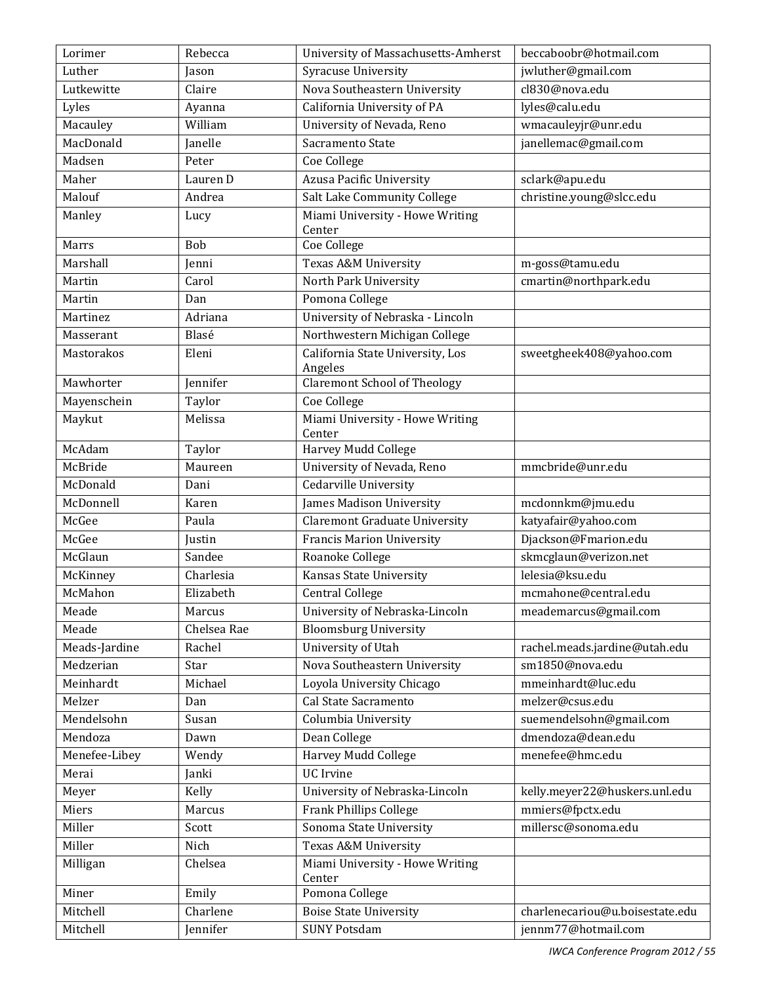| Lorimer       | Rebecca     | University of Massachusetts-Amherst         | beccaboobr@hotmail.com          |
|---------------|-------------|---------------------------------------------|---------------------------------|
| Luther        | Jason       | Syracuse University                         | jwluther@gmail.com              |
| Lutkewitte    | Claire      | Nova Southeastern University                | cl830@nova.edu                  |
| Lyles         | Ayanna      | California University of PA                 | lyles@calu.edu                  |
| Macauley      | William     | University of Nevada, Reno                  | wmacauleyjr@unr.edu             |
| MacDonald     | Janelle     | Sacramento State                            | janellemac@gmail.com            |
| Madsen        | Peter       | Coe College                                 |                                 |
| Maher         | Lauren D    | Azusa Pacific University                    | sclark@apu.edu                  |
| Malouf        | Andrea      | Salt Lake Community College                 | christine.young@slcc.edu        |
| Manley        | Lucy        | Miami University - Howe Writing<br>Center   |                                 |
| Marrs         | Bob         | Coe College                                 |                                 |
| Marshall      | Jenni       | Texas A&M University                        | m-goss@tamu.edu                 |
| Martin        | Carol       | North Park University                       | cmartin@northpark.edu           |
| Martin        | Dan         | Pomona College                              |                                 |
| Martinez      | Adriana     | University of Nebraska - Lincoln            |                                 |
| Masserant     | Blasé       | Northwestern Michigan College               |                                 |
| Mastorakos    | Eleni       | California State University, Los<br>Angeles | sweetgheek408@yahoo.com         |
| Mawhorter     | Jennifer    | <b>Claremont School of Theology</b>         |                                 |
| Mayenschein   | Taylor      | Coe College                                 |                                 |
| Maykut        | Melissa     | Miami University - Howe Writing<br>Center   |                                 |
| McAdam        | Taylor      | Harvey Mudd College                         |                                 |
| McBride       | Maureen     | University of Nevada, Reno                  | mmcbride@unr.edu                |
| McDonald      | Dani        | Cedarville University                       |                                 |
| McDonnell     | Karen       | James Madison University                    | mcdonnkm@jmu.edu                |
| McGee         | Paula       | <b>Claremont Graduate University</b>        | katyafair@yahoo.com             |
| McGee         | Justin      | <b>Francis Marion University</b>            | Djackson@Fmarion.edu            |
| McGlaun       | Sandee      | Roanoke College                             | skmcglaun@verizon.net           |
| McKinney      | Charlesia   | Kansas State University                     | lelesia@ksu.edu                 |
| McMahon       | Elizabeth   | Central College                             | mcmahone@central.edu            |
| Meade         | Marcus      | University of Nebraska-Lincoln              | meademarcus@gmail.com           |
| Meade         | Chelsea Rae | <b>Bloomsburg University</b>                |                                 |
| Meads-Jardine | Rachel      | University of Utah                          | rachel.meads.jardine@utah.edu   |
| Medzerian     | Star        | Nova Southeastern University                | sm1850@nova.edu                 |
| Meinhardt     | Michael     | Loyola University Chicago                   | mmeinhardt@luc.edu              |
| Melzer        | Dan         | Cal State Sacramento                        | melzer@csus.edu                 |
| Mendelsohn    | Susan       | Columbia University                         | suemendelsohn@gmail.com         |
| Mendoza       | Dawn        | Dean College                                | dmendoza@dean.edu               |
| Menefee-Libey | Wendy       | Harvey Mudd College                         | menefee@hmc.edu                 |
| Merai         | Janki       | <b>UC</b> Irvine                            |                                 |
| Meyer         | Kelly       | University of Nebraska-Lincoln              | kelly.meyer22@huskers.unl.edu   |
| Miers         | Marcus      | Frank Phillips College                      | mmiers@fpctx.edu                |
| Miller        | Scott       | Sonoma State University                     | millersc@sonoma.edu             |
| Miller        | Nich        | Texas A&M University                        |                                 |
| Milligan      | Chelsea     | Miami University - Howe Writing<br>Center   |                                 |
| Miner         | Emily       | Pomona College                              |                                 |
| Mitchell      | Charlene    | <b>Boise State University</b>               | charlenecariou@u.boisestate.edu |
| Mitchell      | Jennifer    | <b>SUNY Potsdam</b>                         | jennm77@hotmail.com             |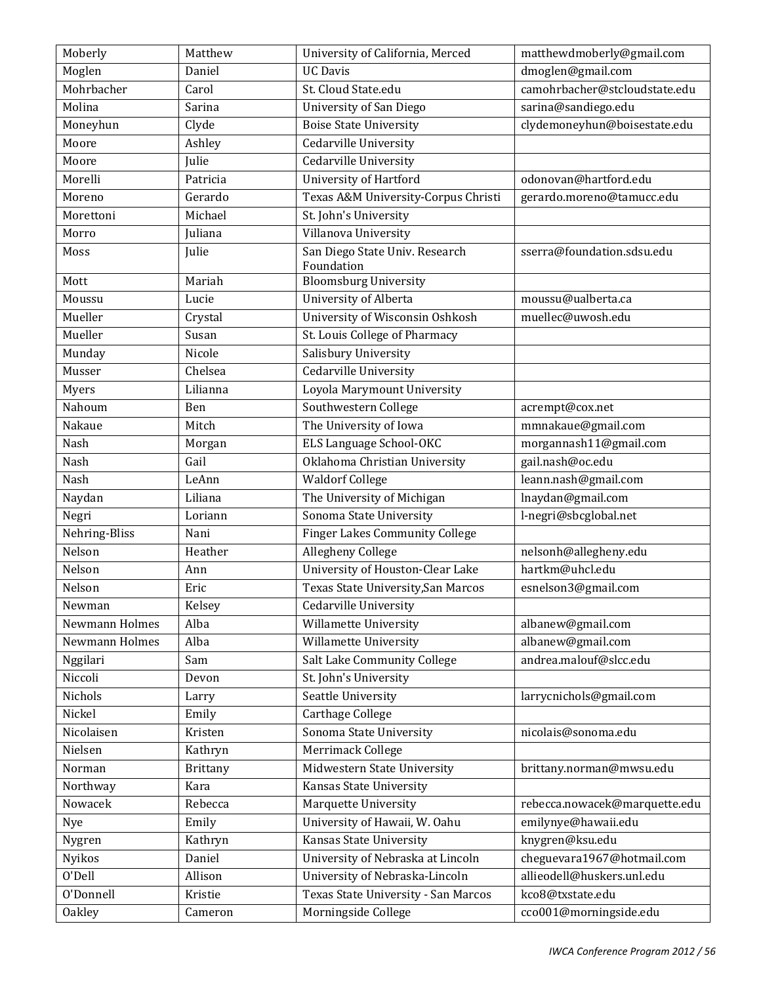| Moberly        | Matthew         | University of California, Merced             | matthewdmoberly@gmail.com     |
|----------------|-----------------|----------------------------------------------|-------------------------------|
| Moglen         | Daniel          | <b>UC Davis</b>                              | dmoglen@gmail.com             |
| Mohrbacher     | Carol           | St. Cloud State.edu                          | camohrbacher@stcloudstate.edu |
| Molina         | Sarina          | University of San Diego                      | sarina@sandiego.edu           |
| Moneyhun       | Clyde           | <b>Boise State University</b>                | clydemoneyhun@boisestate.edu  |
| Moore          | Ashley          | <b>Cedarville University</b>                 |                               |
| Moore          | Julie           | Cedarville University                        |                               |
| Morelli        | Patricia        | University of Hartford                       | odonovan@hartford.edu         |
| Moreno         | Gerardo         | Texas A&M University-Corpus Christi          | gerardo.moreno@tamucc.edu     |
| Morettoni      | Michael         | St. John's University                        |                               |
| Morro          | Juliana         | Villanova University                         |                               |
| Moss           | Julie           | San Diego State Univ. Research<br>Foundation | sserra@foundation.sdsu.edu    |
| Mott           | Mariah          | <b>Bloomsburg University</b>                 |                               |
| Moussu         | Lucie           | University of Alberta                        | moussu@ualberta.ca            |
| Mueller        | Crystal         | University of Wisconsin Oshkosh              | muellec@uwosh.edu             |
| Mueller        | Susan           | St. Louis College of Pharmacy                |                               |
| Munday         | Nicole          | Salisbury University                         |                               |
| Musser         | Chelsea         | Cedarville University                        |                               |
| Myers          | Lilianna        | Loyola Marymount University                  |                               |
| Nahoum         | Ben             | Southwestern College                         | acrempt@cox.net               |
| Nakaue         | Mitch           | The University of Iowa                       | mmnakaue@gmail.com            |
| Nash           | Morgan          | <b>ELS Language School-OKC</b>               | morgannash11@gmail.com        |
| Nash           | Gail            | Oklahoma Christian University                | gail.nash@oc.edu              |
| Nash           | LeAnn           | <b>Waldorf College</b>                       | leann.nash@gmail.com          |
| Naydan         | Liliana         | The University of Michigan                   | Inaydan@gmail.com             |
| Negri          | Loriann         | Sonoma State University                      | l-negri@sbcglobal.net         |
| Nehring-Bliss  | Nani            | <b>Finger Lakes Community College</b>        |                               |
| Nelson         | Heather         | Allegheny College                            | nelsonh@allegheny.edu         |
| Nelson         | Ann             | University of Houston-Clear Lake             | hartkm@uhcl.edu               |
| Nelson         | Eric            | Texas State University, San Marcos           | esnelson3@gmail.com           |
| Newman         | Kelsey          | Cedarville University                        |                               |
| Newmann Holmes | Alba            | Willamette University                        | albanew@gmail.com             |
| Newmann Holmes | Alba            | Willamette University                        | albanew@gmail.com             |
| Nggilari       | Sam             | Salt Lake Community College                  | andrea.malouf@slcc.edu        |
| Niccoli        | Devon           | St. John's University                        |                               |
| Nichols        | Larry           | Seattle University                           | larrycnichols@gmail.com       |
| Nickel         | Emily           | Carthage College                             |                               |
| Nicolaisen     | Kristen         | Sonoma State University                      | nicolais@sonoma.edu           |
| Nielsen        | Kathryn         | Merrimack College                            |                               |
| Norman         | <b>Brittany</b> | Midwestern State University                  | brittany.norman@mwsu.edu      |
| Northway       | Kara            | Kansas State University                      |                               |
| Nowacek        | Rebecca         | Marquette University                         | rebecca.nowacek@marquette.edu |
| Nye            | Emily           | University of Hawaii, W. Oahu                | emilynye@hawaii.edu           |
| Nygren         | Kathryn         | Kansas State University                      | knygren@ksu.edu               |
| Nyikos         | Daniel          | University of Nebraska at Lincoln            | cheguevara1967@hotmail.com    |
| O'Dell         | Allison         | University of Nebraska-Lincoln               | allieodell@huskers.unl.edu    |
| O'Donnell      | Kristie         | Texas State University - San Marcos          | kco8@txstate.edu              |
| <b>Oakley</b>  | Cameron         | Morningside College                          | cco001@morningside.edu        |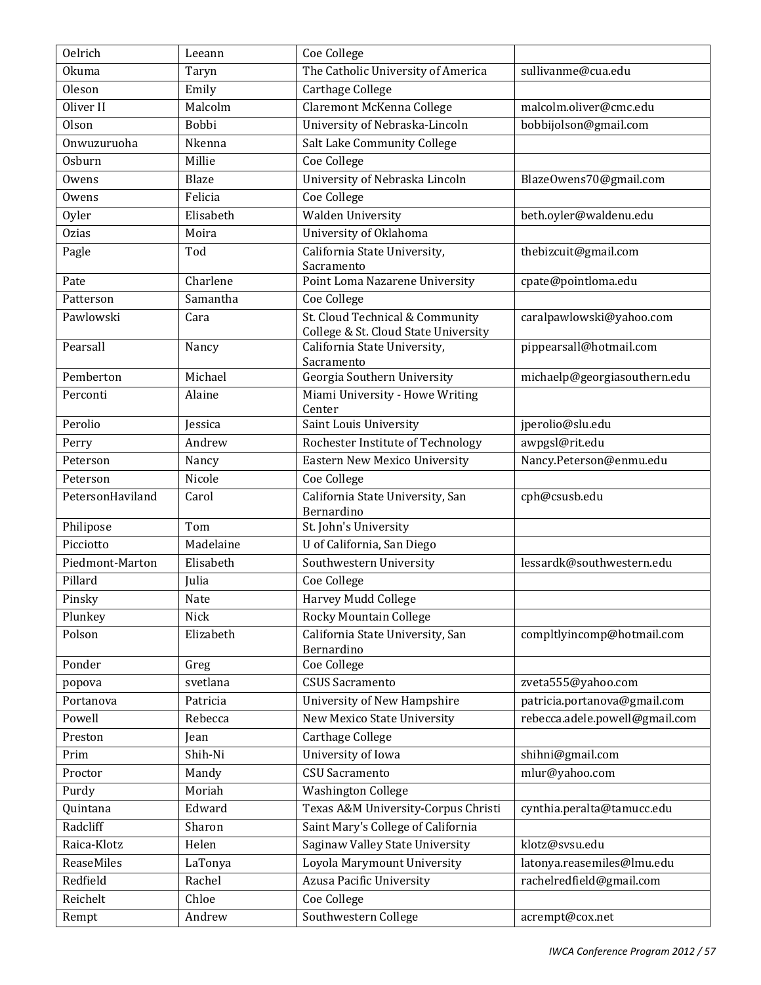| <b>Oelrich</b>   | Leeann    | Coe College                                                             |                                |
|------------------|-----------|-------------------------------------------------------------------------|--------------------------------|
| <b>Okuma</b>     | Taryn     | The Catholic University of America                                      | sullivanme@cua.edu             |
| Oleson           | Emily     | <b>Carthage College</b>                                                 |                                |
| Oliver II        | Malcolm   | Claremont McKenna College                                               | malcolm.oliver@cmc.edu         |
| <b>Olson</b>     | Bobbi     | University of Nebraska-Lincoln                                          | bobbijolson@gmail.com          |
| Onwuzuruoha      | Nkenna    | Salt Lake Community College                                             |                                |
| <b>Osburn</b>    | Millie    | Coe College                                                             |                                |
| Owens            | Blaze     | University of Nebraska Lincoln                                          | BlazeOwens70@gmail.com         |
| Owens            | Felicia   | Coe College                                                             |                                |
| Oyler            | Elisabeth | <b>Walden University</b>                                                | beth.oyler@waldenu.edu         |
| <b>Ozias</b>     | Moira     | University of Oklahoma                                                  |                                |
| Pagle            | Tod       | California State University,<br>Sacramento                              | thebizcuit@gmail.com           |
| Pate             | Charlene  | Point Loma Nazarene University                                          | cpate@pointloma.edu            |
| Patterson        | Samantha  | Coe College                                                             |                                |
| Pawlowski        | Cara      | St. Cloud Technical & Community<br>College & St. Cloud State University | caralpawlowski@yahoo.com       |
| Pearsall         | Nancy     | California State University,<br>Sacramento                              | pippearsall@hotmail.com        |
| Pemberton        | Michael   | Georgia Southern University                                             | michaelp@georgiasouthern.edu   |
| Perconti         | Alaine    | Miami University - Howe Writing<br>Center                               |                                |
| Perolio          | Jessica   | Saint Louis University                                                  | jperolio@slu.edu               |
| Perry            | Andrew    | Rochester Institute of Technology                                       | awpgsl@rit.edu                 |
| Peterson         | Nancy     | <b>Eastern New Mexico University</b>                                    | Nancy.Peterson@enmu.edu        |
| Peterson         | Nicole    | Coe College                                                             |                                |
| PetersonHaviland | Carol     | California State University, San<br>Bernardino                          | cph@csusb.edu                  |
| Philipose        | Tom       | St. John's University                                                   |                                |
| Picciotto        | Madelaine | U of California, San Diego                                              |                                |
| Piedmont-Marton  | Elisabeth | Southwestern University                                                 | lessardk@southwestern.edu      |
| Pillard          | Julia     | Coe College                                                             |                                |
| Pinsky           | Nate      | Harvey Mudd College                                                     |                                |
| Plunkey          | Nick      | <b>Rocky Mountain College</b>                                           |                                |
| Polson           | Elizabeth | California State University, San<br>Bernardino                          | compltlyincomp@hotmail.com     |
| Ponder           | Greg      | Coe College                                                             |                                |
| popova           | svetlana  | <b>CSUS Sacramento</b>                                                  | zveta555@yahoo.com             |
| Portanova        | Patricia  | University of New Hampshire                                             | patricia.portanova@gmail.com   |
| Powell           | Rebecca   | New Mexico State University                                             | rebecca.adele.powell@gmail.com |
| Preston          | Jean      | Carthage College                                                        |                                |
| Prim             | Shih-Ni   | University of Iowa                                                      | shihni@gmail.com               |
| Proctor          | Mandy     | <b>CSU</b> Sacramento                                                   | mlur@yahoo.com                 |
| Purdy            | Moriah    | <b>Washington College</b>                                               |                                |
| Quintana         | Edward    | Texas A&M University-Corpus Christi                                     | cynthia.peralta@tamucc.edu     |
| Radcliff         | Sharon    | Saint Mary's College of California                                      |                                |
| Raica-Klotz      | Helen     | Saginaw Valley State University                                         | klotz@svsu.edu                 |
| ReaseMiles       | LaTonya   | Loyola Marymount University                                             | latonya.reasemiles@lmu.edu     |
| Redfield         | Rachel    | <b>Azusa Pacific University</b>                                         | rachelredfield@gmail.com       |
| Reichelt         | Chloe     | Coe College                                                             |                                |
| Rempt            | Andrew    | Southwestern College                                                    | acrempt@cox.net                |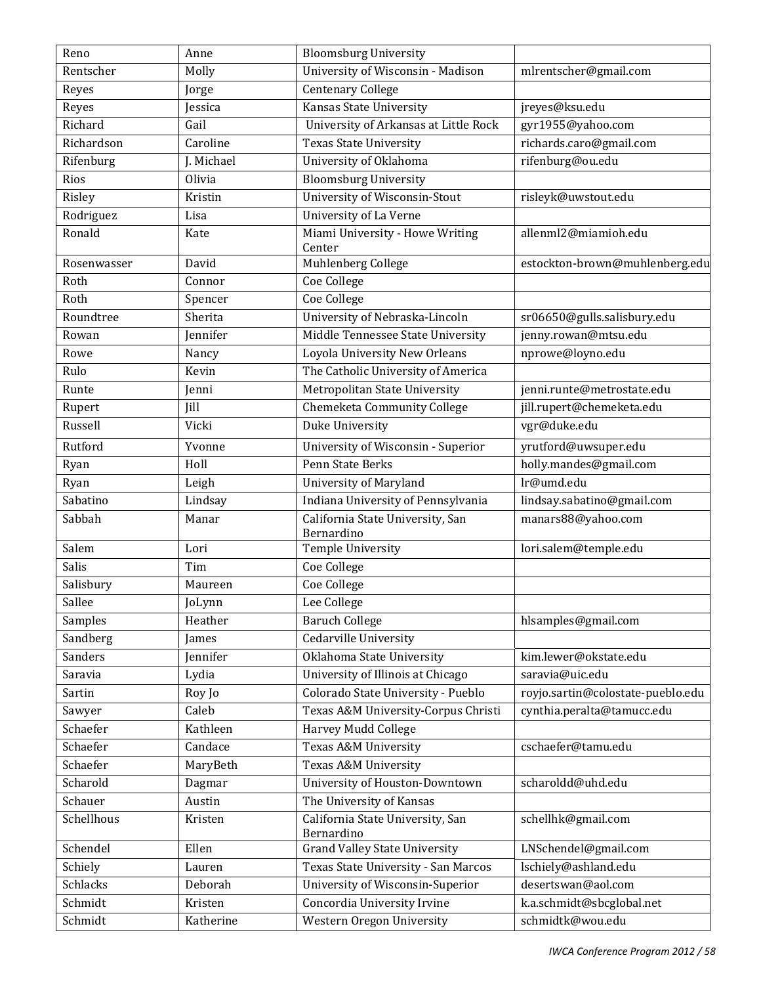| Reno            | Anne        | <b>Bloomsburg University</b>                   |                                   |
|-----------------|-------------|------------------------------------------------|-----------------------------------|
| Rentscher       | Molly       | University of Wisconsin - Madison              | mlrentscher@gmail.com             |
| Reyes           | Jorge       | <b>Centenary College</b>                       |                                   |
| Reyes           | Jessica     | Kansas State University                        | jreyes@ksu.edu                    |
| Richard         | Gail        | University of Arkansas at Little Rock          | gyr1955@yahoo.com                 |
| Richardson      | Caroline    | <b>Texas State University</b>                  | richards.caro@gmail.com           |
| Rifenburg       | J. Michael  | University of Oklahoma                         | rifenburg@ou.edu                  |
| Rios            | Olivia      | <b>Bloomsburg University</b>                   |                                   |
| Risley          | Kristin     | University of Wisconsin-Stout                  | risleyk@uwstout.edu               |
| Rodriguez       | Lisa        | University of La Verne                         |                                   |
| Ronald          | Kate        | Miami University - Howe Writing                | allenml2@miamioh.edu              |
|                 |             | Center                                         |                                   |
| Rosenwasser     | David       | Muhlenberg College                             | estockton-brown@muhlenberg.edu    |
| Roth            | Connor      | Coe College                                    |                                   |
| Roth            | Spencer     | Coe College                                    |                                   |
| Roundtree       | Sherita     | University of Nebraska-Lincoln                 | sr06650@gulls.salisbury.edu       |
| Rowan           | Jennifer    | Middle Tennessee State University              | jenny.rowan@mtsu.edu              |
| Rowe            | Nancy       | Loyola University New Orleans                  | nprowe@loyno.edu                  |
| Rulo            | Kevin       | The Catholic University of America             |                                   |
| Runte           | Jenni       | Metropolitan State University                  | jenni.runte@metrostate.edu        |
| Rupert          | <b>Jill</b> | Chemeketa Community College                    | jill.rupert@chemeketa.edu         |
| Russell         | Vicki       | Duke University                                | vgr@duke.edu                      |
| Rutford         | Yvonne      | University of Wisconsin - Superior             | yrutford@uwsuper.edu              |
| Ryan            | Holl        | Penn State Berks                               | holly.mandes@gmail.com            |
| Ryan            | Leigh       | <b>University of Maryland</b>                  | lr@umd.edu                        |
| Sabatino        | Lindsay     | Indiana University of Pennsylvania             | lindsay.sabatino@gmail.com        |
| Sabbah          | Manar       | California State University, San<br>Bernardino | manars88@yahoo.com                |
| Salem           | Lori        | <b>Temple University</b>                       | lori.salem@temple.edu             |
| Salis           | Tim         | Coe College                                    |                                   |
| Salisbury       | Maureen     | Coe College                                    |                                   |
| Sallee          | JoLynn      | Lee College                                    |                                   |
| Samples         | Heather     | <b>Baruch College</b>                          | hlsamples@gmail.com               |
| Sandberg        | James       | Cedarville University                          |                                   |
| Sanders         | Jennifer    | Oklahoma State University                      | kim.lewer@okstate.edu             |
| Saravia         | Lydia       | University of Illinois at Chicago              | saravia@uic.edu                   |
| Sartin          | Roy Jo      | Colorado State University - Pueblo             | royjo.sartin@colostate-pueblo.edu |
| Sawyer          | Caleb       | Texas A&M University-Corpus Christi            | cynthia.peralta@tamucc.edu        |
| Schaefer        | Kathleen    | Harvey Mudd College                            |                                   |
| Schaefer        | Candace     | Texas A&M University                           | cschaefer@tamu.edu                |
| Schaefer        | MaryBeth    | Texas A&M University                           |                                   |
| Scharold        | Dagmar      | University of Houston-Downtown                 | scharoldd@uhd.edu                 |
| Schauer         | Austin      | The University of Kansas                       |                                   |
| Schellhous      | Kristen     | California State University, San               | schellhk@gmail.com                |
| Schendel        | Ellen       | Bernardino<br>Grand Valley State University    | LNSchendel@gmail.com              |
| Schiely         | Lauren      | Texas State University - San Marcos            | lschiely@ashland.edu              |
| <b>Schlacks</b> | Deborah     | University of Wisconsin-Superior               | desertswan@aol.com                |
| Schmidt         | Kristen     | Concordia University Irvine                    | k.a.schmidt@sbcglobal.net         |
| Schmidt         | Katherine   |                                                | schmidtk@wou.edu                  |
|                 |             | Western Oregon University                      |                                   |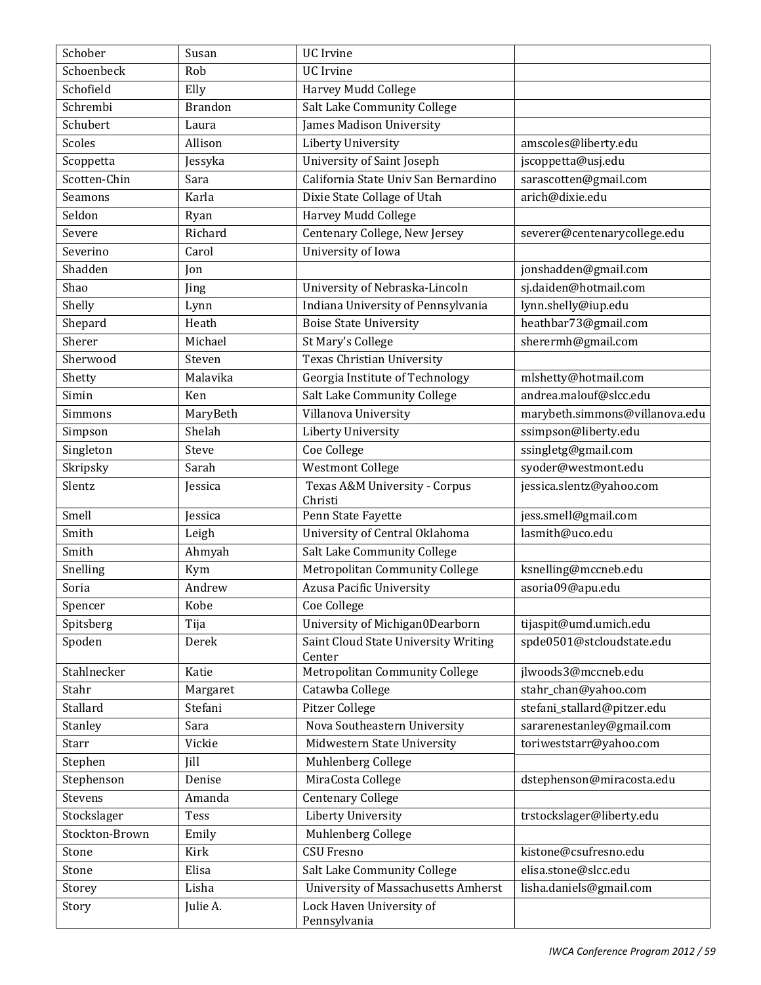| Schober        | Susan          | <b>UC</b> Irvine                               |                                |
|----------------|----------------|------------------------------------------------|--------------------------------|
| Schoenbeck     | Rob            | <b>UC</b> Irvine                               |                                |
| Schofield      | Elly           | Harvey Mudd College                            |                                |
| Schrembi       | <b>Brandon</b> | Salt Lake Community College                    |                                |
| Schubert       | Laura          | James Madison University                       |                                |
| Scoles         | Allison        | <b>Liberty University</b>                      | amscoles@liberty.edu           |
| Scoppetta      | Jessyka        | University of Saint Joseph                     | jscoppetta@usj.edu             |
| Scotten-Chin   | Sara           | California State Univ San Bernardino           | sarascotten@gmail.com          |
| <b>Seamons</b> | Karla          | Dixie State Collage of Utah                    | arich@dixie.edu                |
| Seldon         | Ryan           | Harvey Mudd College                            |                                |
| Severe         | Richard        | Centenary College, New Jersey                  | severer@centenarycollege.edu   |
| Severino       | Carol          | University of Iowa                             |                                |
| Shadden        | Jon            |                                                | jonshadden@gmail.com           |
| Shao           | Jing           | University of Nebraska-Lincoln                 | sj.daiden@hotmail.com          |
| Shelly         | Lynn           | Indiana University of Pennsylvania             | lynn.shelly@iup.edu            |
| Shepard        | Heath          | <b>Boise State University</b>                  | heathbar73@gmail.com           |
| Sherer         | Michael        | St Mary's College                              | sherermh@gmail.com             |
| Sherwood       | Steven         | Texas Christian University                     |                                |
| Shetty         | Malavika       | Georgia Institute of Technology                | mlshetty@hotmail.com           |
| Simin          | Ken            | Salt Lake Community College                    | andrea.malouf@slcc.edu         |
| Simmons        | MaryBeth       | Villanova University                           | marybeth.simmons@villanova.edu |
| Simpson        | Shelah         | Liberty University                             | ssimpson@liberty.edu           |
| Singleton      | Steve          | Coe College                                    | ssingletg@gmail.com            |
| Skripsky       | Sarah          | Westmont College                               | syoder@westmont.edu            |
| Slentz         | Jessica        | Texas A&M University - Corpus<br>Christi       | jessica.slentz@yahoo.com       |
| Smell          | Jessica        | Penn State Fayette                             | jess.smell@gmail.com           |
| Smith          | Leigh          | University of Central Oklahoma                 | lasmith@uco.edu                |
| Smith          | Ahmyah         | Salt Lake Community College                    |                                |
| Snelling       | Kym            | Metropolitan Community College                 | ksnelling@mccneb.edu           |
| Soria          | Andrew         | Azusa Pacific University                       | asoria09@apu.edu               |
| Spencer        | Kobe           | Coe College                                    |                                |
| Spitsberg      | Tija           | University of Michigan0Dearborn                | tijaspit@umd.umich.edu         |
| Spoden         | Derek          | Saint Cloud State University Writing<br>Center | spde0501@stcloudstate.edu      |
| Stahlnecker    | Katie          | Metropolitan Community College                 | jlwoods3@mccneb.edu            |
| Stahr          | Margaret       | Catawba College                                | stahr_chan@yahoo.com           |
| Stallard       | Stefani        | Pitzer College                                 | stefani_stallard@pitzer.edu    |
| Stanley        | Sara           | Nova Southeastern University                   | sararenestanley@gmail.com      |
| Starr          | Vickie         | Midwestern State University                    | toriweststarr@yahoo.com        |
| Stephen        | Jill           | Muhlenberg College                             |                                |
| Stephenson     | Denise         | MiraCosta College                              | dstephenson@miracosta.edu      |
| Stevens        | Amanda         | <b>Centenary College</b>                       |                                |
| Stockslager    | <b>Tess</b>    | Liberty University                             | trstockslager@liberty.edu      |
| Stockton-Brown | Emily          | Muhlenberg College                             |                                |
| Stone          | Kirk           | <b>CSU Fresno</b>                              | kistone@csufresno.edu          |
| Stone          | Elisa          | Salt Lake Community College                    | elisa.stone@slcc.edu           |
| Storey         | Lisha          | University of Massachusetts Amherst            | lisha.daniels@gmail.com        |
| Story          | Julie A.       | Lock Haven University of<br>Pennsylvania       |                                |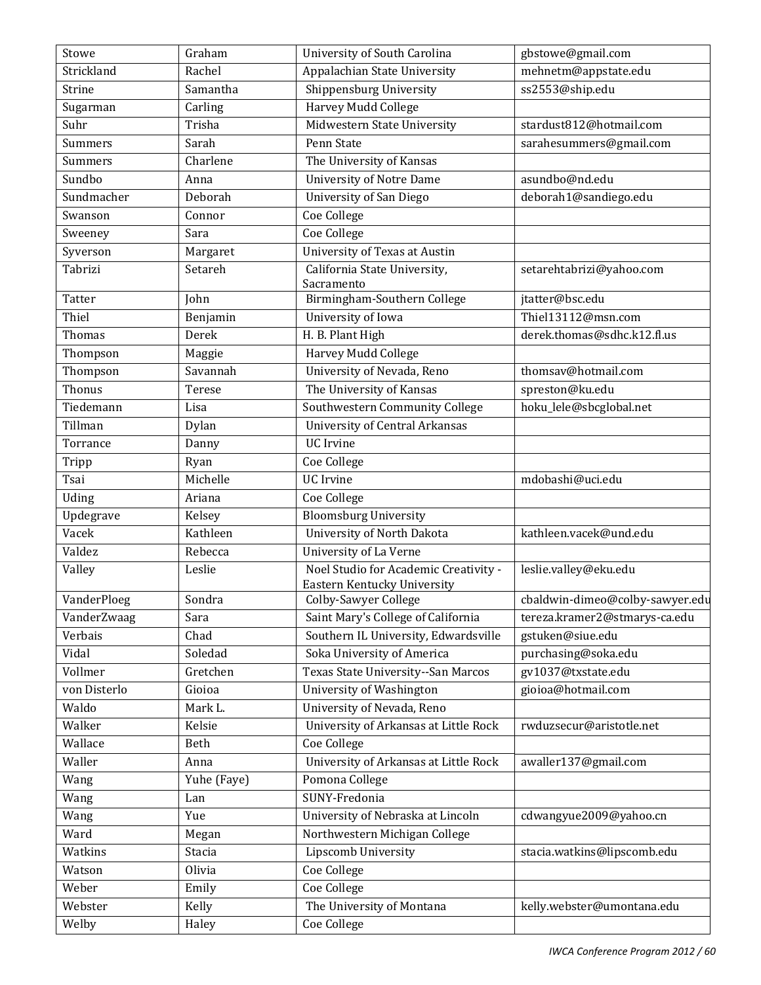| Stowe         | Graham      | University of South Carolina                                         | gbstowe@gmail.com               |
|---------------|-------------|----------------------------------------------------------------------|---------------------------------|
| Strickland    | Rachel      | Appalachian State University                                         | mehnetm@appstate.edu            |
| <b>Strine</b> | Samantha    | Shippensburg University                                              | ss2553@ship.edu                 |
| Sugarman      | Carling     | Harvey Mudd College                                                  |                                 |
| Suhr          | Trisha      | Midwestern State University                                          | stardust812@hotmail.com         |
| Summers       | Sarah       | Penn State                                                           | sarahesummers@gmail.com         |
| Summers       | Charlene    | The University of Kansas                                             |                                 |
| Sundbo        | Anna        | <b>University of Notre Dame</b>                                      | asundbo@nd.edu                  |
| Sundmacher    | Deborah     | University of San Diego                                              | deborah1@sandiego.edu           |
| Swanson       | Connor      | Coe College                                                          |                                 |
| Sweeney       | Sara        | Coe College                                                          |                                 |
| Syverson      | Margaret    | University of Texas at Austin                                        |                                 |
| Tabrizi       | Setareh     | California State University,<br>Sacramento                           | setarehtabrizi@yahoo.com        |
| <b>Tatter</b> | John        | Birmingham-Southern College                                          | jtatter@bsc.edu                 |
| Thiel         | Benjamin    | University of Iowa                                                   | Thiel13112@msn.com              |
| Thomas        | Derek       | H. B. Plant High                                                     | derek.thomas@sdhc.k12.fl.us     |
| Thompson      | Maggie      | Harvey Mudd College                                                  |                                 |
| Thompson      | Savannah    | University of Nevada, Reno                                           | thomsav@hotmail.com             |
| Thonus        | Terese      | The University of Kansas                                             | spreston@ku.edu                 |
| Tiedemann     | Lisa        | Southwestern Community College                                       | hoku_lele@sbcglobal.net         |
| Tillman       | Dylan       | <b>University of Central Arkansas</b>                                |                                 |
| Torrance      | Danny       | <b>UC</b> Irvine                                                     |                                 |
| Tripp         | Ryan        | Coe College                                                          |                                 |
| Tsai          | Michelle    | <b>UC</b> Irvine                                                     | mdobashi@uci.edu                |
| Uding         | Ariana      | Coe College                                                          |                                 |
| Updegrave     | Kelsey      | <b>Bloomsburg University</b>                                         |                                 |
| Vacek         | Kathleen    | University of North Dakota                                           | kathleen.vacek@und.edu          |
| Valdez        | Rebecca     | University of La Verne                                               |                                 |
| Valley        | Leslie      | Noel Studio for Academic Creativity -<br>Eastern Kentucky University | leslie.valley@eku.edu           |
| VanderPloeg   | Sondra      | Colby-Sawyer College                                                 | cbaldwin-dimeo@colby-sawyer.edu |
| VanderZwaag   | Sara        | Saint Mary's College of California                                   | tereza.kramer2@stmarys-ca.edu   |
| Verbais       | Chad        | Southern IL University, Edwardsville                                 | gstuken@siue.edu                |
| Vidal         | Soledad     | Soka University of America                                           | purchasing@soka.edu             |
| Vollmer       | Gretchen    | Texas State University--San Marcos                                   | gv1037@txstate.edu              |
| von Disterlo  | Gioioa      | University of Washington                                             | gioioa@hotmail.com              |
| Waldo         | Mark L.     | University of Nevada, Reno                                           |                                 |
| Walker        | Kelsie      | University of Arkansas at Little Rock                                | rwduzsecur@aristotle.net        |
| Wallace       | Beth        | Coe College                                                          |                                 |
| Waller        | Anna        | University of Arkansas at Little Rock                                | awaller137@gmail.com            |
| Wang          | Yuhe (Faye) | Pomona College                                                       |                                 |
| Wang          | Lan         | SUNY-Fredonia                                                        |                                 |
| Wang          | Yue         | University of Nebraska at Lincoln                                    | cdwangyue2009@yahoo.cn          |
| Ward          | Megan       | Northwestern Michigan College                                        |                                 |
| Watkins       | Stacia      | Lipscomb University                                                  | stacia.watkins@lipscomb.edu     |
| Watson        | Olivia      | Coe College                                                          |                                 |
| Weber         | Emily       | Coe College                                                          |                                 |
| Webster       | Kelly       | The University of Montana                                            | kelly.webster@umontana.edu      |
| Welby         | Haley       | Coe College                                                          |                                 |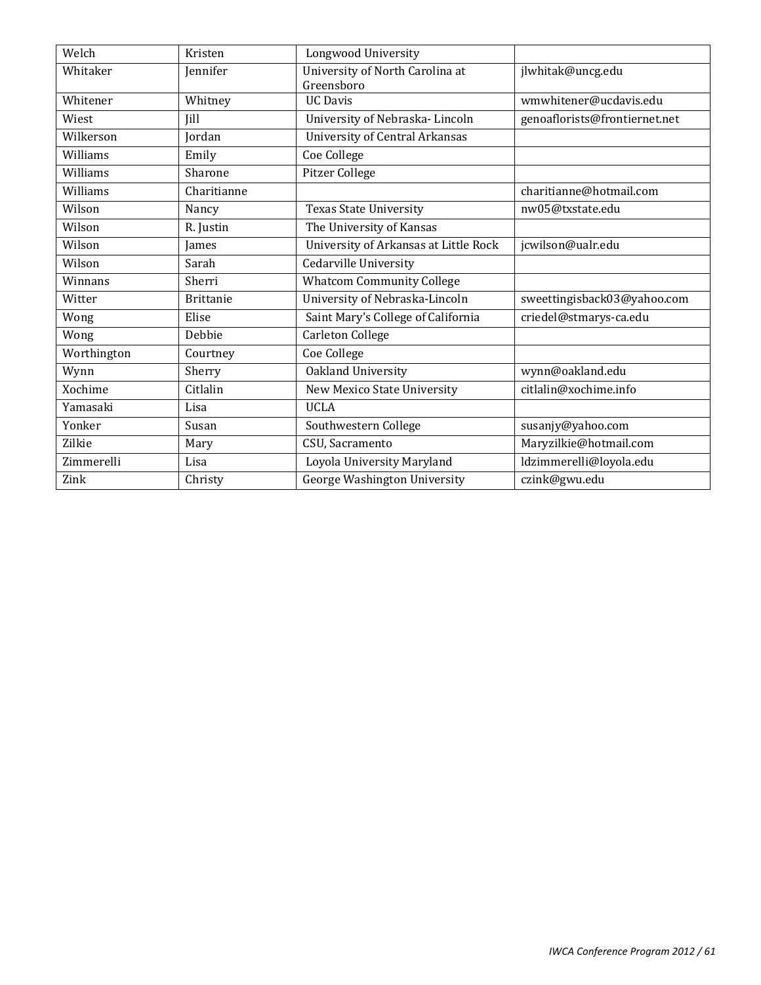| Welch       | Kristen          | Longwood University                           |                               |
|-------------|------------------|-----------------------------------------------|-------------------------------|
| Whitaker    | <b>Jennifer</b>  | University of North Carolina at<br>Greensboro | jlwhitak@uncg.edu             |
| Whitener    | Whitney          | <b>UC</b> Davis                               | wmwhitener@ucdavis.edu        |
| Wiest       | <b>Iill</b>      | University of Nebraska-Lincoln                | genoaflorists@frontiernet.net |
| Wilkerson   | Jordan           | <b>University of Central Arkansas</b>         |                               |
| Williams    | Emily            | Coe College                                   |                               |
| Williams    | Sharone          | Pitzer College                                |                               |
| Williams    | Charitianne      |                                               | charitianne@hotmail.com       |
| Wilson      | Nancy            | <b>Texas State University</b>                 | nw05@txstate.edu              |
| Wilson      | R. Justin        | The University of Kansas                      |                               |
| Wilson      | James            | University of Arkansas at Little Rock         | jcwilson@ualr.edu             |
| Wilson      | Sarah            | Cedarville University                         |                               |
| Winnans     | Sherri           | <b>Whatcom Community College</b>              |                               |
| Witter      | <b>Brittanie</b> | University of Nebraska-Lincoln                | sweettingisback03@yahoo.com   |
| Wong        | Elise            | Saint Mary's College of California            | criedel@stmarys-ca.edu        |
| Wong        | Debbie           | Carleton College                              |                               |
| Worthington | Courtney         | Coe College                                   |                               |
| Wynn        | Sherry           | Oakland University                            | wynn@oakland.edu              |
| Xochime     | Citlalin         | New Mexico State University                   | citlalin@xochime.info         |
| Yamasaki    | Lisa             | <b>UCLA</b>                                   |                               |
| Yonker      | Susan            | Southwestern College                          | susanjy@yahoo.com             |
| Zilkie      | Mary             | CSU, Sacramento                               | Maryzilkie@hotmail.com        |
| Zimmerelli  | Lisa             | Loyola University Maryland                    | ldzimmerelli@loyola.edu       |
| Zink        | Christy          | George Washington University                  | czink@gwu.edu                 |